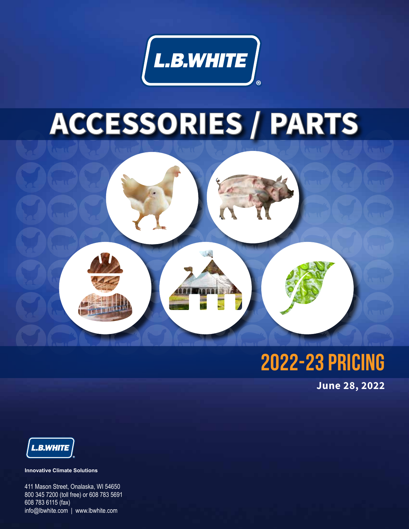# **ACCESSORIES / PARTS**

 $\left|$  L.B.WHITE  $\right|$ 

**®**



# **2022-23 pricing**

**June 28, 2022**



**Innovative Climate Solutions**

411 Mason Street, Onalaska, WI 54650 800 345 7200 (toll free) or 608 783 5691 608 783 6115 (fax) info@lbwhite.com | www.lbwhite.com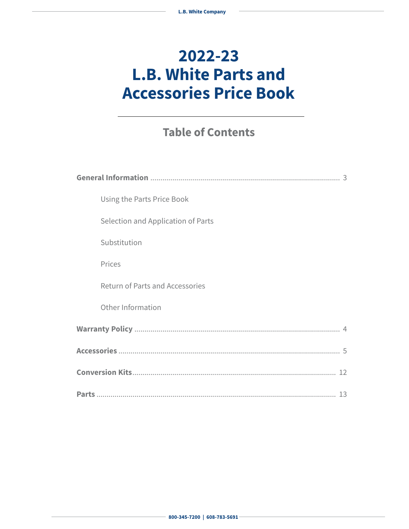## **2022-23 L.B. White Parts and Accessories Price Book**

## **Table of Contents**

| Using the Parts Price Book             |  |
|----------------------------------------|--|
| Selection and Application of Parts     |  |
| Substitution                           |  |
| Prices                                 |  |
| <b>Return of Parts and Accessories</b> |  |
| Other Information                      |  |
|                                        |  |
|                                        |  |
|                                        |  |
|                                        |  |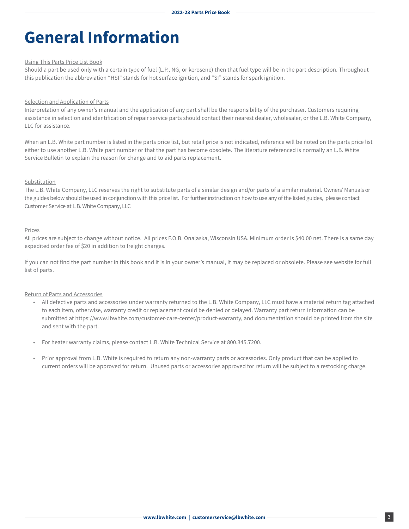## **General Information**

#### Using This Parts Price List Book

Should a part be used only with a certain type of fuel (L.P., NG, or kerosene) then that fuel type will be in the part description. Throughout this publication the abbreviation "HSI" stands for hot surface ignition, and "SI" stands for spark ignition.

#### Selection and Application of Parts

Interpretation of any owner's manual and the application of any part shall be the responsibility of the purchaser. Customers requiring assistance in selection and identification of repair service parts should contact their nearest dealer, wholesaler, or the L.B. White Company, LLC for assistance.

When an L.B. White part number is listed in the parts price list, but retail price is not indicated, reference will be noted on the parts price list either to use another L.B. White part number or that the part has become obsolete. The literature referenced is normally an L.B. White Service Bulletin to explain the reason for change and to aid parts replacement.

#### Substitution

The L.B. White Company, LLC reserves the right to substitute parts of a similar design and/or parts of a similar material. Owners' Manuals or the guides below should be used in conjunction with this price list. For further instruction on how to use any of the listed guides, please contact Customer Service at L.B. White Company, LLC

#### Prices

All prices are subject to change without notice. All prices F.O.B. Onalaska, Wisconsin USA. Minimum order is \$40.00 net. There is a same day expedited order fee of \$20 in addition to freight charges.

If you can not find the part number in this book and it is in your owner's manual, it may be replaced or obsolete. Please see website for full list of parts.

#### Return of Parts and Accessories

- All defective parts and accessories under warranty returned to the L.B. White Company, LLC must have a material return tag attached to each item, otherwise, warranty credit or replacement could be denied or delayed. Warranty part return information can be submitted at https://www.lbwhite.com/customer-care-center/product-warranty, and documentation should be printed from the site and sent with the part.
- For heater warranty claims, please contact L.B. White Technical Service at 800.345.7200.
- Prior approval from L.B. White is required to return any non-warranty parts or accessories. Only product that can be applied to current orders will be approved for return. Unused parts or accessories approved for return will be subject to a restocking charge.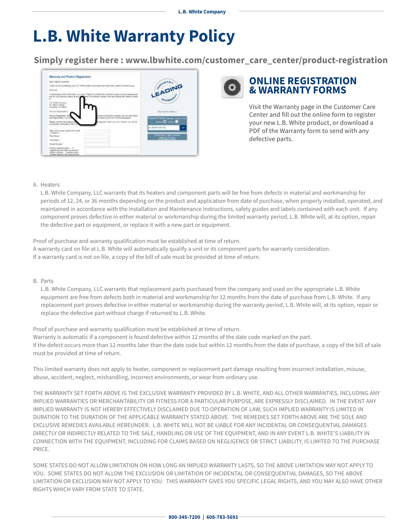## **L.B. White Warranty Policy**

**Simply register here : www.lbwhite.com/customer\_care\_center/product-registration**





Visit the Warranty page in the Customer Care Center and fill out the online form to register your new L.B. White product, or download a PDF of the Warranty form to send with any defective parts.

#### A. Heaters

L.B. White Company, LLC warrants that its heaters and component parts will be free from defects in material and workmanship for periods of 12, 24, or 36 months depending on the product and application from date of purchase, when properly installed, operated, and maintained in accordance with the Installation and Maintenance Instructions, safety guides and labels contained with each unit. If any component proves defective in either material or workmanship during the limited warranty period, L.B. White will, at its option, repair the defective part or equipment, or replace it with a new part or equipment.

Proof of purchase and warranty qualification must be established at time of return.

A warranty card on file at L.B. White will automatically qualify a unit or its component parts for warranty consideration. If a warranty card is not on file, a copy of the bill of sale must be provided at time of return.

B. Parts

L.B. White Company, LLC warrants that replacement parts purchased from the company and used on the appropriate L.B. White equipment are free from defects both in material and workmanship for 12 months from the date of purchase from L.B. White. If any replacement part proves defective in either material or workmanship during the warranty period, L.B. White will, at its option, repair or replace the defective part without charge if returned to L.B. White.

Proof of purchase and warranty qualification must be established at time of return. Warranty is automatic if a component is found defective within 12 months of the date code marked on the part. If the defect occurs more than 12 months later than the date code but within 12 months from the date of purchase, a copy of the bill of sale must be provided at time of return.

This limited warranty does not apply to heater, component or replacement part damage resulting from incorrect installation, misuse, abuse, accident, neglect, mishandling, incorrect environments, or wear from ordinary use.

THE WARRANTY SET FORTH ABOVE IS THE EXCLUSIVE WARRANTY PROVIDED BY L.B. WHITE, AND ALL OTHER WARRANTIES, INCLUDING ANY IMPLIED WARRANTIES OR MERCHANTABILITY OR FITNESS FOR A PARTICULAR PURPOSE, ARE EXPRESSLY DISCLAIMED. IN THE EVENT ANY IMPLIED WARRANTY IS NOT HEREBY EFFECTIVELY DISCLAIMED DUE TO OPERATION OF LAW, SUCH IMPLIED WARRANTY IS LIMITED IN DURATION TO THE DURATION OF THE APPLICABLE WARRANTY STATED ABOVE. THE REMEDIES SET FORTH ABOVE ARE THE SOLE AND EXCLUSIVE REMEDIES AVAILABLE HEREUNDER. L.B. WHITE WILL NOT BE LIABLE FOR ANY INCIDENTAL OR CONSEQUENTIAL DAMAGES DIRECTLY OR INDIRECTLY RELATED TO THE SALE, HANDLING OR USE OF THE EQUIPMENT, AND IN ANY EVENT L.B. WHITE'S LIABILITY IN CONNECTION WITH THE EQUIPMENT, INCLUDING FOR CLAIMS BASED ON NEGLIGENCE OR STRICT LIABILITY, IS LIMITED TO THE PURCHASE PRICE.

SOME STATES DO NOT ALLOW LIMITATION ON HOW LONG AN IMPLIED WARRANTY LASTS, SO THE ABOVE LIMITATION MAY NOT APPLY TO YOU. SOME STATES DO NOT ALLOW THE EXCLUSION OR LIMITATION OF INCIDENTAL OR CONSEQUENTIAL DAMAGES, SO THE ABOVE LIMITATION OR EXCLUSION MAY NOT APPLY TO YOU. THIS WARRANTY GIVES YOU SPECIFIC LEGAL RIGHTS, AND YOU MAY ALSO HAVE OTHER RIGHTS WHICH VARY FROM STATE TO STATE.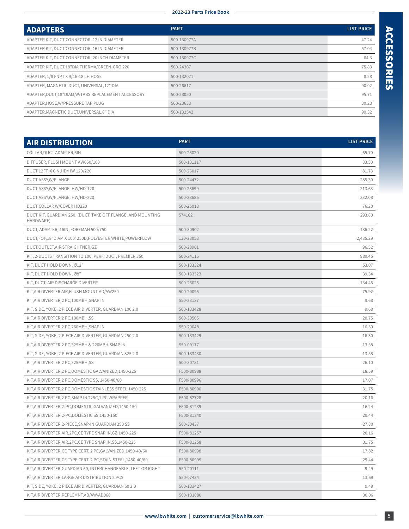#### **2022-23 Parts Price Book**

| <b>ADAPTERS</b>                                       | <b>PART</b> | <b>LIST PRICE</b> |
|-------------------------------------------------------|-------------|-------------------|
| ADAPTER KIT, DUCT CONNECTOR, 12 IN DIAMETER           | 500-130977A | 47.24             |
| ADAPTER KIT, DUCT CONNECTOR, 16 IN DIAMETER           | 500-130977B | 57.04             |
| ADAPTER KIT, DUCT CONNECTOR, 20 INCH DIAMETER         | 500-130977C | 64.3              |
| ADAPTER KIT, DUCT,18"DIA THERMA/GREEN-GRO 220         | 500-24367   | 75.83             |
| ADAPTER, 1/8 FNPT X 9/16-18 LH HOSE                   | 500-132071  | 8.28              |
| ADAPTER, MAGNETIC DUCT, UNIVERSAL, 12" DIA            | 500-26617   | 90.02             |
| ADAPTER, DUCT, 18" DIAM, W/TABS REPLACEMENT ACCESSORY | 500-23050   | 95.71             |
| ADAPTER, HOSE, W/PRESSURE TAP PLUG                    | 500-23633   | 30.23             |
| ADAPTER, MAGNETIC DUCT, UNIVERSAL, 8" DIA             | 500-132542  | 90.32             |

| <b>AIR DISTRIBUTION</b>                                                   | <b>PART</b> | <b>LIST PRICE</b> |
|---------------------------------------------------------------------------|-------------|-------------------|
| COLLAR, DUCT ADAPTER, 6IN                                                 | 500-26020   | 65.70             |
| DIFFUSER, FLUSH MOUNT AW060/100                                           | 500-131117  | 83.50             |
| DUCT 12FT. X 6IN, HD/HW 120/220                                           | 500-26017   | 81.73             |
| DUCT ASSY, W/FLANGE                                                       | 500-24472   | 285.30            |
| DUCT ASSY, W/FLANGE, HW/HD-120                                            | 500-23699   | 213.63            |
| DUCT ASSY, W/FLANGE, HW/HD-220                                            | 500-23685   | 232.08            |
| DUCT COLLAR W/COVER HD220                                                 | 500-26018   | 76.20             |
| DUCT KIT, GUARDIAN 250, (DUCT, TAKE OFF FLANGE, AND MOUNTING<br>HARDWARE) | 574102      | 293.80            |
| DUCT, ADAPTER, 16IN, FOREMAN 500/750                                      | 500-30902   | 186.22            |
| DUCT, FOF, 18" DIAM X 100' 250D, POLYESTER, WHITE, POWERFLOW              | 130-23053   | 2,485.29          |
| DUCT, OUTLET, AIR STRAIGHTNER, GZ                                         | 500-28901   | 96.52             |
| KIT, 2-DUCTS TRANSITION TO 100' PERF. DUCT, PREMIER 350                   | 500-24115   | 989.45            |
| KIT, DUCT HOLD DOWN, Ø12"                                                 | 500-133324  | 53.07             |
| KIT, DUCT HOLD DOWN, Ø8"                                                  | 500-133323  | 39.34             |
| KIT, DUCT, AIR DISCHARGE DIVERTER                                         | 500-26025   | 134.45            |
| KIT, AIR DIVERTER AIR, FLUSH MOUNT AD/AW250                               | 500-20095   | 75.92             |
| KIT, AIR DIVERTER, 2 PC, 100MBH, SNAP IN                                  | 550-23127   | 9.68              |
| KIT, SIDE, YOKE, 2 PIECE AIR DIVERTER, GUARDIAN 100 2.0                   | 500-133428  | 9.68              |
| KIT, AIR DIVERTER, 2 PC, 100MBH, SS                                       | 500-30505   | 20.75             |
| KIT, AIR DIVERTER, 2 PC, 250MBH, SNAP IN                                  | 550-20048   | 16.30             |
| KIT, SIDE, YOKE, 2 PIECE AIR DIVERTER, GUARDIAN 250 2.0                   | 500-133429  | 16.30             |
| KIT, AIR DIVERTER, 2 PC, 325MBH & 220MBH, SNAP IN                         | 550-09177   | 13.58             |
| KIT, SIDE, YOKE, 2 PIECE AIR DIVERTER, GUARDIAN 325 2.0                   | 500-133430  | 13.58             |
| KIT, AIR DIVERTER, 2 PC, 325MBH, SS                                       | 500-30781   | 26.10             |
| KIT, AIR DIVERTER, 2 PC, DOMESTIC GALVANIZED, 1450-225                    | F500-80988  | 18.59             |
| KIT, AIR DIVERTER, 2 PC, DOMESTIC SS, 1450-40/60                          | F500-80996  | 17.07             |
| KIT, AIR DIVERTER, 2 PC, DOMESTIC STAINLESS STEEL, 1450-225               | F500-80990  | 31.75             |
| KIT, AIR DIVERTER, 2 PC, SNAP IN 225C, 1 PC WRAPPER                       | F500-82728  | 20.16             |
| KIT, AIR DIVERTER, 2-PC, DOMESTIC GALVANIZED, 1450-150                    | F500-81239  | 16.24             |
| KIT, AIR DIVERTER, 2-PC, DOMESTIC SS, 1450-150                            | F500-81240  | 29.44             |
| KIT, AIR DIVERTER, 2-PIECE, SNAP-IN GUARDIAN 250 SS                       | 500-30437   | 27.80             |
| KIT, AIR DIVERTER, AIR, 2PC, CE TYPE SNAP IN, GZ, 1450-225                | F500-81257  | 20.16             |
| KIT, AIR DIVERTER, AIR, 2PC, CE TYPE SNAP IN, SS, 1450-225                | F500-81258  | 31.75             |
| KIT, AIR DIVERTER, CE TYPE CERT. 2 PC, GALVANIZED, 1450-40/60             | F500-80998  | 17.82             |
| KIT, AIR DIVERTER, CE TYPE CERT. 2 PC, STAIN. STEEL, 1450-40/60           | F500-80999  | 29.44             |
| KIT, AIR DIVERTER, GUARDIAN 60, INTERCHANGEABLE, LEFT OR RIGHT            | 550-20111   | 9.49              |
| KIT, AIR DIVERTER, LARGE AIR DISTRIBUTION 2 PCS                           | 550-07434   | 13.69             |
| KIT, SIDE, YOKE, 2 PIECE AIR DIVERTER, GUARDIAN 60 2.0                    | 500-133427  | 9.49              |
| KIT, AIR DIVERTER, REPLCMNT, AB/AW/AD060                                  | 500-131080  | 30.06             |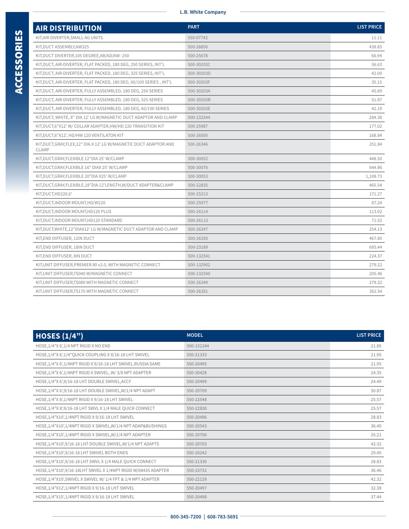| KIT, AIR DIVERTER, SMALL AG UNITS<br>550-07742<br>11.11<br>438.85<br>KIT, DUCT ASSEMBLY, AW325<br>500-26850<br>KIT, DUCT DIVERTER, 105 DEGREE, AB/AD/AW-250<br>66.94<br>500-25678<br>KIT, DUCT, AIR-DIVERTER, FLAT PACKED, 180 DEG, 250 SERIES, INT'L<br>500-30203C<br>36.63<br>KIT, DUCT, AIR-DIVERTER, FLAT PACKED, 180 DEG, 325 SERIES, INT'L<br>500-30203D<br>42.00<br>KIT, DUCT, AIR-DIVERTER, FLAT PACKED, 180 DEG, 60/100 SERIES, INT'L<br>500-30203F<br>35.15<br>KIT, DUCT, AIR-DIVERTER, FULLY ASSEMBLED, 180 DEG, 250 SERIES<br>500-30203A<br>45.69<br>KIT, DUCT, AIR-DIVERTER, FULLY ASSEMBLED, 180 DEG, 325 SERIES<br>500-30203B<br>51.87<br>KIT, DUCT, AIR-DIVERTER, FULLY ASSEMBLED, 180 DEG, 60/100 SERIES<br>42.19<br>500-30203E<br>KIT, DUCT, WHITE, 8" DIA 12' LG W/MAGNETIC DUCT ADAPTOR AND CLAMP<br>284.38<br>500-132544<br>KIT, DUCT, 6"X12' W/ COLLAR ADAPTER, HW/HD 220 TRANSITION KIT<br>500-25987<br>177.02<br>KIT, DUCT, 6"X12', HD/HW 120 VENTILATON KIT<br>168.84<br>500-26005<br>KIT, DUCT, GRAY, FLEX, 12" DIA.X 12' LG W/MAGNETIC DUCT ADAPTOR AND<br>251.84<br>500-26346<br>CLAMP<br>448.50<br>KIT, DUCT, GRAY, FLEXIBLE 12" DIA 25' W/CLAMP<br>500-30052<br>KIT, DUCT, GRAY, FLEXIBLE 16" DIAX 25' W/CLAMP<br>644.86<br>500-30076<br>KIT, DUCT, GRAY, FLEXIBLE 20" DIA X25' W/CLAMP<br>500-30053<br>1,108.73<br>KIT, DUCT, GRAY, FLEXIBLE, 18" DIA 12'LENGTH, W/DUCT ADAPTER&CLAMP<br>465.54<br>500-22835<br>KIT, DUCT, HD220, 6'<br>500-25213<br>171.27<br>KIT, DUCT, INDOOR MOUNT, HD/W220<br>87.24<br>500-25977<br>KIT, DUCT, INDOOR MOUNT, HD120 PLUS<br>113.02<br>500-26114 |
|--------------------------------------------------------------------------------------------------------------------------------------------------------------------------------------------------------------------------------------------------------------------------------------------------------------------------------------------------------------------------------------------------------------------------------------------------------------------------------------------------------------------------------------------------------------------------------------------------------------------------------------------------------------------------------------------------------------------------------------------------------------------------------------------------------------------------------------------------------------------------------------------------------------------------------------------------------------------------------------------------------------------------------------------------------------------------------------------------------------------------------------------------------------------------------------------------------------------------------------------------------------------------------------------------------------------------------------------------------------------------------------------------------------------------------------------------------------------------------------------------------------------------------------------------------------------------------------------------------------------|
|                                                                                                                                                                                                                                                                                                                                                                                                                                                                                                                                                                                                                                                                                                                                                                                                                                                                                                                                                                                                                                                                                                                                                                                                                                                                                                                                                                                                                                                                                                                                                                                                                    |
|                                                                                                                                                                                                                                                                                                                                                                                                                                                                                                                                                                                                                                                                                                                                                                                                                                                                                                                                                                                                                                                                                                                                                                                                                                                                                                                                                                                                                                                                                                                                                                                                                    |
|                                                                                                                                                                                                                                                                                                                                                                                                                                                                                                                                                                                                                                                                                                                                                                                                                                                                                                                                                                                                                                                                                                                                                                                                                                                                                                                                                                                                                                                                                                                                                                                                                    |
|                                                                                                                                                                                                                                                                                                                                                                                                                                                                                                                                                                                                                                                                                                                                                                                                                                                                                                                                                                                                                                                                                                                                                                                                                                                                                                                                                                                                                                                                                                                                                                                                                    |
|                                                                                                                                                                                                                                                                                                                                                                                                                                                                                                                                                                                                                                                                                                                                                                                                                                                                                                                                                                                                                                                                                                                                                                                                                                                                                                                                                                                                                                                                                                                                                                                                                    |
|                                                                                                                                                                                                                                                                                                                                                                                                                                                                                                                                                                                                                                                                                                                                                                                                                                                                                                                                                                                                                                                                                                                                                                                                                                                                                                                                                                                                                                                                                                                                                                                                                    |
|                                                                                                                                                                                                                                                                                                                                                                                                                                                                                                                                                                                                                                                                                                                                                                                                                                                                                                                                                                                                                                                                                                                                                                                                                                                                                                                                                                                                                                                                                                                                                                                                                    |
|                                                                                                                                                                                                                                                                                                                                                                                                                                                                                                                                                                                                                                                                                                                                                                                                                                                                                                                                                                                                                                                                                                                                                                                                                                                                                                                                                                                                                                                                                                                                                                                                                    |
|                                                                                                                                                                                                                                                                                                                                                                                                                                                                                                                                                                                                                                                                                                                                                                                                                                                                                                                                                                                                                                                                                                                                                                                                                                                                                                                                                                                                                                                                                                                                                                                                                    |
|                                                                                                                                                                                                                                                                                                                                                                                                                                                                                                                                                                                                                                                                                                                                                                                                                                                                                                                                                                                                                                                                                                                                                                                                                                                                                                                                                                                                                                                                                                                                                                                                                    |
|                                                                                                                                                                                                                                                                                                                                                                                                                                                                                                                                                                                                                                                                                                                                                                                                                                                                                                                                                                                                                                                                                                                                                                                                                                                                                                                                                                                                                                                                                                                                                                                                                    |
|                                                                                                                                                                                                                                                                                                                                                                                                                                                                                                                                                                                                                                                                                                                                                                                                                                                                                                                                                                                                                                                                                                                                                                                                                                                                                                                                                                                                                                                                                                                                                                                                                    |
|                                                                                                                                                                                                                                                                                                                                                                                                                                                                                                                                                                                                                                                                                                                                                                                                                                                                                                                                                                                                                                                                                                                                                                                                                                                                                                                                                                                                                                                                                                                                                                                                                    |
|                                                                                                                                                                                                                                                                                                                                                                                                                                                                                                                                                                                                                                                                                                                                                                                                                                                                                                                                                                                                                                                                                                                                                                                                                                                                                                                                                                                                                                                                                                                                                                                                                    |
|                                                                                                                                                                                                                                                                                                                                                                                                                                                                                                                                                                                                                                                                                                                                                                                                                                                                                                                                                                                                                                                                                                                                                                                                                                                                                                                                                                                                                                                                                                                                                                                                                    |
|                                                                                                                                                                                                                                                                                                                                                                                                                                                                                                                                                                                                                                                                                                                                                                                                                                                                                                                                                                                                                                                                                                                                                                                                                                                                                                                                                                                                                                                                                                                                                                                                                    |
|                                                                                                                                                                                                                                                                                                                                                                                                                                                                                                                                                                                                                                                                                                                                                                                                                                                                                                                                                                                                                                                                                                                                                                                                                                                                                                                                                                                                                                                                                                                                                                                                                    |
|                                                                                                                                                                                                                                                                                                                                                                                                                                                                                                                                                                                                                                                                                                                                                                                                                                                                                                                                                                                                                                                                                                                                                                                                                                                                                                                                                                                                                                                                                                                                                                                                                    |
|                                                                                                                                                                                                                                                                                                                                                                                                                                                                                                                                                                                                                                                                                                                                                                                                                                                                                                                                                                                                                                                                                                                                                                                                                                                                                                                                                                                                                                                                                                                                                                                                                    |
|                                                                                                                                                                                                                                                                                                                                                                                                                                                                                                                                                                                                                                                                                                                                                                                                                                                                                                                                                                                                                                                                                                                                                                                                                                                                                                                                                                                                                                                                                                                                                                                                                    |
| KIT, DUCT, INDOOR MOUNT, HD120 STANDARD<br>71.52<br>500-26113                                                                                                                                                                                                                                                                                                                                                                                                                                                                                                                                                                                                                                                                                                                                                                                                                                                                                                                                                                                                                                                                                                                                                                                                                                                                                                                                                                                                                                                                                                                                                      |
| 254.13<br>KIT, DUCT, WHITE, 12" DIAX12' LG W/MAGNETIC DUCT ADAPTOR AND CLAMP<br>500-26347                                                                                                                                                                                                                                                                                                                                                                                                                                                                                                                                                                                                                                                                                                                                                                                                                                                                                                                                                                                                                                                                                                                                                                                                                                                                                                                                                                                                                                                                                                                          |
| KIT, END DIFFUSER, 12IN DUCT<br>467.80<br>500-26350                                                                                                                                                                                                                                                                                                                                                                                                                                                                                                                                                                                                                                                                                                                                                                                                                                                                                                                                                                                                                                                                                                                                                                                                                                                                                                                                                                                                                                                                                                                                                                |
| KIT, END DIFFUSER, 18IN DUCT<br>695.44<br>500-23189                                                                                                                                                                                                                                                                                                                                                                                                                                                                                                                                                                                                                                                                                                                                                                                                                                                                                                                                                                                                                                                                                                                                                                                                                                                                                                                                                                                                                                                                                                                                                                |
| KIT, END DIFFUSER, 8IN DUCT<br>224.37<br>500-132541                                                                                                                                                                                                                                                                                                                                                                                                                                                                                                                                                                                                                                                                                                                                                                                                                                                                                                                                                                                                                                                                                                                                                                                                                                                                                                                                                                                                                                                                                                                                                                |
| KIT, UNIT DIFFUSER, PREMIER 80 v2.0, WITH MAGNETIC CONNECT<br>279.22<br>500-132902                                                                                                                                                                                                                                                                                                                                                                                                                                                                                                                                                                                                                                                                                                                                                                                                                                                                                                                                                                                                                                                                                                                                                                                                                                                                                                                                                                                                                                                                                                                                 |
| 205.46<br>KIT, UNIT DIFFUSER, TS040 W/MAGNETIC CONNECT<br>500-132540                                                                                                                                                                                                                                                                                                                                                                                                                                                                                                                                                                                                                                                                                                                                                                                                                                                                                                                                                                                                                                                                                                                                                                                                                                                                                                                                                                                                                                                                                                                                               |
| KIT, UNIT DIFFUSER, TS080 WITH MAGNETIC CONNECT<br>279.22<br>500-26349                                                                                                                                                                                                                                                                                                                                                                                                                                                                                                                                                                                                                                                                                                                                                                                                                                                                                                                                                                                                                                                                                                                                                                                                                                                                                                                                                                                                                                                                                                                                             |
| 362.54<br>KIT, UNIT DIFFUSER, TS170 WITH MAGNETIC CONNECT<br>500-26351                                                                                                                                                                                                                                                                                                                                                                                                                                                                                                                                                                                                                                                                                                                                                                                                                                                                                                                                                                                                                                                                                                                                                                                                                                                                                                                                                                                                                                                                                                                                             |

| HOSES $(1/4")$                                                  | <b>MODEL</b> | <b>LIST PRICE</b> |
|-----------------------------------------------------------------|--------------|-------------------|
| HOSE, 1/4"X 6', 1/4 NPT RIGID X NO END                          | 500-131244   | 21.89             |
| HOSE, 1/4"X 6', 1/4" QUICK COUPLING X 9/16-18 LHT SWIVEL        | 550-21333    | 21.95             |
| HOSE, 1/4"X 6', 1/4NPT RIGID X 9/16-18 LHT SWIVEL, RUSSIA: SAME | 550-20495    | 21.95             |
| HOSE, 1/4"X 6', 1/4NPT RIGID X SWIVEL, W/3/8 NPT ADAPTER        | 550-30428    | 24.35             |
| HOSE,1/4"X 6',9/16-18 LHT DOUBLE SWIVEL, ACCF                   | 550-20499    | 24.49             |
| HOSE, 1/4"X 6', 9/16-18 LHT DOUBLE SWIVEL, W/1/4 NPT ADAPT      | 550-20709    | 30.87             |
| HOSE, 1/4"X 8', 1/4NPT RIGID X 9/16-18 LHT SWIVEL               | 550-22548    | 25.57             |
| HOSE, 1/4"X 8', 9/16-18 LHT SWVL X 1/4 MALE QUICK CONNECT       | 550-22830    | 25.57             |
| HOSE, 1/4"X10', 1/4NPT RIGID X 9/16-18 LHT SWIVEL               | 550-20496    | 28.83             |
| HOSE, 1/4"X10', 1/4NPT RIGID X SWIVEL, W/1/4 NPT ADAP&BUSHINGS  | 550-20543    | 36.40             |
| HOSE, 1/4"X10', 1/4NPT RIGID X SWIVEL, W/1/4 NPT ADAPTER        | 550-20706    | 35.21             |
| HOSE,1/4"X10',9/16-18 LHT DOUBLE SWIVEL, W/1/4 NPT ADAPTS       | 550-20703    | 42.32             |
| HOSE, 1/4"X10', 9/16-18 LHT SWIVEL BOTH ENDS                    | 550-20242    | 29.45             |
| HOSE, 1/4"X10', 9/16-18 LHT SWVL X 1/4 MALE QUICK CONNECT       | 550-21330    | 28.83             |
| HOSE, 1/4"X10', 9/16-18LHT SWVEL X 1/4NPT RIGID W/08435 ADAPTER | 550-23731    | 36.46             |
| HOSE, 1/4"X10', SWIVEL X SWIVEL W/ 1/4 FPT & 1/4 MPT ADAPTER    | 550-22129    | 42.32             |
| HOSE, 1/4"X12', 1/4NPT RIGID X 9/16-18 LHT SWIVEL               | 550-20497    | 32.38             |
| HOSE, 1/4"X15', 1/4NPT RIGID X 9/16-18 LHT SWIVEL               | 550-20498    | 37.44             |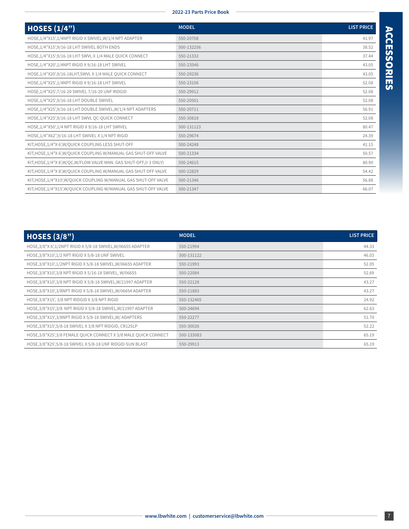| <b>HOSES (1/4")</b>                                              | <b>MODEL</b> | <b>LIST PRICE</b> |
|------------------------------------------------------------------|--------------|-------------------|
| HOSE,1/4"X15',1/4NPT RIGID X SWIVEL,W/1/4 NPT ADAPTER            | 550-20708    | 41.97             |
| HOSE,1/4"X15',9/16-18 LHT SWIVEL BOTH ENDS                       | 500-132256   | 38.52             |
| HOSE,1/4"X15',9/16-18 LHT SWVL X 1/4 MALE QUICK CONNECT          | 550-21332    | 37.44             |
| HOSE,1/4"X20',1/4NPT RIGID X 9/16-18 LHT SWIVEL                  | 550-23546    | 43.05             |
| HOSE,1/4"X20',9/16-18LHT,SWVL X 1/4 MALE QUICK CONNECT           | 550-29236    | 43.05             |
| HOSE,1/4"X25',1/4NPT RIGID X 9/16-18 LHT SWIVEL                  | 550-23106    | 52.08             |
| HOSE,1/4"X25',7/16-20 SWIVEL 7/16-20 UNF RIDGID                  | 550-29912    | 52.08             |
| HOSE,1/4"X25',9/16-18 LHT DOUBLE SWIVEL                          | 550-20501    | 52.08             |
| HOSE,1/4"X25',9/16-18 LHT DOUBLE SWIVEL,W/1/4 NPT ADAPTERS       | 550-20711    | 56.91             |
| HOSE,1/4"X25',9/16-18 LHT SWVL OC-OUICK CONNECT                  | 550-30818    | 52.08             |
| HOSE,1/4"X50',1/4 NPT RIGID X 9/16-18 LHT SWIVEL                 | 500-131123   | 80.47             |
| HOSE.1/4"X62".9/16-18 LHT SWIVEL X 1/4 NPT RIGID                 | 550-29674    | 24.39             |
| KIT,HOSE,1/4"X 6',W/QUICK COUPLING LESS SHUT-OFF                 | 500-24248    | 41.15             |
| KIT,HOSE,1/4"X 6',W/QUICK COUPLING W/MANUAL GAS SHUT-OFF VALVE   | 500-21334    | 50.57             |
| KIT,HOSE,1/4"X 8',W/QC,W/FLOW VALVE MAN. GAS SHUT-OFF,(I-3 ONLY) | 500-24615    | 80.90             |
| KIT,HOSE,1/4"X 8',W/QUICK COUPLING W/MANUAL GAS SHUT OFF VALVE   | 500-22829    | 54.42             |
| KIT.HOSE.1/4"X10'.W/OUICK COUPLING W/MANUAL GAS SHUT-OFF VALVE   | 500-21346    | 56.88             |
| KIT.HOSE.1/4"X15'.W/OUICK COUPLING W/MANUAL GAS SHUT-OFF VALVE   | 500-21347    | 66.07             |

| <b>HOSES (3/8")</b>                                               | <b>MODEL</b> | <b>LIST PRICE</b> |
|-------------------------------------------------------------------|--------------|-------------------|
| HOSE, 3/8"X 6', 1/2NPT RIGID X 5/8-18 SWIVEL, W/06655 ADAPTER     | 550-21994    | 44.33             |
| HOSE, 3/8"X10', 1/2 NPT RIGID X 5/8-18 UNF SWIVEL                 | 500-131122   | 46.03             |
| HOSE, 3/8"X10', 1/2NPT RIGID X 5/8-18 SWIVEL, W/06655 ADAPTER     | 550-21993    | 52.05             |
| HOSE, 3/8"X10', 3/8 NPT RIGID X 5/16-18 SWIVEL, W/06655           | 500-22084    | 52.69             |
| HOSE, 3/8"X10', 3/8 NPT RIGID X 5/8-18 SWIVEL, W/21997 ADAPTER    | 550-22128    | 43.27             |
| HOSE, 3/8"X10', 3/8NPT RIGID X 5/8-18 SWIVEL, W/06654 ADAPTER     | 550-21883    | 43.27             |
| HOSE, 3/8"X15', 3/8 NPT RIDGID X 3/8 NPT RIGID                    | 550-132465   | 24.92             |
| HOSE, 3/8"X15', 3/8 NPT RIGID X 5/8-18 SWIVEL, W/21997 ADAPTER    | 500-24694    | 62.63             |
| HOSE, 3/8"X15', 3/8NPT RIGID X 5/8-18 SWIVEL, W/ ADAPTERS         | 550-22277    | 51.70             |
| HOSE, 3/8"X15', 5/8-18 SWIVEL X 3/8 NPT RIDGID, CR125LP           | 550-30026    | 52.22             |
| HOSE, 3/8"X25', 3/8 FEMALE QUICK CONNECT X 3/8 MALE QUICK CONNECT | 500-133083   | 65.19             |
| HOSE, 3/8"X25', 5/8-18 SWIVEL X 5/8-18 UNF RIDGID-SUN BLAST       | 550-29913    | 65.19             |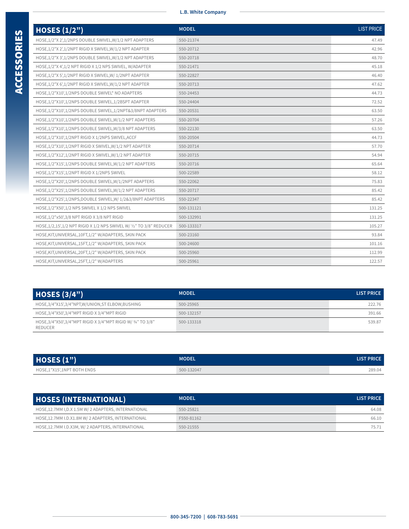| <b>HOSES (1/2")</b>                                                    | <b>MODEL</b> | <b>LIST PRICE</b> |
|------------------------------------------------------------------------|--------------|-------------------|
| HOSE,1/2"X 2',1/2NPS DOUBLE SWIVEL, W/1/2 NPT ADAPTERS                 | 550-21374    | 47.49             |
| HOSE, 1/2"X 2', 1/2NPT RIGID X SWIVEL, W/1/2 NPT ADAPTER               | 550-20712    | 42.96             |
| HOSE.1/2"X 3'.1/2NPS DOUBLE SWIVEL.W/1/2 NPT ADAPTERS                  | 550-20718    | 48.70             |
| HOSE, 1/2"X 4', 1/2 NPT RIGID X 1/2 NPS SWIVEL, W/ADAPTER              | 550-21471    | 45.18             |
| HOSE, 1/2"X 5', 1/2NPT RIGID X SWIVEL, W/ 1/2NPT ADAPTER               | 550-22827    | 46.40             |
| HOSE, 1/2"X 6', 1/2NPT RIGID X SWIVEL, W/1/2 NPT ADAPTER               | 550-20713    | 47.62             |
| HOSE, 1/2"X10', 1/2NPS DOUBLE SWIVEL* NO ADAPTERS                      | 550-24453    | 44.73             |
| HOSE,1/2"X10',1/2NPS DOUBLE SWIVEL,1/2BSPT ADAPTER                     | 550-24404    | 72.52             |
| HOSE,1/2"X10',1/2NPS DOUBLE SWIVEL,1/2NPT&3/8NPT ADAPTERS              | 550-20531    | 63.50             |
| HOSE,1/2"X10',1/2NPS DOUBLE SWIVEL, W/1/2 NPT ADAPTERS                 | 550-20704    | 57.26             |
| HOSE,1/2"X10',1/2NPS DOUBLE SWIVEL, W/3/8 NPT ADAPTERS                 | 550-22130    | 63.50             |
| HOSE,1/2"X10',1/2NPT RIGID X 1/2NPS SWIVEL, ACCF                       | 550-20504    | 44.73             |
| HOSE, 1/2"X10', 1/2NPT RIGID X SWIVEL, W/1/2 NPT ADAPTER               | 550-20714    | 57.70             |
| HOSE, 1/2"X12', 1/2NPT RIGID X SWIVEL, W/1/2 NPT ADAPTER               | 550-20715    | 54.94             |
| HOSE,1/2"X15',1/2NPS DOUBLE SWIVEL, W/1/2 NPT ADAPTERS                 | 550-20716    | 65.64             |
| HOSE, 1/2"X15', 1/2NPT RIGID X 1/2NPS SWIVEL                           | 500-22589    | 58.12             |
| HOSE,1/2"X20',1/2NPS DOUBLE SWIVEL, W/1/2NPT ADAPTERS                  | 550-22062    | 75.83             |
| HOSE,1/2"X25',1/2NPS DOUBLE SWIVEL, W/1/2 NPT ADAPTERS                 | 550-20717    | 85.42             |
| HOSE,1/2"X25',1/2NPS,DOUBLE SWIVEL,W/1/2&3/8NPT ADAPTERS               | 550-22347    | 85.42             |
| HOSE,1/2"X50',1/2 NPS SWIVEL X 1/2 NPS SWIVEL                          | 500-131121   | 131.25            |
| HOSE, 1/2"x50', 3/8 NPT RIGID X 3/8 NPT RIGID                          | 500-132991   | 131.25            |
| HOSE, 1/2, 15', 1/2 NPT RIGID X 1/2 NPS SWIVEL W/ 1/2" TO 3/8" REDUCER | 500-133317   | 105.27            |
| HOSE, KIT, UNIVERSAL, 10FT, 1/2" W/ADAPTERS, SKIN PACK                 | 500-23160    | 93.84             |
| HOSE, KIT, UNIVERSAL, 15FT, 1/2" W/ADAPTERS, SKIN PACK                 | 500-24600    | 101.16            |
| HOSE, KIT, UNIVERSAL, 20FT, 1/2" W/ADAPTERS, SKIN PACK                 | 500-25960    | 112.99            |
| HOSE, KIT, UNIVERSAL, 25FT, 1/2" W/ADAPTERS                            | 500-25961    | 122.57            |

| <b>HOSES (3/4")</b>                                                        | <b>MODEL</b> | <b>LIST PRICE</b> |
|----------------------------------------------------------------------------|--------------|-------------------|
| HOSE,3/4"X15',3/4"NPT,W/UNION,ST ELBOW,BUSHING                             | 500-25965    | 222.76            |
| HOSE, 3/4"X50', 3/4" MPT RIGID X 3/4" MPT RIGID                            | 500-132157   | 391.66            |
| HOSE, 3/4"X50', 3/4" MPT RIGID X 3/4" MPT RIGID W/ 3/4" TO 3/8"<br>REDUCER | 500-133318   | 539.87            |

| HOSES (1")                 | <b>MODEL</b> | <b>LIST PRICE</b> |
|----------------------------|--------------|-------------------|
| HOSE,1"X15',1NPT BOTH ENDS | 500-132047   | 289.04            |

| <b>HOSES (INTERNATIONAL)</b>                          | <b>MODEL</b> | <b>LIST PRICE</b> |
|-------------------------------------------------------|--------------|-------------------|
| HOSE, 12.7MM I, D.X 1.5M W/ 2 ADAPTERS, INTERNATIONAL | 550-25821    | 64.08             |
| HOSE, 12.7MM I.D.X1.8M W/2 ADAPTERS, INTERNATIONAL    | F550-81162   | 66.10             |
| HOSE, 12.7MM I.D.X3M, W/2 ADAPTERS, INTERNATIONAL     | 550-21555    | 75.71             |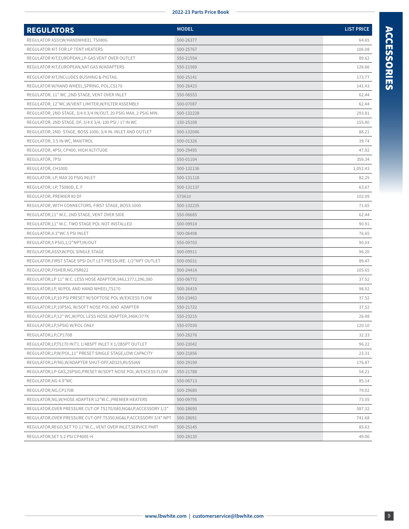| <b>REGULATORS</b>                                                 | <b>MODEL</b> | <b>LIST PRICE</b> |
|-------------------------------------------------------------------|--------------|-------------------|
| REGULATOR ASSY, W/HANDWHEEL TS080G                                | 500-26377    | 64.65             |
| REGULATOR KIT FOR LP TENT HEATERS                                 | 500-25767    | 106.08            |
| REGULATOR KIT, EUROPEAN, LP-GAS VENT OVER OUTLET                  | 550-21554    | 89.62             |
| REGULATOR KIT, EUROPEAN, NAT. GAS W/ADAPTERS                      | 550-21569    | 126.66            |
| REGULATOR KIT, INCLUDES BUSHING & PIGTAIL                         | 500-25141    | 173.77            |
| REGULATOR W/HAND WHEEL, SPRING, POL, CS170                        | 500-26423    | 141.43            |
| REGULATOR, 11" WC, 2ND STAGE, VENT OVER INLET                     | 550-06553    | 62.44             |
| REGULATOR, 12"WC,W/VENT LIMITER, W/FILTER ASSEMBLY                | 500-07087    | 62.44             |
| REGULATOR, 2ND STAGE, 3/4 X 3/4 IN/OUT, 20 PSIG MAX, 2 PSIG MIN.  | 500-132228   | 293.81            |
| REGULATOR, 2ND STAGE, DF, 3/4 X 3/4, 100 PSI / 17 IN WC           | 130-25108    | 155.80            |
| REGULATOR, 2ND. STAGE, BOSS 1000, 3/4 IN. INLET AND OUTLET        | 500-132046   | 88.21             |
| REGULATOR, 3.5 IN WC, MAXITROL                                    | 500-01326    | 39.74             |
| REGULATOR, 4PSI, CP400, HIGH ALTITUDE                             | 500-29495    | 47.92             |
| REGULATOR, 7PSI                                                   | 550-01104    | 359.34            |
| REGULATOR, CH1000                                                 | 500-132136   | 1,052.43          |
| REGULATOR, LP, MAX 20 PSIG INLET                                  | 500-131118   | 82.25             |
| REGULATOR, LP, TS080D, E, F                                       | 500-131137   | 63.67             |
| REGULATOR, PREMIER 80 DF                                          | 573610       | 102.09            |
| REGULATOR, WITH CONNECTORS, FIRST STAGE, BOSS 1000                | 500-132235   | 71.65             |
| REGULATOR, 11" W.C. 2ND STAGE, VENT OVER SIDE                     | 550-06665    | 62.44             |
| REGULATOR, 11" W.C. TWO STAGE POL NOT INSTALLED                   | 500-09914    | 90.91             |
| REGULATOR, 4.3"WC 5 PSI INLET                                     | 500-06408    | 76.65             |
| REGULATOR,5 PSIG,1/2"NPT,IN/OUT                                   | 550-09703    | 90.03             |
| REGULATOR, ASSY, W/POL SINGLE STAGE                               | 500-09911    | 96.20             |
| REGULATOR, FIRST STAGE 5PSI OUT LET PRESSURE. 1/2"NPT OUTLET      | 500-05031    | 89.47             |
| REGULATOR,FISHER,NG,FSR622                                        | 500-24414    | 105.65            |
| REGULATOR, LP 11" W.C. LESS HOSE ADAPTOR, 346J, 377J, 296, 380    | 550-06772    | 37.52             |
| REGULATOR, LP, W/POL AND HAND WHEEL, TS170                        | 500-26419    | 98.92             |
| REGULATOR, LP, 10 PSI PRESET W/SOFTOSE POL. W/EXCESS FLOW         | 550-23463    | 37.52             |
| REGULATOR, LP, 10PSIG, W/SOFT NOSE POL AND ADAPTER                | 550-21722    | 37.52             |
| REGULATOR, LP, 12" WC, W/POL LESS HOSE ADAPTER, 346K/377K         | 550-23215    | 26.48             |
| REGULATOR, LP, 5PSIG W/POL ONLY                                   | 550-07030    | 120.10            |
| REGULATOR, LP, CP170B                                             | 500-28276    | 32.33             |
| REGULATOR, LP, TS170 INT'L 1/4BSPT INLET X 1/2BSPT OUTLET         | 500-23042    | 96.22             |
| REGULATOR, LP, W/POL, 11" PRESET SINGLE STAGE, LOW CAPACITY       | 500-21856    | 23.31             |
| REGULATOR, LP/NG, W/ADAPTER SHUT-OFF, AD325, RUSSIAN              | 500-29199    | 176.87            |
| REGULATOR, LP-GAS, 25PSIG, PRESET W/SOFT NOSE POL, W/EXCESS FLOW  | 550-21788    | 54.21             |
| REGULATOR, NG 4.9"WC                                              | 550-06713    | 85.14             |
| REGULATOR, NG, CP170B                                             | 500-29680    | 79.02             |
| REGULATOR, NG, W/HOSE ADAPTER 12"W.C., PREMIER HEATERS            | 500-09795    | 73.55             |
| REGULATOR, OVER PRESSURE CUT-OF TS170/080, NG&LP, ACCESSORY 1/2"  | 500-28690    | 587.32            |
| REGULATOR, OVER PRESSURE CUT-OFF TS350, NG&LP, ACCESSORY 3/4" NPT | 500-28691    | 741.68            |
| REGULATOR, REGO, SET TO 11"W.C., VENT OVER INLET, SERVICE PART    | 500-25145    | 85.63             |
| REGULATOR, SET 5.2 PSI CP400E-H                                   | 500-28130    | 49.06             |
|                                                                   |              |                   |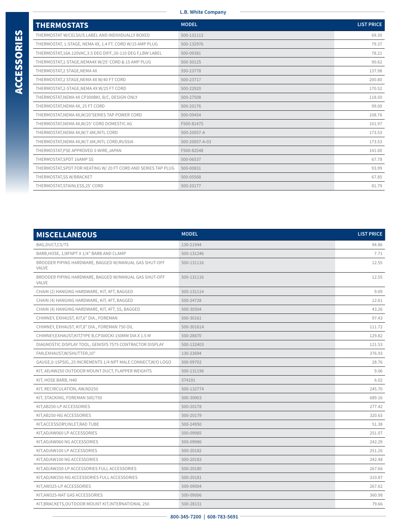| ı |  |
|---|--|
|   |  |

| <b>THERMOSTATS</b>                                            | <b>MODEL</b>   | <b>LIST PRICE</b> |
|---------------------------------------------------------------|----------------|-------------------|
| THERMOSTAT W/CELSIUS LABEL AND INDIVIDUALLY BOXED             | 500-131113     | 69.30             |
| THERMOSTAT, 1-STAGE, NEMA 4X, 1.4 FT. CORD W/15 AMP PLUG      | 500-132976     | 79.37             |
| THERMOSTAT.16A.120VAC.3.5 DEG DIFF30-110 DEG F.LBW LABEL      | 500-09381      | 78.21             |
| THERMOSTAT,1-STAGE,NEMA4X W/25' CORD & 15 AMP PLUG            | 500-30125      | 90.62             |
| THERMOSTAT, 2 STAGE, NEMA 4X                                  | 550-23778      | 137.98            |
| THERMOSTAT,2 STAGE, NEMA 4X W/40 FT CORD                      | 500-23717      | 200.80            |
| THERMOSTAT, 2-STAGE, NEMA 4X W/25 FT CORD                     | 500-22920      | 170.52            |
| THERMOSTAT, NEMA 4X CP300BKI, B/C, DESIGN ONLY                | 500-27508      | 118.50            |
| THERMOSTAT, NEMA 4X, 25 FT CORD                               | 500-20176      | 99.00             |
| THERMOSTAT, NEMA 4X, W/20'SERIES TAP POWER CORD               | 500-09454      | 108.76            |
| THERMOSTAT, NEMA 4X, W/25' CORD DOMESTIC AG                   | F500-81475     | 101.97            |
| THERMOSTAT, NEMA 4X, W/7.6M, INTL CORD                        | 500-20057-A    | 173.53            |
| THERMOSTAT, NEMA 4X, W/7.6M, INTL CORD, RUSSIA                | 500-20057-A-03 | 173.53            |
| THERMOSTAT, PSE APPROVED 3-WIRE, JAPAN                        | F500-82548     | 141.00            |
| THERMOSTAT, SPDT 16AMP SS                                     | 500-06537      | 67.78             |
| THERMOSTAT, SPDT FOR HEATING W/20 FT CORD AND SERIES TAP PLUG | 500-00831      | 93.99             |
| THERMOSTAT, SS W/BRACKET                                      | 500-05568      | 67.85             |
| THERMOSTAT, STAINLESS, 25' CORD                               | 500-20177      | 81.79             |

| <b>MISCELLANEOUS</b>                                           | <b>MODEL</b> | <b>LIST PRICE</b> |
|----------------------------------------------------------------|--------------|-------------------|
| BAG, DUCT, CS/TS                                               | 130-21944    | 94.86             |
| BARB, HOSE, 1/8FNPT X 1/4" BARB AND CLAMP                      | 500-131246   | 7.71              |
| BROODER PIPING HARDWARE, BAGGED W/MANUAL GAS SHUT-OFF<br>VALVE | 500-131116   | 12.55             |
| BROODER PIPING HARDWARE, BAGGED W/MANUAL GAS SHUT-OFF<br>VALVE | 500-131116   | 12.55             |
| CHAIN (2) HANGING HARDWARE, KIT, 4FT, BAGGED                   | 500-131114   | 9.09              |
| CHAIN (4) HANGING HARDWARE, KIT, 4FT, BAGGED                   | 500-24728    | 12.61             |
| CHAIN (4) HANGING HARDWARE, KIT, 4FT, SS, BAGGED               | 500-30504    | 43.26             |
| CHIMNEY, EXHAUST, KIT,6" DIA., FOREMAN                         | 500-30161    | 97.43             |
| CHIMNEY, EXHAUST, KIT,8" DIA., FOREMAN 750 OIL                 | 500-30161A   | 111.72            |
| CHIMNEY, EXHAUST, KIT, TYPE B, CP300CKI 150MM DIA X 1.5 M      | 500-28670    | 129.82            |
| DIAGNOSTIC DISPLAY TOOL, GENISYS 7575 CONTRACTOR DISPLAY       | 500-132403   | 121.53            |
| FAN, EXHAUST, W/SHUTTER, 10"                                   | 130-23694    | 376.93            |
| GAUGE, 0-15PSIG, 25 INCREMENTS 1/4 NPT MALE CONNECT, W/O LOGO  | 500-09702    | 28.76             |
| KIT, AD/AW250 OUTDOOR MOUNT DUCT, FLAPPER WEIGHTS              | 500-131196   | 9.06              |
| KIT, HOSE BARB, H40                                            | 574191       | 6.02              |
| KIT, RECIRCULATION, AW/AD250                                   | 500-132774   | 245.70            |
| KIT, STACKING, FOREMAN 500/750                                 | 500-30903    | 689.16            |
| KIT, AB250-LP ACCESSORIES                                      | 500-20178    | 277.42            |
| KIT, AB250-NG ACCESSORIES                                      | 500-20179    | 320.63            |
| KIT, ACCESSORY, INLET, RAD TUBE                                | 500-24950    | 51.38             |
| KIT, AD/AW060 LP ACCESSORIES                                   | 500-09985    | 251.07            |
| KIT, AD/AW060 NG ACCESSORIES                                   | 500-09986    | 242.29            |
| KIT, AD/AW100 LP ACCESSORIES                                   | 500-20182    | 251.26            |
| KIT.AD/AW100 NG ACCESSORIES                                    | 500-20183    | 242.48            |
| KIT, AD/AW250-LP ACCESSORIES FULL ACCESSORIES                  | 500-20180    | 267.66            |
| KIT, AD/AW250-NG ACCESSORIES FULL ACCESSORIES                  | 500-20181    | 310.87            |
| KIT, AW325-LP ACCESSORIES                                      | 500-09004    | 267.62            |
| KIT, AW325-NAT GAS ACCESSORIES                                 | 500-09006    | 360.98            |
| KIT, BRACKETS, OUTDOOR MOUNT KIT, INTERNATIONAL 250            | 500-28131    | 79.66             |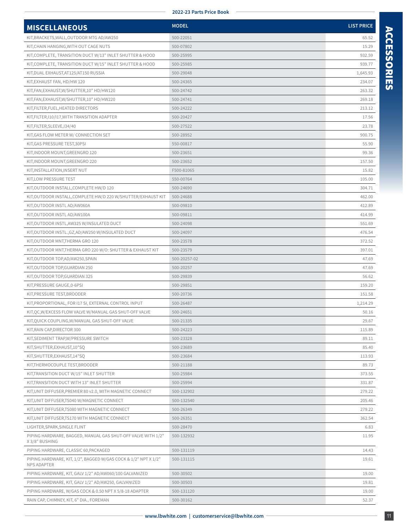| 2022-23 Parts Price Book |
|--------------------------|
|--------------------------|

| <b>MISCELLANEOUS</b>                                                           | <b>MODEL</b> | <b>LIST PRICE</b> |
|--------------------------------------------------------------------------------|--------------|-------------------|
| KIT, BRACKETS, WALL, OUTDOOR MTG AD/AW250                                      | 500-22051    | 65.52             |
| KIT, CHAIN HANGING, WITH OUT CAGE NUTS                                         | 500-07802    | 15.29             |
| KIT, COMPLETE, TRANSITION DUCT W/13" INLET SHUTTER & HOOD                      | 500-25995    | 932.59            |
| KIT, COMPLETE, TRANSITION DUCT W/15" INLET SHUTTER & HOOD                      | 500-25985    | 939.77            |
| KIT, DUAL EXHAUST, AT 125/AT 150 RUSSIA                                        | 500-29048    | 1,645.93          |
| KIT, EXHAUST FAN, HD/HW 120                                                    | 500-24365    | 234.07            |
| KIT, FAN, EXHAUST, W/SHUTTER, 10" HD/HW120                                     | 500-24742    | 263.32            |
| KIT, FAN, EXHAUST, W/SHUTTER, 10" HD/HW220                                     | 500-24741    | 269.18            |
| KIT, FILTER, FUEL, HEATED DIRECTORS                                            | 500-24222    | 213.12            |
| KIT, FILTER, 110/117, WITH TRANSITION ADAPTER                                  | 500-20427    | 17.56             |
| KIT, FILTER, SLEEVE, 134/40                                                    | 500-27522    | 23.78             |
| KIT, GAS FLOW METER W/ CONNECTION SET                                          | 500-28952    | 900.75            |
| KIT, GAS PRESSURE TEST, 30PSI                                                  | 550-00817    | 55.90             |
| KIT, INDOOR MOUNT, GREENGRO 120                                                | 500-23651    | 99.36             |
| KIT, INDOOR MOUNT, GREENGRO 220                                                | 500-23652    | 157.50            |
| KIT, INSTALLATION, INSERT NUT                                                  | F500-81065   | 15.82             |
| KIT, LOW PRESSURE TEST                                                         | 550-00764    | 105.00            |
| KIT, OUTDOOR INSTALL, COMPLETE HW/D 120                                        | 500-24690    | 304.71            |
| KIT, OUTDOOR INSTALL, COMPLETE HW/D 220 W/SHUTTER/EXHAUST KIT                  | 500-24688    | 462.00            |
| KIT, OUTDOOR INSTL AD/AW060A                                                   | 500-09810    | 412.89            |
| KIT, OUTDOOR INSTL AD/AW100A                                                   | 500-09811    | 414.99            |
| KIT, OUTDOOR INSTL, AW325 W/INSULATED DUCT                                     | 500-24098    | 551.69            |
| KIT, OUTDOOR INSTL., GZ, AD/AW250 W/INSULATED DUCT                             | 500-24097    | 476.54            |
| KIT, OUTDOOR MNT, THERMA GRO 120                                               | 500-23578    | 372.52            |
| KIT, OUTDOOR MNT, THERMA GRO 220 W/O: SHUTTER & EXHAUST KIT                    | 500-23579    | 397.01            |
| KIT, OUTDOOR TOP, AD/AW250, SPAIN                                              | 500-20257-02 | 47.69             |
| KIT, OUTDOOR TOP, GUARDIAN 250                                                 | 500-20257    | 47.69             |
| KIT, OUT DOOR TOP, GUARDIAN 325                                                | 500-29839    | 56.62             |
| KIT, PRESSURE GAUGE, 0-6PSI                                                    | 500-29851    | 159.20            |
| KIT, PRESSURE TEST, BROODER                                                    | 500-20736    | 151.58            |
| KIT, PROPORTIONAL, FOR I17 SI, EXTERNAL CONTROL INPUT                          | 500-26487    | 1,214.29          |
| KIT, QC, W/EXCESS FLOW VALVE W/MANUAL GAS SHUT-OFF VALVE                       | 500-24651    | 50.16             |
| KIT, QUICK COUPLING, W/MANUAL GAS SHUT-OFF VALVE                               | 500-21335    | 29.67             |
| KIT, RAIN CAP, DIRECTOR 300                                                    | 500-24223    | 115.89            |
| KIT, SEDIMENT TRAP, W/PRESSURE SWITCH                                          | 500-23328    | 89.11             |
| KIT, SHUTTER, EXHAUST, 10"SQ                                                   | 500-23689    | 85.40             |
| KIT, SHUTTER, EXHAUST, 14"SQ                                                   | 500-23684    | 113.93            |
| KIT, THERMOCOUPLE TEST, BROODER                                                | 500-21188    | 89.73             |
| KIT, TRANSITION DUCT W/15" INLET SHUTTER                                       | 500-25984    | 373.55            |
| KIT, TRANSITION DUCT WITH 13" INLET SHUTTER                                    | 500-25994    | 331.87            |
| KIT, UNIT DIFFUSER, PREMIER 80 v2.0, WITH MAGNETIC CONNECT                     | 500-132902   | 279.22            |
| KIT, UNIT DIFFUSER, TS040 W/MAGNETIC CONNECT                                   | 500-132540   | 205.46            |
| KIT, UNIT DIFFUSER, TS080 WITH MAGNETIC CONNECT                                | 500-26349    | 279.22            |
| KIT, UNIT DIFFUSER, TS170 WITH MAGNETIC CONNECT                                | 500-26351    | 362.54            |
| LIGHTER, SPARK, SINGLE FLINT                                                   | 500-28470    | 6.83              |
| PIPING HARDWARE, BAGGED, MANUAL GAS SHUT-OFF VALVE WITH 1/2"<br>X 3/8" BUSHING | 500-132932   | 11.95             |
| PIPING HARDWARE, CLASSIC 60, PACKAGED                                          | 500-131119   | 14.43             |
| PIPING HARDWARE, KIT, 1/2", BAGGED W/GAS COCK & 1/2" NPT X 1/2"<br>NPS ADAPTER | 500-131115   | 19.61             |
| PIPING HARDWARE, KIT, GALV 1/2" AD/AW060/100 GALVANIZED                        | 500-30502    | 19.00             |
| PIPING HARDWARE, KIT, GALV 1/2" AD/AW250, GALVANIZED                           | 500-30503    | 19.81             |
| PIPING HARDWARE, W/GAS COCK & 0.50 NPT X 5/8-18 ADAPTER                        | 500-131120   | 19.00             |
| RAIN CAP, CHIMNEY, KIT, 6" DIA., FOREMAN                                       | 500-30162    | 52.37             |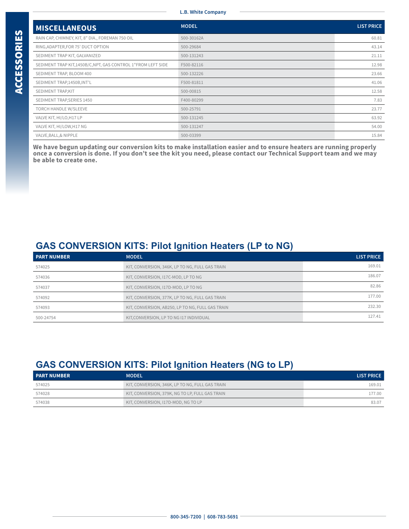| <b>MISCELLANEOUS</b>                                        | <b>MODEL</b> | <b>LIST PRICE</b> |
|-------------------------------------------------------------|--------------|-------------------|
| RAIN CAP, CHIMNEY, KIT, 8" DIA., FOREMAN 750 OIL            | 500-30162A   | 60.81             |
| RING, ADAPTER, FOR 75' DUCT OPTION                          | 500-29684    | 43.14             |
| SEDIMENT TRAP KIT, GALVANIZED                               | 500-131243   | 21.11             |
| SEDIMENT TRAP KIT,1450B/C,NPT, GAS CONTROL 1"FROM LEFT SIDE | F500-82116   | 12.98             |
| SEDIMENT TRAP, BLOOM 400                                    | 500-132226   | 23.66             |
| SEDIMENT TRAP, 1450B, INT'L                                 | F500-81811   | 41.06             |
| SEDIMENT TRAP, KIT                                          | 500-00815    | 12.58             |
| SEDIMENT TRAP, SERIES 1450                                  | F400-80299   | 7.83              |
| TORCH HANDLE W/SLEEVE                                       | 500-25791    | 23.77             |
| VALVE KIT, HI/LO, H17 LP                                    | 500-131245   | 63.92             |
| VALVE KIT, HI/LOW, H17 NG                                   | 500-131247   | 54.00             |
| VALVE, BALL, & NIPPLE                                       | 500-03399    | 15.84             |

**We have begun updating our conversion kits to make installation easier and to ensure heaters are running properly once a conversion is done. If you don't see the kit you need, please contact our Technical Support team and we may be able to create one.** 

#### **GAS CONVERSION KITS: Pilot Ignition Heaters (LP to NG)**

| <b>PART NUMBER</b> | <b>MODEL</b>                                     | <b>LIST PRICE</b> |
|--------------------|--------------------------------------------------|-------------------|
| 574025             | KIT, CONVERSION, 346K, LP TO NG, FULL GAS TRAIN  | 169.01            |
| 574036             | KIT, CONVERSION, I17C-MOD, LP TO NG              | 186.07            |
| 574037             | KIT, CONVERSION, I17D-MOD, LP TO NG              | 82.86             |
| 574092             | KIT, CONVERSION, 377K, LP TO NG, FULL GAS TRAIN  | 177.00            |
| 574093             | KIT, CONVERSION, AB250, LP TO NG, FULL GAS TRAIN | 232.30            |
| 500-24754          | KIT, CONVERSION, LP TO NG I17 INDIVIDUAL         | 127.41            |

#### **GAS CONVERSION KITS: Pilot Ignition Heaters (NG to LP)**

| <b>PART NUMBER</b> | <b>MODEL</b>                                    | <b>LIST PRICE</b> |
|--------------------|-------------------------------------------------|-------------------|
| 574025             | KIT, CONVERSION, 346K, LP TO NG, FULL GAS TRAIN | 169.01            |
| 574028             | KIT, CONVERSION, 379K, NG TO LP, FULL GAS TRAIN | 177.00            |
| 574038             | KIT, CONVERSION, I17D-MOD, NG TO LP             | 83.07             |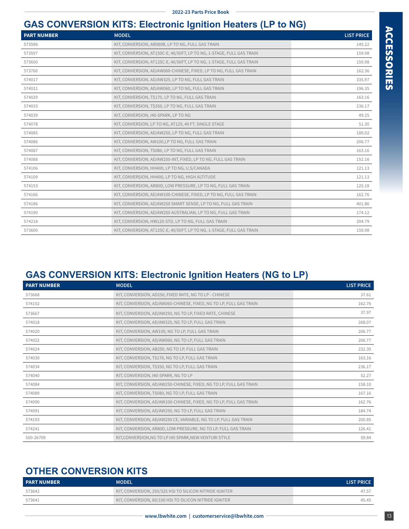#### **GAS CONVERSION KITS: Electronic Ignition Heaters (LP to NG)**

| <b>PART NUMBER</b> | <b>MODEL</b>                                                          | <b>LIST PRICE</b> |
|--------------------|-----------------------------------------------------------------------|-------------------|
| 573596             | KIT, CONVERSION, AR080B, LP TO NG, FULL GAS TRAIN                     | 145.22            |
| 573597             | KIT, CONVERSION, AT150C-E, 40/50FT, LP TO NG, 1-STAGE, FULL GAS TRAIN | 159.98            |
| 573600             | KIT, CONVERSION, AT125C-E, 40/50FT, LP TO NG, 1-STAGE, FULL GAS TRAIN | 159.98            |
| 573760             | KIT, CONVERSION, AD/AW060-CHINESE, FIXED, LP TO NG, FULL GAS TRAIN    | 162.36            |
| 574017             | KIT, CONVERSION, AD/AW325, LP TO NG, FULL GAS TRAIN                   | 335.97            |
| 574021             | KIT, CONVERSION, AD/AW060, LP TO NG, FULL GAS TRAIN                   | 196.35            |
| 574029             | KIT, CONVERSION, TS170, LP TO NG, FULL GAS TRAIN                      | 163.16            |
| 574033             | KIT, CONVERSION, TS350, LP TO NG, FULL GAS TRAIN                      | 236.17            |
| 574039             | KIT, CONVERSION, 140-SPARK, LP TO NG                                  | 49.25             |
| 574078             | KIT, CONVERSION, LP TO NG, AT125, 40 FT. SINGLE STAGE                 | 51.30             |
| 574085             | KIT, CONVERSION, AD/AW250, LP TO NG, FULL GAS TRAIN                   | 189.02            |
| 574086             | KIT, CONVERSION, AW100, LP TO NG, FULL GAS TRAIN                      | 206.77            |
| 574087             | KIT, CONVERSION, TS080, LP TO NG, FULL GAS TRAIN                      | 163.16            |
| 574088             | KIT, CONVERSION, AD/AW250-INT, FIXED, LP TO NG, FULL GAS TRAIN        | 152.16            |
| 574106             | KIT, CONVERSION, HH400, LP TO NG, U.S/CANADA                          | 121.13            |
| 574109             | KIT, CONVERSION, HH400, LP TO NG, HIGH ALTITUDE                       | 121.13            |
| 574153             | KIT, CONVERSION, AR80D, LOW PRESSURE, LP TO NG, FULL GAS TRAIN        | 125.18            |
| 574166             | KIT, CONVERSION, AD/AW100-CHINESE, FIXED, LP TO NG, FULL GAS TRAIN    | 162.76            |
| 574186             | KIT, CONVERSION, AD/AW250 SMART SENSE, LP TO NG, FULL GAS TRAIN       | 401.86            |
| 574190             | KIT, CONVERSION, AD/AW250 AUSTRALIAN, LP TO NG, FULL GAS TRAIN        | 174.12            |
| 574218             | KIT, CONVERSION, HW120-STD, LP TO NG, FULL GAS TRAIN                  | 204.79            |
| 573600             | KIT, CONVERSION, AT125C-E, 40/50FT, LP TO NG, 1-STAGE, FULL GAS TRAIN | 159.98            |

#### **GAS CONVERSION KITS: Electronic Ignition Heaters (NG to LP)**

| <b>PART NUMBER</b> | <b>MODEL</b>                                                       | <b>LIST PRICE</b> |
|--------------------|--------------------------------------------------------------------|-------------------|
| 573668             | KIT, CONVERSION, AD250, FIXED RATE, NG TO LP - CHINESE             | 37.61             |
| 574152             | KIT, CONVERSION, AD/AW060-CHINESE, FIXED, NG TO LP, FULL GAS TRAIN | 162.76            |
| 573667             | KIT, CONVERSION, AD/AW250, NG TO LP, FIXED RATE, CHINESE           | 37.97             |
| 574018             | KIT, CONVERSION, AD/AW325, NG TO LP, FULL GAS TRAIN                | 268.07            |
| 574020             | KIT, CONVERSION, AW100, NG TO LP, FULL GAS TRAIN                   | 206.77            |
| 574022             | KIT, CONVERSION, AD/AW060, NG TO LP, FULL GAS TRAIN                | 206.77            |
| 574024             | KIT, CONVERSION, AB250, NG TO LP, FULL GAS TRAIN                   | 232.30            |
| 574030             | KIT, CONVERSION, TS170, NG TO LP, FULL GAS TRAIN                   | 163.16            |
| 574034             | KIT, CONVERSION, TS350, NG TO LP, FULL GAS TRAIN                   | 236.17            |
| 574040             | KIT, CONVERSION, 140-SPARK, NG TO LP                               | 52.27             |
| 574084             | KIT, CONVERSION, AD/AW250-CHINESE, FIXED, NG TO LP, FULL GAS TRAIN | 158.10            |
| 574089             | KIT, CONVERSION, TS080, NG TO LP, FULL GAS TRAIN                   | 167.16            |
| 574090             | KIT, CONVERSION, AD/AW100-CHINESE, FIXED, NG TO LP, FULL GAS TRAIN | 162.76            |
| 574091             | KIT, CONVERSION, AD/AW250, NG TO LP, FULL GAS TRAIN                | 184.74            |
| 574193             | KIT, CONVERSION, AD/AW250 CE, VARIABLE, NG TO LP, FULL GAS TRAIN   | 200.85            |
| 574241             | KIT, CONVERSION, AR80D, LOW PRESSURE, NG TO LP, FULL GAS TRAIN     | 126.41            |
| 500-26709          | KIT.CONVERSION.NG TO LP 140 SPARK.NEW VENTURI STYLE                | 59.84             |

#### **OTHER CONVERSION KITS**

| <b>PART NUMBER</b> | <b>MODEL</b>                                            | <b>LIST PRICE</b> |
|--------------------|---------------------------------------------------------|-------------------|
| 573642             | KIT, CONVERSION, 250/325 HSI TO SILICON NITRIDE IGNITER | 4757              |
| 573641             | KIT, CONVERSION, 60/100 HSI TO SILICON NITRIDE IGNITER  | 45.45             |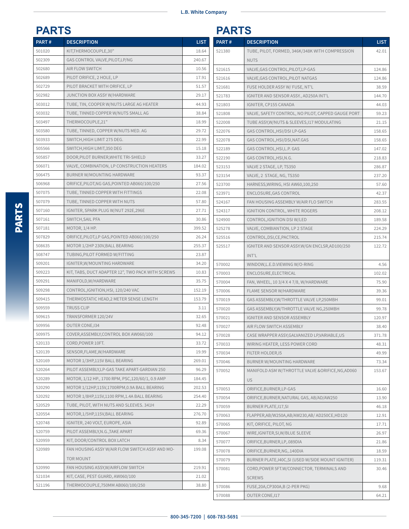| 501020<br>KIT,THERMOCOUPLE,30"<br>18.64<br>521380<br>TUBE, PILOT, FORMED, 346K/348K WITH COMPRESSION<br>42.01<br>502309<br>GAS CONTROL VALVE, PILOT, LP/NG<br>240.67<br><b>NUTS</b><br>502680<br>AIR FLOW SWITCH<br>10.56<br>521615<br>124.86<br>VALVE, GAS CONTROL, PILOT, LP-GAS<br>PILOT ORIFICE, 2 HOLE, LP<br>17.91<br>502689<br>521616<br>VALVE, GAS CONTROL, PILOT NATGAS<br>124.86<br>502729<br>PILOT BRACKET WITH ORIFICE, LP<br>51.57<br>521681<br>FUSE HOLDER ASSY W/ FUSE, NT'L<br>38.59<br>502982<br>JUNCTION BOX ASSY W/HARDWARE<br>29.17<br>521783<br>IGNITER AND SENSOR ASSY., AD250A INT'L<br>144.70<br>503012<br>TUBE, TIN, COOPER W/NUTS LARGE AG HEATER<br>44.93<br>521803<br>IGNITER, CP155 CANADA<br>44.03<br>38.84<br>503032<br>TUBE, TINNED COPPER W/NUTS SMALL AG<br>521808<br>VALVE, SAFETY CONTROL, NO PILOT, CAPPED GAUGE PORT<br>59.23<br>503497<br>THERMOCOUPLE,21"<br>18.99<br>522008<br>TUBE ASSY, W/NUTS & SLEEVES, 117 MODULATING<br>21.15<br>29.72<br>503580<br>TUBE, TINNED, COPPER W/NUTS MED. AG<br>522076<br>GAS CONTROL, HSI/DSI LP-GAS<br>158.65<br>503933<br>SWITCH, HIGH LIMIT 275 DEG.<br>22.99<br>522078<br>GAS CONTROL, HSI/DSI, NAT. GAS<br>158.65<br>505566<br>SWITCH, HIGH LIMIT, 350 DEG<br>15.18<br>522189<br>GAS CONTROL, HSI, L.P. GAS<br>147.02<br>505857<br>DOOR, PILOT BURNER, WHITE TRI-SHIELD<br>33.27<br>522190<br>218.83<br>GAS CONTROL, HSI, N.G.<br>506071<br>VALVE, COMBINATION, LP CONSTRUCTION HEATERS<br>184.02<br>523153<br>286.87<br>VALVE 2 STAGE, LP, TS350<br>506475<br>BURNER W/MOUNTING HARDWARE<br>93.37<br>523154<br>237.20<br>VALVE, 2 STAGE, NG, TS350<br>506968<br>ORIFICE, PILOT, NG GAS, POINTED AB060/100/250<br>27.56<br>523700<br>HARNESS, WIRING, HSI AW60, 100, 250<br>57.60<br>507075<br>TUBE, TINNED COPPER WITH FITTINGS<br>22.08<br>523971<br>ENCLOSURE, GAS CONTROL<br>42.37<br>507079<br>TUBE, TINNED COPPER WITH NUTS<br>57.80<br>524167<br>FAN HOUSING ASSEMBLY W/AIR FLO SWITCH<br>283.55<br>507160<br>IGNITER, SPARK PLUG W/NUT 292E,296E<br>27.71<br>524317<br>208.12<br>IGNITION CONTROL, WHITE ROGERS<br>507161<br>SWITCH, SAIL PFA<br>30.86<br>524900<br>CONTROL, IGNITION DSI W/LED<br>189.58<br>507181<br>399.52<br>MOTOR, 1/4 HP.<br>525278<br>VALVE, COMBIANTION, LP 2 STAGE<br>224.29<br>507829<br>ORIFICE, PILOT, LP GAS, POINTED AB060/100/250<br>26.24<br>525516<br>CONTROL, DSI, CE, PACTROL<br>215.74<br>508635<br>MOTOR 1/2HP 230V, BALL BEARING<br>255.37<br>525517<br>IGNITER AND SENSOR ASSY.W/GN ENCLSR, AD100/250<br>122.72<br>508747<br>TUBING, PILOT FORMED W/FITTING<br>23.87<br>INT'L<br>509201<br>IGNITER, W/MOUNTING HARDWARE<br>34.20<br>570002<br>WINDOW, L.E.D.VIEWING W/O-RING<br>4.56<br>509223<br>KIT, TABS, DUCT ADAPTER 12", TWO PACK WITH SCREWS<br>10.83<br>570003<br>ENCLOSURE, ELECTRICAL<br>102.02<br>35.75<br>509291<br>MANIFOLD, W/HARDWARE<br>570004<br>FAN, WHEEL, 10 3/4 X 4 7/8, W/HARDWARE<br>75.90<br>509298<br>CONTROL, IGNITION, HSI, 120/240 VAC<br>152.19<br>570006<br>FLAME SENSOR W/HARDWARE<br>39.36<br>509415<br>THERMOSTATIC HEAD, 2 METER SENSE LENGTH<br>153.79<br>570019<br>GAS ASSEMBLY, W/THROTTLE VALVE LP, 250MBH<br>99.01<br>509559<br><b>TRUSS CLIP</b><br>3.11<br>570020<br>99.78<br>GAS ASSEMBLY, W/THROTTLE VALVE NG, 250MBH<br>509615<br>TRANSFORMER 120/24V<br>32.65<br>570021<br>IGNITER AND SENSOR ASSEMBLY<br>120.97<br>92.48<br>509956<br>OUTER CONE, 134<br>570027<br>AIR FLOW SWITCH ASSEMBLY<br>38.40<br>94.12<br>509975<br>COVER, ASSEMBLY, CONTROL BOX AW060/100<br>570028<br>CASE WRAPPER ASSY, GALVANIZED LP, VARIABLE, US<br>371.78<br>520133<br>CORD, POWER 10FT.<br>33.72<br>570033<br>48.31<br>WIRING HEATER, LESS POWER CORD<br>520139<br>SENSOR, FLAME, W/HARDWARE<br>19.99<br>570034<br>FILTER HOLDER, 15<br>49.99<br>520169<br>269.01<br>MOTOR 1/3HP,115V BALL BEARING<br>570046<br><b>BURNER W/MOUNTING HARDWARE</b><br>73.34<br>520264<br>PILOT ASSEMBLY, LP-GAS TAKE APART-GARDIAN 250<br>96.29<br>570052<br>MANIFOLD ASM W/THROTTLE VALVE &ORIFICE, NG, AD060<br>153.67<br>520289<br>184.45<br>MOTOR, 1/12 HP., 1700 RPM, PSC, 120/60/1, 0.9 AMP<br>US<br>520290<br>MOTOR 1/12HP,115V,1700RPM,0.9A BALL BEARING<br>202.53<br>570053<br>ORIFICE, BURNER, LP-GAS<br>16.60<br>520292<br>MOTOR 1/8HP,115V,1100 RPM,1.4A BALL BEARING<br>254.40<br>570054<br>13.90<br>ORIFICE, BURNER, NATURAL GAS, AB/AD/AW250<br>520529<br>22.29<br>TUBE, PILOT, WITH NUTS AND SLEEVES. 341H<br>570059<br><b>BURNER PLATE, 117, SI</b><br>46.18<br>520554<br>MOTOR, 1/5HP, 115V, BALL BEARING<br>276.70<br>570063<br>FLAPPER, AB/W250A, AB/AW230, AB/AD250CE, HD120<br>12.91<br>520748<br>92.89<br>IGNITER, 240 VOLT, EUROPE, ASIA<br>570065<br>17.71<br>KIT, ORIFICE, PILOT, NG<br>520759<br>69.36<br>PILOT ASSEMBLY, N.G., TAKE APART<br>570067<br>26.97<br>WIRE, IGNITER, SI, W/BLUE SLEEVE<br>520959<br>8.34<br>KIT, DOOR/CONTROL BOX LATCH<br>570077<br>ORIFICE, BURNER, LP, .089DIA<br>21.86<br>520989<br>FAN HOUSING ASSY W/AIR FLOW SWITCH ASSY AND MO-<br>199.08<br>570078<br>ORIFICE, BURNER, NG, . 140 DIA<br>18.59<br>TOR MOUNT<br>570079<br>BURNER PLATE, 140C, SI (USED W/SIDE MOUNT IGNITER)<br>119.31<br>520990<br>FAN HOUSING ASSY, W/AIRFLOW SWITCH<br>219.91<br>570081<br>CORD, POWER 5FT.W/CONNECTOR, TERMINALS AND<br>30.46<br>521034<br>KIT, CASE, PEST GUARD, AW060/100<br>21.02<br><b>SCREWS</b><br>521196<br>38.80<br>THERMOCOUPLE, 750MM AB060/100/250<br>570086<br>9.68<br>FUSE,20A,CP300A,B (2-PER PKG)<br>570088<br>OUTER CONE, 17<br>64.21 | PART# | <b>DESCRIPTION</b> | <b>LIST</b> | PART# | <b>DESCRIPTION</b> | LIST. |
|---------------------------------------------------------------------------------------------------------------------------------------------------------------------------------------------------------------------------------------------------------------------------------------------------------------------------------------------------------------------------------------------------------------------------------------------------------------------------------------------------------------------------------------------------------------------------------------------------------------------------------------------------------------------------------------------------------------------------------------------------------------------------------------------------------------------------------------------------------------------------------------------------------------------------------------------------------------------------------------------------------------------------------------------------------------------------------------------------------------------------------------------------------------------------------------------------------------------------------------------------------------------------------------------------------------------------------------------------------------------------------------------------------------------------------------------------------------------------------------------------------------------------------------------------------------------------------------------------------------------------------------------------------------------------------------------------------------------------------------------------------------------------------------------------------------------------------------------------------------------------------------------------------------------------------------------------------------------------------------------------------------------------------------------------------------------------------------------------------------------------------------------------------------------------------------------------------------------------------------------------------------------------------------------------------------------------------------------------------------------------------------------------------------------------------------------------------------------------------------------------------------------------------------------------------------------------------------------------------------------------------------------------------------------------------------------------------------------------------------------------------------------------------------------------------------------------------------------------------------------------------------------------------------------------------------------------------------------------------------------------------------------------------------------------------------------------------------------------------------------------------------------------------------------------------------------------------------------------------------------------------------------------------------------------------------------------------------------------------------------------------------------------------------------------------------------------------------------------------------------------------------------------------------------------------------------------------------------------------------------------------------------------------------------------------------------------------------------------------------------------------------------------------------------------------------------------------------------------------------------------------------------------------------------------------------------------------------------------------------------------------------------------------------------------------------------------------------------------------------------------------------------------------------------------------------------------------------------------------------------------------------------------------------------------------------------------------------------------------------------------------------------------------------------------------------------------------------------------------------------------------------------------------------------------------------------------------------------------------------------------------------------------------------------------------------------------------------------------------------------------------------------------------------------------------------------------------------------------------------------------------------------------------------------------------------------------------------------------------------------------------------------------------------------------------------------------------------------------------------------------------------------------------------------------------------------------------------------------------------------------------------------------------------------------------------------------------------------------------------------------------------------------------------------------------------------------------------------------------------------------------------------------------------------------|-------|--------------------|-------------|-------|--------------------|-------|
|                                                                                                                                                                                                                                                                                                                                                                                                                                                                                                                                                                                                                                                                                                                                                                                                                                                                                                                                                                                                                                                                                                                                                                                                                                                                                                                                                                                                                                                                                                                                                                                                                                                                                                                                                                                                                                                                                                                                                                                                                                                                                                                                                                                                                                                                                                                                                                                                                                                                                                                                                                                                                                                                                                                                                                                                                                                                                                                                                                                                                                                                                                                                                                                                                                                                                                                                                                                                                                                                                                                                                                                                                                                                                                                                                                                                                                                                                                                                                                                                                                                                                                                                                                                                                                                                                                                                                                                                                                                                                                                                                                                                                                                                                                                                                                                                                                                                                                                                                                                                                                                                                                                                                                                                                                                                                                                                                                                                                                                                                                                                                   |       |                    |             |       |                    |       |
|                                                                                                                                                                                                                                                                                                                                                                                                                                                                                                                                                                                                                                                                                                                                                                                                                                                                                                                                                                                                                                                                                                                                                                                                                                                                                                                                                                                                                                                                                                                                                                                                                                                                                                                                                                                                                                                                                                                                                                                                                                                                                                                                                                                                                                                                                                                                                                                                                                                                                                                                                                                                                                                                                                                                                                                                                                                                                                                                                                                                                                                                                                                                                                                                                                                                                                                                                                                                                                                                                                                                                                                                                                                                                                                                                                                                                                                                                                                                                                                                                                                                                                                                                                                                                                                                                                                                                                                                                                                                                                                                                                                                                                                                                                                                                                                                                                                                                                                                                                                                                                                                                                                                                                                                                                                                                                                                                                                                                                                                                                                                                   |       |                    |             |       |                    |       |
|                                                                                                                                                                                                                                                                                                                                                                                                                                                                                                                                                                                                                                                                                                                                                                                                                                                                                                                                                                                                                                                                                                                                                                                                                                                                                                                                                                                                                                                                                                                                                                                                                                                                                                                                                                                                                                                                                                                                                                                                                                                                                                                                                                                                                                                                                                                                                                                                                                                                                                                                                                                                                                                                                                                                                                                                                                                                                                                                                                                                                                                                                                                                                                                                                                                                                                                                                                                                                                                                                                                                                                                                                                                                                                                                                                                                                                                                                                                                                                                                                                                                                                                                                                                                                                                                                                                                                                                                                                                                                                                                                                                                                                                                                                                                                                                                                                                                                                                                                                                                                                                                                                                                                                                                                                                                                                                                                                                                                                                                                                                                                   |       |                    |             |       |                    |       |
|                                                                                                                                                                                                                                                                                                                                                                                                                                                                                                                                                                                                                                                                                                                                                                                                                                                                                                                                                                                                                                                                                                                                                                                                                                                                                                                                                                                                                                                                                                                                                                                                                                                                                                                                                                                                                                                                                                                                                                                                                                                                                                                                                                                                                                                                                                                                                                                                                                                                                                                                                                                                                                                                                                                                                                                                                                                                                                                                                                                                                                                                                                                                                                                                                                                                                                                                                                                                                                                                                                                                                                                                                                                                                                                                                                                                                                                                                                                                                                                                                                                                                                                                                                                                                                                                                                                                                                                                                                                                                                                                                                                                                                                                                                                                                                                                                                                                                                                                                                                                                                                                                                                                                                                                                                                                                                                                                                                                                                                                                                                                                   |       |                    |             |       |                    |       |
|                                                                                                                                                                                                                                                                                                                                                                                                                                                                                                                                                                                                                                                                                                                                                                                                                                                                                                                                                                                                                                                                                                                                                                                                                                                                                                                                                                                                                                                                                                                                                                                                                                                                                                                                                                                                                                                                                                                                                                                                                                                                                                                                                                                                                                                                                                                                                                                                                                                                                                                                                                                                                                                                                                                                                                                                                                                                                                                                                                                                                                                                                                                                                                                                                                                                                                                                                                                                                                                                                                                                                                                                                                                                                                                                                                                                                                                                                                                                                                                                                                                                                                                                                                                                                                                                                                                                                                                                                                                                                                                                                                                                                                                                                                                                                                                                                                                                                                                                                                                                                                                                                                                                                                                                                                                                                                                                                                                                                                                                                                                                                   |       |                    |             |       |                    |       |
|                                                                                                                                                                                                                                                                                                                                                                                                                                                                                                                                                                                                                                                                                                                                                                                                                                                                                                                                                                                                                                                                                                                                                                                                                                                                                                                                                                                                                                                                                                                                                                                                                                                                                                                                                                                                                                                                                                                                                                                                                                                                                                                                                                                                                                                                                                                                                                                                                                                                                                                                                                                                                                                                                                                                                                                                                                                                                                                                                                                                                                                                                                                                                                                                                                                                                                                                                                                                                                                                                                                                                                                                                                                                                                                                                                                                                                                                                                                                                                                                                                                                                                                                                                                                                                                                                                                                                                                                                                                                                                                                                                                                                                                                                                                                                                                                                                                                                                                                                                                                                                                                                                                                                                                                                                                                                                                                                                                                                                                                                                                                                   |       |                    |             |       |                    |       |
|                                                                                                                                                                                                                                                                                                                                                                                                                                                                                                                                                                                                                                                                                                                                                                                                                                                                                                                                                                                                                                                                                                                                                                                                                                                                                                                                                                                                                                                                                                                                                                                                                                                                                                                                                                                                                                                                                                                                                                                                                                                                                                                                                                                                                                                                                                                                                                                                                                                                                                                                                                                                                                                                                                                                                                                                                                                                                                                                                                                                                                                                                                                                                                                                                                                                                                                                                                                                                                                                                                                                                                                                                                                                                                                                                                                                                                                                                                                                                                                                                                                                                                                                                                                                                                                                                                                                                                                                                                                                                                                                                                                                                                                                                                                                                                                                                                                                                                                                                                                                                                                                                                                                                                                                                                                                                                                                                                                                                                                                                                                                                   |       |                    |             |       |                    |       |
|                                                                                                                                                                                                                                                                                                                                                                                                                                                                                                                                                                                                                                                                                                                                                                                                                                                                                                                                                                                                                                                                                                                                                                                                                                                                                                                                                                                                                                                                                                                                                                                                                                                                                                                                                                                                                                                                                                                                                                                                                                                                                                                                                                                                                                                                                                                                                                                                                                                                                                                                                                                                                                                                                                                                                                                                                                                                                                                                                                                                                                                                                                                                                                                                                                                                                                                                                                                                                                                                                                                                                                                                                                                                                                                                                                                                                                                                                                                                                                                                                                                                                                                                                                                                                                                                                                                                                                                                                                                                                                                                                                                                                                                                                                                                                                                                                                                                                                                                                                                                                                                                                                                                                                                                                                                                                                                                                                                                                                                                                                                                                   |       |                    |             |       |                    |       |
|                                                                                                                                                                                                                                                                                                                                                                                                                                                                                                                                                                                                                                                                                                                                                                                                                                                                                                                                                                                                                                                                                                                                                                                                                                                                                                                                                                                                                                                                                                                                                                                                                                                                                                                                                                                                                                                                                                                                                                                                                                                                                                                                                                                                                                                                                                                                                                                                                                                                                                                                                                                                                                                                                                                                                                                                                                                                                                                                                                                                                                                                                                                                                                                                                                                                                                                                                                                                                                                                                                                                                                                                                                                                                                                                                                                                                                                                                                                                                                                                                                                                                                                                                                                                                                                                                                                                                                                                                                                                                                                                                                                                                                                                                                                                                                                                                                                                                                                                                                                                                                                                                                                                                                                                                                                                                                                                                                                                                                                                                                                                                   |       |                    |             |       |                    |       |
|                                                                                                                                                                                                                                                                                                                                                                                                                                                                                                                                                                                                                                                                                                                                                                                                                                                                                                                                                                                                                                                                                                                                                                                                                                                                                                                                                                                                                                                                                                                                                                                                                                                                                                                                                                                                                                                                                                                                                                                                                                                                                                                                                                                                                                                                                                                                                                                                                                                                                                                                                                                                                                                                                                                                                                                                                                                                                                                                                                                                                                                                                                                                                                                                                                                                                                                                                                                                                                                                                                                                                                                                                                                                                                                                                                                                                                                                                                                                                                                                                                                                                                                                                                                                                                                                                                                                                                                                                                                                                                                                                                                                                                                                                                                                                                                                                                                                                                                                                                                                                                                                                                                                                                                                                                                                                                                                                                                                                                                                                                                                                   |       |                    |             |       |                    |       |
|                                                                                                                                                                                                                                                                                                                                                                                                                                                                                                                                                                                                                                                                                                                                                                                                                                                                                                                                                                                                                                                                                                                                                                                                                                                                                                                                                                                                                                                                                                                                                                                                                                                                                                                                                                                                                                                                                                                                                                                                                                                                                                                                                                                                                                                                                                                                                                                                                                                                                                                                                                                                                                                                                                                                                                                                                                                                                                                                                                                                                                                                                                                                                                                                                                                                                                                                                                                                                                                                                                                                                                                                                                                                                                                                                                                                                                                                                                                                                                                                                                                                                                                                                                                                                                                                                                                                                                                                                                                                                                                                                                                                                                                                                                                                                                                                                                                                                                                                                                                                                                                                                                                                                                                                                                                                                                                                                                                                                                                                                                                                                   |       |                    |             |       |                    |       |
|                                                                                                                                                                                                                                                                                                                                                                                                                                                                                                                                                                                                                                                                                                                                                                                                                                                                                                                                                                                                                                                                                                                                                                                                                                                                                                                                                                                                                                                                                                                                                                                                                                                                                                                                                                                                                                                                                                                                                                                                                                                                                                                                                                                                                                                                                                                                                                                                                                                                                                                                                                                                                                                                                                                                                                                                                                                                                                                                                                                                                                                                                                                                                                                                                                                                                                                                                                                                                                                                                                                                                                                                                                                                                                                                                                                                                                                                                                                                                                                                                                                                                                                                                                                                                                                                                                                                                                                                                                                                                                                                                                                                                                                                                                                                                                                                                                                                                                                                                                                                                                                                                                                                                                                                                                                                                                                                                                                                                                                                                                                                                   |       |                    |             |       |                    |       |
|                                                                                                                                                                                                                                                                                                                                                                                                                                                                                                                                                                                                                                                                                                                                                                                                                                                                                                                                                                                                                                                                                                                                                                                                                                                                                                                                                                                                                                                                                                                                                                                                                                                                                                                                                                                                                                                                                                                                                                                                                                                                                                                                                                                                                                                                                                                                                                                                                                                                                                                                                                                                                                                                                                                                                                                                                                                                                                                                                                                                                                                                                                                                                                                                                                                                                                                                                                                                                                                                                                                                                                                                                                                                                                                                                                                                                                                                                                                                                                                                                                                                                                                                                                                                                                                                                                                                                                                                                                                                                                                                                                                                                                                                                                                                                                                                                                                                                                                                                                                                                                                                                                                                                                                                                                                                                                                                                                                                                                                                                                                                                   |       |                    |             |       |                    |       |
|                                                                                                                                                                                                                                                                                                                                                                                                                                                                                                                                                                                                                                                                                                                                                                                                                                                                                                                                                                                                                                                                                                                                                                                                                                                                                                                                                                                                                                                                                                                                                                                                                                                                                                                                                                                                                                                                                                                                                                                                                                                                                                                                                                                                                                                                                                                                                                                                                                                                                                                                                                                                                                                                                                                                                                                                                                                                                                                                                                                                                                                                                                                                                                                                                                                                                                                                                                                                                                                                                                                                                                                                                                                                                                                                                                                                                                                                                                                                                                                                                                                                                                                                                                                                                                                                                                                                                                                                                                                                                                                                                                                                                                                                                                                                                                                                                                                                                                                                                                                                                                                                                                                                                                                                                                                                                                                                                                                                                                                                                                                                                   |       |                    |             |       |                    |       |
|                                                                                                                                                                                                                                                                                                                                                                                                                                                                                                                                                                                                                                                                                                                                                                                                                                                                                                                                                                                                                                                                                                                                                                                                                                                                                                                                                                                                                                                                                                                                                                                                                                                                                                                                                                                                                                                                                                                                                                                                                                                                                                                                                                                                                                                                                                                                                                                                                                                                                                                                                                                                                                                                                                                                                                                                                                                                                                                                                                                                                                                                                                                                                                                                                                                                                                                                                                                                                                                                                                                                                                                                                                                                                                                                                                                                                                                                                                                                                                                                                                                                                                                                                                                                                                                                                                                                                                                                                                                                                                                                                                                                                                                                                                                                                                                                                                                                                                                                                                                                                                                                                                                                                                                                                                                                                                                                                                                                                                                                                                                                                   |       |                    |             |       |                    |       |
|                                                                                                                                                                                                                                                                                                                                                                                                                                                                                                                                                                                                                                                                                                                                                                                                                                                                                                                                                                                                                                                                                                                                                                                                                                                                                                                                                                                                                                                                                                                                                                                                                                                                                                                                                                                                                                                                                                                                                                                                                                                                                                                                                                                                                                                                                                                                                                                                                                                                                                                                                                                                                                                                                                                                                                                                                                                                                                                                                                                                                                                                                                                                                                                                                                                                                                                                                                                                                                                                                                                                                                                                                                                                                                                                                                                                                                                                                                                                                                                                                                                                                                                                                                                                                                                                                                                                                                                                                                                                                                                                                                                                                                                                                                                                                                                                                                                                                                                                                                                                                                                                                                                                                                                                                                                                                                                                                                                                                                                                                                                                                   |       |                    |             |       |                    |       |
|                                                                                                                                                                                                                                                                                                                                                                                                                                                                                                                                                                                                                                                                                                                                                                                                                                                                                                                                                                                                                                                                                                                                                                                                                                                                                                                                                                                                                                                                                                                                                                                                                                                                                                                                                                                                                                                                                                                                                                                                                                                                                                                                                                                                                                                                                                                                                                                                                                                                                                                                                                                                                                                                                                                                                                                                                                                                                                                                                                                                                                                                                                                                                                                                                                                                                                                                                                                                                                                                                                                                                                                                                                                                                                                                                                                                                                                                                                                                                                                                                                                                                                                                                                                                                                                                                                                                                                                                                                                                                                                                                                                                                                                                                                                                                                                                                                                                                                                                                                                                                                                                                                                                                                                                                                                                                                                                                                                                                                                                                                                                                   |       |                    |             |       |                    |       |
|                                                                                                                                                                                                                                                                                                                                                                                                                                                                                                                                                                                                                                                                                                                                                                                                                                                                                                                                                                                                                                                                                                                                                                                                                                                                                                                                                                                                                                                                                                                                                                                                                                                                                                                                                                                                                                                                                                                                                                                                                                                                                                                                                                                                                                                                                                                                                                                                                                                                                                                                                                                                                                                                                                                                                                                                                                                                                                                                                                                                                                                                                                                                                                                                                                                                                                                                                                                                                                                                                                                                                                                                                                                                                                                                                                                                                                                                                                                                                                                                                                                                                                                                                                                                                                                                                                                                                                                                                                                                                                                                                                                                                                                                                                                                                                                                                                                                                                                                                                                                                                                                                                                                                                                                                                                                                                                                                                                                                                                                                                                                                   |       |                    |             |       |                    |       |
|                                                                                                                                                                                                                                                                                                                                                                                                                                                                                                                                                                                                                                                                                                                                                                                                                                                                                                                                                                                                                                                                                                                                                                                                                                                                                                                                                                                                                                                                                                                                                                                                                                                                                                                                                                                                                                                                                                                                                                                                                                                                                                                                                                                                                                                                                                                                                                                                                                                                                                                                                                                                                                                                                                                                                                                                                                                                                                                                                                                                                                                                                                                                                                                                                                                                                                                                                                                                                                                                                                                                                                                                                                                                                                                                                                                                                                                                                                                                                                                                                                                                                                                                                                                                                                                                                                                                                                                                                                                                                                                                                                                                                                                                                                                                                                                                                                                                                                                                                                                                                                                                                                                                                                                                                                                                                                                                                                                                                                                                                                                                                   |       |                    |             |       |                    |       |
|                                                                                                                                                                                                                                                                                                                                                                                                                                                                                                                                                                                                                                                                                                                                                                                                                                                                                                                                                                                                                                                                                                                                                                                                                                                                                                                                                                                                                                                                                                                                                                                                                                                                                                                                                                                                                                                                                                                                                                                                                                                                                                                                                                                                                                                                                                                                                                                                                                                                                                                                                                                                                                                                                                                                                                                                                                                                                                                                                                                                                                                                                                                                                                                                                                                                                                                                                                                                                                                                                                                                                                                                                                                                                                                                                                                                                                                                                                                                                                                                                                                                                                                                                                                                                                                                                                                                                                                                                                                                                                                                                                                                                                                                                                                                                                                                                                                                                                                                                                                                                                                                                                                                                                                                                                                                                                                                                                                                                                                                                                                                                   |       |                    |             |       |                    |       |
|                                                                                                                                                                                                                                                                                                                                                                                                                                                                                                                                                                                                                                                                                                                                                                                                                                                                                                                                                                                                                                                                                                                                                                                                                                                                                                                                                                                                                                                                                                                                                                                                                                                                                                                                                                                                                                                                                                                                                                                                                                                                                                                                                                                                                                                                                                                                                                                                                                                                                                                                                                                                                                                                                                                                                                                                                                                                                                                                                                                                                                                                                                                                                                                                                                                                                                                                                                                                                                                                                                                                                                                                                                                                                                                                                                                                                                                                                                                                                                                                                                                                                                                                                                                                                                                                                                                                                                                                                                                                                                                                                                                                                                                                                                                                                                                                                                                                                                                                                                                                                                                                                                                                                                                                                                                                                                                                                                                                                                                                                                                                                   |       |                    |             |       |                    |       |
|                                                                                                                                                                                                                                                                                                                                                                                                                                                                                                                                                                                                                                                                                                                                                                                                                                                                                                                                                                                                                                                                                                                                                                                                                                                                                                                                                                                                                                                                                                                                                                                                                                                                                                                                                                                                                                                                                                                                                                                                                                                                                                                                                                                                                                                                                                                                                                                                                                                                                                                                                                                                                                                                                                                                                                                                                                                                                                                                                                                                                                                                                                                                                                                                                                                                                                                                                                                                                                                                                                                                                                                                                                                                                                                                                                                                                                                                                                                                                                                                                                                                                                                                                                                                                                                                                                                                                                                                                                                                                                                                                                                                                                                                                                                                                                                                                                                                                                                                                                                                                                                                                                                                                                                                                                                                                                                                                                                                                                                                                                                                                   |       |                    |             |       |                    |       |
|                                                                                                                                                                                                                                                                                                                                                                                                                                                                                                                                                                                                                                                                                                                                                                                                                                                                                                                                                                                                                                                                                                                                                                                                                                                                                                                                                                                                                                                                                                                                                                                                                                                                                                                                                                                                                                                                                                                                                                                                                                                                                                                                                                                                                                                                                                                                                                                                                                                                                                                                                                                                                                                                                                                                                                                                                                                                                                                                                                                                                                                                                                                                                                                                                                                                                                                                                                                                                                                                                                                                                                                                                                                                                                                                                                                                                                                                                                                                                                                                                                                                                                                                                                                                                                                                                                                                                                                                                                                                                                                                                                                                                                                                                                                                                                                                                                                                                                                                                                                                                                                                                                                                                                                                                                                                                                                                                                                                                                                                                                                                                   |       |                    |             |       |                    |       |
|                                                                                                                                                                                                                                                                                                                                                                                                                                                                                                                                                                                                                                                                                                                                                                                                                                                                                                                                                                                                                                                                                                                                                                                                                                                                                                                                                                                                                                                                                                                                                                                                                                                                                                                                                                                                                                                                                                                                                                                                                                                                                                                                                                                                                                                                                                                                                                                                                                                                                                                                                                                                                                                                                                                                                                                                                                                                                                                                                                                                                                                                                                                                                                                                                                                                                                                                                                                                                                                                                                                                                                                                                                                                                                                                                                                                                                                                                                                                                                                                                                                                                                                                                                                                                                                                                                                                                                                                                                                                                                                                                                                                                                                                                                                                                                                                                                                                                                                                                                                                                                                                                                                                                                                                                                                                                                                                                                                                                                                                                                                                                   |       |                    |             |       |                    |       |
|                                                                                                                                                                                                                                                                                                                                                                                                                                                                                                                                                                                                                                                                                                                                                                                                                                                                                                                                                                                                                                                                                                                                                                                                                                                                                                                                                                                                                                                                                                                                                                                                                                                                                                                                                                                                                                                                                                                                                                                                                                                                                                                                                                                                                                                                                                                                                                                                                                                                                                                                                                                                                                                                                                                                                                                                                                                                                                                                                                                                                                                                                                                                                                                                                                                                                                                                                                                                                                                                                                                                                                                                                                                                                                                                                                                                                                                                                                                                                                                                                                                                                                                                                                                                                                                                                                                                                                                                                                                                                                                                                                                                                                                                                                                                                                                                                                                                                                                                                                                                                                                                                                                                                                                                                                                                                                                                                                                                                                                                                                                                                   |       |                    |             |       |                    |       |
|                                                                                                                                                                                                                                                                                                                                                                                                                                                                                                                                                                                                                                                                                                                                                                                                                                                                                                                                                                                                                                                                                                                                                                                                                                                                                                                                                                                                                                                                                                                                                                                                                                                                                                                                                                                                                                                                                                                                                                                                                                                                                                                                                                                                                                                                                                                                                                                                                                                                                                                                                                                                                                                                                                                                                                                                                                                                                                                                                                                                                                                                                                                                                                                                                                                                                                                                                                                                                                                                                                                                                                                                                                                                                                                                                                                                                                                                                                                                                                                                                                                                                                                                                                                                                                                                                                                                                                                                                                                                                                                                                                                                                                                                                                                                                                                                                                                                                                                                                                                                                                                                                                                                                                                                                                                                                                                                                                                                                                                                                                                                                   |       |                    |             |       |                    |       |
|                                                                                                                                                                                                                                                                                                                                                                                                                                                                                                                                                                                                                                                                                                                                                                                                                                                                                                                                                                                                                                                                                                                                                                                                                                                                                                                                                                                                                                                                                                                                                                                                                                                                                                                                                                                                                                                                                                                                                                                                                                                                                                                                                                                                                                                                                                                                                                                                                                                                                                                                                                                                                                                                                                                                                                                                                                                                                                                                                                                                                                                                                                                                                                                                                                                                                                                                                                                                                                                                                                                                                                                                                                                                                                                                                                                                                                                                                                                                                                                                                                                                                                                                                                                                                                                                                                                                                                                                                                                                                                                                                                                                                                                                                                                                                                                                                                                                                                                                                                                                                                                                                                                                                                                                                                                                                                                                                                                                                                                                                                                                                   |       |                    |             |       |                    |       |
|                                                                                                                                                                                                                                                                                                                                                                                                                                                                                                                                                                                                                                                                                                                                                                                                                                                                                                                                                                                                                                                                                                                                                                                                                                                                                                                                                                                                                                                                                                                                                                                                                                                                                                                                                                                                                                                                                                                                                                                                                                                                                                                                                                                                                                                                                                                                                                                                                                                                                                                                                                                                                                                                                                                                                                                                                                                                                                                                                                                                                                                                                                                                                                                                                                                                                                                                                                                                                                                                                                                                                                                                                                                                                                                                                                                                                                                                                                                                                                                                                                                                                                                                                                                                                                                                                                                                                                                                                                                                                                                                                                                                                                                                                                                                                                                                                                                                                                                                                                                                                                                                                                                                                                                                                                                                                                                                                                                                                                                                                                                                                   |       |                    |             |       |                    |       |
|                                                                                                                                                                                                                                                                                                                                                                                                                                                                                                                                                                                                                                                                                                                                                                                                                                                                                                                                                                                                                                                                                                                                                                                                                                                                                                                                                                                                                                                                                                                                                                                                                                                                                                                                                                                                                                                                                                                                                                                                                                                                                                                                                                                                                                                                                                                                                                                                                                                                                                                                                                                                                                                                                                                                                                                                                                                                                                                                                                                                                                                                                                                                                                                                                                                                                                                                                                                                                                                                                                                                                                                                                                                                                                                                                                                                                                                                                                                                                                                                                                                                                                                                                                                                                                                                                                                                                                                                                                                                                                                                                                                                                                                                                                                                                                                                                                                                                                                                                                                                                                                                                                                                                                                                                                                                                                                                                                                                                                                                                                                                                   |       |                    |             |       |                    |       |
|                                                                                                                                                                                                                                                                                                                                                                                                                                                                                                                                                                                                                                                                                                                                                                                                                                                                                                                                                                                                                                                                                                                                                                                                                                                                                                                                                                                                                                                                                                                                                                                                                                                                                                                                                                                                                                                                                                                                                                                                                                                                                                                                                                                                                                                                                                                                                                                                                                                                                                                                                                                                                                                                                                                                                                                                                                                                                                                                                                                                                                                                                                                                                                                                                                                                                                                                                                                                                                                                                                                                                                                                                                                                                                                                                                                                                                                                                                                                                                                                                                                                                                                                                                                                                                                                                                                                                                                                                                                                                                                                                                                                                                                                                                                                                                                                                                                                                                                                                                                                                                                                                                                                                                                                                                                                                                                                                                                                                                                                                                                                                   |       |                    |             |       |                    |       |
|                                                                                                                                                                                                                                                                                                                                                                                                                                                                                                                                                                                                                                                                                                                                                                                                                                                                                                                                                                                                                                                                                                                                                                                                                                                                                                                                                                                                                                                                                                                                                                                                                                                                                                                                                                                                                                                                                                                                                                                                                                                                                                                                                                                                                                                                                                                                                                                                                                                                                                                                                                                                                                                                                                                                                                                                                                                                                                                                                                                                                                                                                                                                                                                                                                                                                                                                                                                                                                                                                                                                                                                                                                                                                                                                                                                                                                                                                                                                                                                                                                                                                                                                                                                                                                                                                                                                                                                                                                                                                                                                                                                                                                                                                                                                                                                                                                                                                                                                                                                                                                                                                                                                                                                                                                                                                                                                                                                                                                                                                                                                                   |       |                    |             |       |                    |       |
|                                                                                                                                                                                                                                                                                                                                                                                                                                                                                                                                                                                                                                                                                                                                                                                                                                                                                                                                                                                                                                                                                                                                                                                                                                                                                                                                                                                                                                                                                                                                                                                                                                                                                                                                                                                                                                                                                                                                                                                                                                                                                                                                                                                                                                                                                                                                                                                                                                                                                                                                                                                                                                                                                                                                                                                                                                                                                                                                                                                                                                                                                                                                                                                                                                                                                                                                                                                                                                                                                                                                                                                                                                                                                                                                                                                                                                                                                                                                                                                                                                                                                                                                                                                                                                                                                                                                                                                                                                                                                                                                                                                                                                                                                                                                                                                                                                                                                                                                                                                                                                                                                                                                                                                                                                                                                                                                                                                                                                                                                                                                                   |       |                    |             |       |                    |       |
|                                                                                                                                                                                                                                                                                                                                                                                                                                                                                                                                                                                                                                                                                                                                                                                                                                                                                                                                                                                                                                                                                                                                                                                                                                                                                                                                                                                                                                                                                                                                                                                                                                                                                                                                                                                                                                                                                                                                                                                                                                                                                                                                                                                                                                                                                                                                                                                                                                                                                                                                                                                                                                                                                                                                                                                                                                                                                                                                                                                                                                                                                                                                                                                                                                                                                                                                                                                                                                                                                                                                                                                                                                                                                                                                                                                                                                                                                                                                                                                                                                                                                                                                                                                                                                                                                                                                                                                                                                                                                                                                                                                                                                                                                                                                                                                                                                                                                                                                                                                                                                                                                                                                                                                                                                                                                                                                                                                                                                                                                                                                                   |       |                    |             |       |                    |       |
|                                                                                                                                                                                                                                                                                                                                                                                                                                                                                                                                                                                                                                                                                                                                                                                                                                                                                                                                                                                                                                                                                                                                                                                                                                                                                                                                                                                                                                                                                                                                                                                                                                                                                                                                                                                                                                                                                                                                                                                                                                                                                                                                                                                                                                                                                                                                                                                                                                                                                                                                                                                                                                                                                                                                                                                                                                                                                                                                                                                                                                                                                                                                                                                                                                                                                                                                                                                                                                                                                                                                                                                                                                                                                                                                                                                                                                                                                                                                                                                                                                                                                                                                                                                                                                                                                                                                                                                                                                                                                                                                                                                                                                                                                                                                                                                                                                                                                                                                                                                                                                                                                                                                                                                                                                                                                                                                                                                                                                                                                                                                                   |       |                    |             |       |                    |       |
|                                                                                                                                                                                                                                                                                                                                                                                                                                                                                                                                                                                                                                                                                                                                                                                                                                                                                                                                                                                                                                                                                                                                                                                                                                                                                                                                                                                                                                                                                                                                                                                                                                                                                                                                                                                                                                                                                                                                                                                                                                                                                                                                                                                                                                                                                                                                                                                                                                                                                                                                                                                                                                                                                                                                                                                                                                                                                                                                                                                                                                                                                                                                                                                                                                                                                                                                                                                                                                                                                                                                                                                                                                                                                                                                                                                                                                                                                                                                                                                                                                                                                                                                                                                                                                                                                                                                                                                                                                                                                                                                                                                                                                                                                                                                                                                                                                                                                                                                                                                                                                                                                                                                                                                                                                                                                                                                                                                                                                                                                                                                                   |       |                    |             |       |                    |       |
|                                                                                                                                                                                                                                                                                                                                                                                                                                                                                                                                                                                                                                                                                                                                                                                                                                                                                                                                                                                                                                                                                                                                                                                                                                                                                                                                                                                                                                                                                                                                                                                                                                                                                                                                                                                                                                                                                                                                                                                                                                                                                                                                                                                                                                                                                                                                                                                                                                                                                                                                                                                                                                                                                                                                                                                                                                                                                                                                                                                                                                                                                                                                                                                                                                                                                                                                                                                                                                                                                                                                                                                                                                                                                                                                                                                                                                                                                                                                                                                                                                                                                                                                                                                                                                                                                                                                                                                                                                                                                                                                                                                                                                                                                                                                                                                                                                                                                                                                                                                                                                                                                                                                                                                                                                                                                                                                                                                                                                                                                                                                                   |       |                    |             |       |                    |       |
|                                                                                                                                                                                                                                                                                                                                                                                                                                                                                                                                                                                                                                                                                                                                                                                                                                                                                                                                                                                                                                                                                                                                                                                                                                                                                                                                                                                                                                                                                                                                                                                                                                                                                                                                                                                                                                                                                                                                                                                                                                                                                                                                                                                                                                                                                                                                                                                                                                                                                                                                                                                                                                                                                                                                                                                                                                                                                                                                                                                                                                                                                                                                                                                                                                                                                                                                                                                                                                                                                                                                                                                                                                                                                                                                                                                                                                                                                                                                                                                                                                                                                                                                                                                                                                                                                                                                                                                                                                                                                                                                                                                                                                                                                                                                                                                                                                                                                                                                                                                                                                                                                                                                                                                                                                                                                                                                                                                                                                                                                                                                                   |       |                    |             |       |                    |       |
|                                                                                                                                                                                                                                                                                                                                                                                                                                                                                                                                                                                                                                                                                                                                                                                                                                                                                                                                                                                                                                                                                                                                                                                                                                                                                                                                                                                                                                                                                                                                                                                                                                                                                                                                                                                                                                                                                                                                                                                                                                                                                                                                                                                                                                                                                                                                                                                                                                                                                                                                                                                                                                                                                                                                                                                                                                                                                                                                                                                                                                                                                                                                                                                                                                                                                                                                                                                                                                                                                                                                                                                                                                                                                                                                                                                                                                                                                                                                                                                                                                                                                                                                                                                                                                                                                                                                                                                                                                                                                                                                                                                                                                                                                                                                                                                                                                                                                                                                                                                                                                                                                                                                                                                                                                                                                                                                                                                                                                                                                                                                                   |       |                    |             |       |                    |       |
|                                                                                                                                                                                                                                                                                                                                                                                                                                                                                                                                                                                                                                                                                                                                                                                                                                                                                                                                                                                                                                                                                                                                                                                                                                                                                                                                                                                                                                                                                                                                                                                                                                                                                                                                                                                                                                                                                                                                                                                                                                                                                                                                                                                                                                                                                                                                                                                                                                                                                                                                                                                                                                                                                                                                                                                                                                                                                                                                                                                                                                                                                                                                                                                                                                                                                                                                                                                                                                                                                                                                                                                                                                                                                                                                                                                                                                                                                                                                                                                                                                                                                                                                                                                                                                                                                                                                                                                                                                                                                                                                                                                                                                                                                                                                                                                                                                                                                                                                                                                                                                                                                                                                                                                                                                                                                                                                                                                                                                                                                                                                                   |       |                    |             |       |                    |       |
|                                                                                                                                                                                                                                                                                                                                                                                                                                                                                                                                                                                                                                                                                                                                                                                                                                                                                                                                                                                                                                                                                                                                                                                                                                                                                                                                                                                                                                                                                                                                                                                                                                                                                                                                                                                                                                                                                                                                                                                                                                                                                                                                                                                                                                                                                                                                                                                                                                                                                                                                                                                                                                                                                                                                                                                                                                                                                                                                                                                                                                                                                                                                                                                                                                                                                                                                                                                                                                                                                                                                                                                                                                                                                                                                                                                                                                                                                                                                                                                                                                                                                                                                                                                                                                                                                                                                                                                                                                                                                                                                                                                                                                                                                                                                                                                                                                                                                                                                                                                                                                                                                                                                                                                                                                                                                                                                                                                                                                                                                                                                                   |       |                    |             |       |                    |       |
|                                                                                                                                                                                                                                                                                                                                                                                                                                                                                                                                                                                                                                                                                                                                                                                                                                                                                                                                                                                                                                                                                                                                                                                                                                                                                                                                                                                                                                                                                                                                                                                                                                                                                                                                                                                                                                                                                                                                                                                                                                                                                                                                                                                                                                                                                                                                                                                                                                                                                                                                                                                                                                                                                                                                                                                                                                                                                                                                                                                                                                                                                                                                                                                                                                                                                                                                                                                                                                                                                                                                                                                                                                                                                                                                                                                                                                                                                                                                                                                                                                                                                                                                                                                                                                                                                                                                                                                                                                                                                                                                                                                                                                                                                                                                                                                                                                                                                                                                                                                                                                                                                                                                                                                                                                                                                                                                                                                                                                                                                                                                                   |       |                    |             |       |                    |       |
|                                                                                                                                                                                                                                                                                                                                                                                                                                                                                                                                                                                                                                                                                                                                                                                                                                                                                                                                                                                                                                                                                                                                                                                                                                                                                                                                                                                                                                                                                                                                                                                                                                                                                                                                                                                                                                                                                                                                                                                                                                                                                                                                                                                                                                                                                                                                                                                                                                                                                                                                                                                                                                                                                                                                                                                                                                                                                                                                                                                                                                                                                                                                                                                                                                                                                                                                                                                                                                                                                                                                                                                                                                                                                                                                                                                                                                                                                                                                                                                                                                                                                                                                                                                                                                                                                                                                                                                                                                                                                                                                                                                                                                                                                                                                                                                                                                                                                                                                                                                                                                                                                                                                                                                                                                                                                                                                                                                                                                                                                                                                                   |       |                    |             |       |                    |       |
|                                                                                                                                                                                                                                                                                                                                                                                                                                                                                                                                                                                                                                                                                                                                                                                                                                                                                                                                                                                                                                                                                                                                                                                                                                                                                                                                                                                                                                                                                                                                                                                                                                                                                                                                                                                                                                                                                                                                                                                                                                                                                                                                                                                                                                                                                                                                                                                                                                                                                                                                                                                                                                                                                                                                                                                                                                                                                                                                                                                                                                                                                                                                                                                                                                                                                                                                                                                                                                                                                                                                                                                                                                                                                                                                                                                                                                                                                                                                                                                                                                                                                                                                                                                                                                                                                                                                                                                                                                                                                                                                                                                                                                                                                                                                                                                                                                                                                                                                                                                                                                                                                                                                                                                                                                                                                                                                                                                                                                                                                                                                                   |       |                    |             |       |                    |       |
|                                                                                                                                                                                                                                                                                                                                                                                                                                                                                                                                                                                                                                                                                                                                                                                                                                                                                                                                                                                                                                                                                                                                                                                                                                                                                                                                                                                                                                                                                                                                                                                                                                                                                                                                                                                                                                                                                                                                                                                                                                                                                                                                                                                                                                                                                                                                                                                                                                                                                                                                                                                                                                                                                                                                                                                                                                                                                                                                                                                                                                                                                                                                                                                                                                                                                                                                                                                                                                                                                                                                                                                                                                                                                                                                                                                                                                                                                                                                                                                                                                                                                                                                                                                                                                                                                                                                                                                                                                                                                                                                                                                                                                                                                                                                                                                                                                                                                                                                                                                                                                                                                                                                                                                                                                                                                                                                                                                                                                                                                                                                                   |       |                    |             |       |                    |       |
|                                                                                                                                                                                                                                                                                                                                                                                                                                                                                                                                                                                                                                                                                                                                                                                                                                                                                                                                                                                                                                                                                                                                                                                                                                                                                                                                                                                                                                                                                                                                                                                                                                                                                                                                                                                                                                                                                                                                                                                                                                                                                                                                                                                                                                                                                                                                                                                                                                                                                                                                                                                                                                                                                                                                                                                                                                                                                                                                                                                                                                                                                                                                                                                                                                                                                                                                                                                                                                                                                                                                                                                                                                                                                                                                                                                                                                                                                                                                                                                                                                                                                                                                                                                                                                                                                                                                                                                                                                                                                                                                                                                                                                                                                                                                                                                                                                                                                                                                                                                                                                                                                                                                                                                                                                                                                                                                                                                                                                                                                                                                                   |       |                    |             |       |                    |       |
|                                                                                                                                                                                                                                                                                                                                                                                                                                                                                                                                                                                                                                                                                                                                                                                                                                                                                                                                                                                                                                                                                                                                                                                                                                                                                                                                                                                                                                                                                                                                                                                                                                                                                                                                                                                                                                                                                                                                                                                                                                                                                                                                                                                                                                                                                                                                                                                                                                                                                                                                                                                                                                                                                                                                                                                                                                                                                                                                                                                                                                                                                                                                                                                                                                                                                                                                                                                                                                                                                                                                                                                                                                                                                                                                                                                                                                                                                                                                                                                                                                                                                                                                                                                                                                                                                                                                                                                                                                                                                                                                                                                                                                                                                                                                                                                                                                                                                                                                                                                                                                                                                                                                                                                                                                                                                                                                                                                                                                                                                                                                                   |       |                    |             |       |                    |       |
|                                                                                                                                                                                                                                                                                                                                                                                                                                                                                                                                                                                                                                                                                                                                                                                                                                                                                                                                                                                                                                                                                                                                                                                                                                                                                                                                                                                                                                                                                                                                                                                                                                                                                                                                                                                                                                                                                                                                                                                                                                                                                                                                                                                                                                                                                                                                                                                                                                                                                                                                                                                                                                                                                                                                                                                                                                                                                                                                                                                                                                                                                                                                                                                                                                                                                                                                                                                                                                                                                                                                                                                                                                                                                                                                                                                                                                                                                                                                                                                                                                                                                                                                                                                                                                                                                                                                                                                                                                                                                                                                                                                                                                                                                                                                                                                                                                                                                                                                                                                                                                                                                                                                                                                                                                                                                                                                                                                                                                                                                                                                                   |       |                    |             |       |                    |       |
|                                                                                                                                                                                                                                                                                                                                                                                                                                                                                                                                                                                                                                                                                                                                                                                                                                                                                                                                                                                                                                                                                                                                                                                                                                                                                                                                                                                                                                                                                                                                                                                                                                                                                                                                                                                                                                                                                                                                                                                                                                                                                                                                                                                                                                                                                                                                                                                                                                                                                                                                                                                                                                                                                                                                                                                                                                                                                                                                                                                                                                                                                                                                                                                                                                                                                                                                                                                                                                                                                                                                                                                                                                                                                                                                                                                                                                                                                                                                                                                                                                                                                                                                                                                                                                                                                                                                                                                                                                                                                                                                                                                                                                                                                                                                                                                                                                                                                                                                                                                                                                                                                                                                                                                                                                                                                                                                                                                                                                                                                                                                                   |       |                    |             |       |                    |       |
|                                                                                                                                                                                                                                                                                                                                                                                                                                                                                                                                                                                                                                                                                                                                                                                                                                                                                                                                                                                                                                                                                                                                                                                                                                                                                                                                                                                                                                                                                                                                                                                                                                                                                                                                                                                                                                                                                                                                                                                                                                                                                                                                                                                                                                                                                                                                                                                                                                                                                                                                                                                                                                                                                                                                                                                                                                                                                                                                                                                                                                                                                                                                                                                                                                                                                                                                                                                                                                                                                                                                                                                                                                                                                                                                                                                                                                                                                                                                                                                                                                                                                                                                                                                                                                                                                                                                                                                                                                                                                                                                                                                                                                                                                                                                                                                                                                                                                                                                                                                                                                                                                                                                                                                                                                                                                                                                                                                                                                                                                                                                                   |       |                    |             |       |                    |       |
|                                                                                                                                                                                                                                                                                                                                                                                                                                                                                                                                                                                                                                                                                                                                                                                                                                                                                                                                                                                                                                                                                                                                                                                                                                                                                                                                                                                                                                                                                                                                                                                                                                                                                                                                                                                                                                                                                                                                                                                                                                                                                                                                                                                                                                                                                                                                                                                                                                                                                                                                                                                                                                                                                                                                                                                                                                                                                                                                                                                                                                                                                                                                                                                                                                                                                                                                                                                                                                                                                                                                                                                                                                                                                                                                                                                                                                                                                                                                                                                                                                                                                                                                                                                                                                                                                                                                                                                                                                                                                                                                                                                                                                                                                                                                                                                                                                                                                                                                                                                                                                                                                                                                                                                                                                                                                                                                                                                                                                                                                                                                                   |       |                    |             |       |                    |       |
|                                                                                                                                                                                                                                                                                                                                                                                                                                                                                                                                                                                                                                                                                                                                                                                                                                                                                                                                                                                                                                                                                                                                                                                                                                                                                                                                                                                                                                                                                                                                                                                                                                                                                                                                                                                                                                                                                                                                                                                                                                                                                                                                                                                                                                                                                                                                                                                                                                                                                                                                                                                                                                                                                                                                                                                                                                                                                                                                                                                                                                                                                                                                                                                                                                                                                                                                                                                                                                                                                                                                                                                                                                                                                                                                                                                                                                                                                                                                                                                                                                                                                                                                                                                                                                                                                                                                                                                                                                                                                                                                                                                                                                                                                                                                                                                                                                                                                                                                                                                                                                                                                                                                                                                                                                                                                                                                                                                                                                                                                                                                                   |       |                    |             |       |                    |       |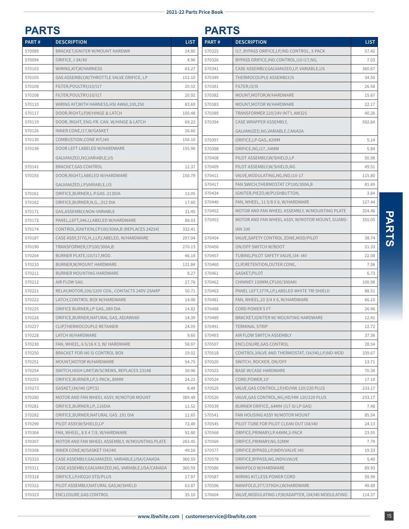| PART#  | <b>DESCRIPTION</b>                                | LIST.  | PART#  | <b>DESCRIPTION</b>                                  | LIST.  |
|--------|---------------------------------------------------|--------|--------|-----------------------------------------------------|--------|
| 570089 | BRACKET, IGNITER W/MOUNT HARDWR                   | 14.80  | 570325 | 117, BYPASS ORIFICE, LP, IND. CONTROL, 3-PACK       | 57.42  |
| 570094 | ORIFICE, I-34/40                                  | 4.96   | 570326 | BYPASS ORIFICE, IND.CONTROL, 110 117, NG,           | 7.03   |
| 570103 | WIRING, KIT, W/HARNESS                            | 63.27  | 570341 | CASE ASSEMBLY, GALVANIZED, LP, VARIABLE, US         | 360.67 |
| 570105 | GAS ASSEMBLY, W/THROTTLE VALVE ORIFICE, LP        | 152.10 | 570349 | THERMOCOUPLE ASSEMBLY, 15                           | 34.50  |
| 570108 | FILTER, POULTRY, 110/117                          | 20.92  | 570381 | <b>FILTER, 13/15</b>                                | 26.58  |
| 570108 | FILTER, POULTRY, 110/117                          | 20.92  | 570382 | MOUNT, MOTOR, W/HARDWARE                            | 15.67  |
| 570110 | WIRING KIT, WITH HARNESS, HSI AW60, 100, 250      | 83.69  | 570383 | MOUNT, MOTOR W/HARDWARE                             | 22.17  |
| 570117 | DOOR, RIGHT, LP, W/HINGE & LATCH                  | 100.48 | 570389 | TRANSFORMER 220/24V INT'L AW325                     | 40.26  |
| 570119 | DOOR, RIGHT, ENG-FR. CAN. W/HINGE & LATCH         | 69.22  | 570394 | CASE WRAPPER ASSEMBLY,                              | 592.64 |
| 570126 | INNER CONE, 117, W/GASKET                         | 26.60  |        | GALVANIZED, NG, VARIABLE, CANADA                    |        |
| 570130 | COMBUSTION, CONE KIT, 140                         | 156.10 | 570397 | ORIFICE, LP-GAS, .42MM                              | 5.14   |
| 570136 | DOOR LEFT LABELED W/HARDWARE                      | 155.96 | 570398 | ORIFICE, NG, 117, .54MM                             | 5.84   |
|        | GALVANIZED, NG, VARIABLE, US                      |        | 570408 | PILOT ASSEMBLY, W/SHIELD, LP                        | 50.98  |
| 570141 | <b>BRACKET, GAS CONTROL</b>                       | 12.37  | 570409 | PILOT ASSEMBLY, W/SHIELD, NG                        | 49.51  |
| 570155 | DOOR, RIGHT, LABELED W/HARDWARE                   | 150.79 | 570411 | VALVE, MODULATING, NG, IND, 110-17                  | 115.80 |
|        | GALVANIZED, LP, VARIABLE, US                      |        | 570417 | FAN SWICH, THERMOSTAT CP100/300A, B                 | 81.69  |
| 570161 | ORIFICE, BURNER, L.P.GAS . 213DIA                 | 13.05  | 570434 | IGNITER, PIEZO, W/PUSHBUTTON,                       | 3.84   |
| 570162 | ORIFICE, BURNER, N, G., 312 DIA                   | 17.60  | 570440 | FAN, WHEEL, 11 5/8 X 6, W/HARDWARE                  | 127.44 |
| 570171 | GAS, ASSEMBLY, NON-VARIABLE                       | 31.45  | 570452 | MOTOR AND FAN WHEEL ASSEMBLY, W/MOUNTING PLATE      | 324.46 |
| 570172 | PANEL, LEFT, 346J, LABELED W/HARDWARE             | 88.03  | 570453 | MOTOR AND FAN WHEEL ASSY, W/MOTOR MOUNT, GUARD-     | 355.05 |
| 570174 | CONTROL, IGNITION, CP100/300A, B (REPLACES 24254) | 332.41 |        | <b>IAN 100</b>                                      |        |
| 570187 | CASE ASSY,377G,H,J,LP,LABELED, W/HARDWARE         | 297.04 | 570454 | VALVE, SAFETY CONTROL ZONE, MOD/PILOT               | 38.74  |
| 570190 | TRANSFORMER, CP100/300A, B                        | 270.13 | 570456 | ON/OFF SWITCH W/BOOT                                | 21.33  |
| 570204 | BURNER PLATE, 10/117, MOD.                        | 46.18  | 570457 | TUBING, PILOT SAFETY VALVE, 134-140                 | 22.08  |
| 570210 | BURNER, W/MOUNT HARDWARE                          | 131.84 | 570460 | CLIP, RETENTION, OUTER CONE,                        | 7.56   |
| 570211 | BURNER MOUNTING HARDWARE                          | 8.27   | 570461 | GASKET, PILOT                                       | 6.73   |
| 570212 | <b>AIR FLOW SAIL</b>                              | 27.76  | 570462 | CHIMNEY 150MM, CP100/300AKI                         | 100.98 |
| 570221 | RELAY, MOTOR, 100/120V COIL, CONTACTS 240V-25AMP  | 50.71  | 570463 | PANEL LEFT, 377K, LP, LABELED WHITE TRI SHIELD      | 88.51  |
| 570222 | LATCH, CONTROL BOX W/HARDWARE                     | 14.06  | 570481 | FAN, WHEEL, 10 3/4 X 6, W/HARDWARE                  | 66.10  |
| 570225 | ORIFICE BURNER, LP GAS, .089 DIA                  | 14.82  | 570488 | CORD POWER 5 FT                                     | 26.96  |
| 570226 | ORIFICE, BURNER, NATURAL GAS, AD/AW060            | 14.39  | 570489 | BRACKET, IGNITER W/ MOUNTING HARDWARE               | 12.41  |
| 570227 | CLIP, THERMOCOUPLE RETAINER                       | 24.05  | 570491 | TERMINAL STRIP                                      | 12.72  |
| 570228 | LATCH W/HARDWARE                                  | 9.60   | 570493 | AIR FLOW SWITCH ASSEMBLY                            | 37.36  |
| 570230 | FAN, WHEEL, 6 5/16 X 3, W/ HARDWARE               | 58.97  | 570507 | ENCLOSURE, GAS CONTROL                              | 28.54  |
| 570250 | BRACKET FOR 140 SI CONTROL BOX                    | 19.02  | 570518 | CONTROL, VALVE AND THERMOSTAT, 134/140, LP, IND-MOD | 339.67 |
| 570251 | MOUNT, MOTOR W/HARDWARE                           | 54.75  | 570520 | SWITCH, ROCKER, ON/OFF                              | 13.71  |
| 570254 | SWITCH, HIGH LIMIT, W/SCREWS, REPLACES 23148      | 30.96  | 570522 | <b>BASE W/CASE HARDWARE</b>                         | 70.38  |
| 570255 | ORIFICE, BURNER, LP, 3-PACK, .89MM                | 24.22  | 570524 | CORD, POWER, 10'                                    | 17.10  |
| 570273 | GASKET, 134/140 (2PCS)                            | 8.49   | 570525 | VALVE, GAS CONTROL, LP, HD/HW 120/220 PLUS          | 233.17 |
| 570280 | MOTOR AND FAN WHEEL ASSY, W/MOTOR MOUNT           | 389.49 | 570526 | VALVE, GAS CONTROL, NG, HD/HW 120/220 PLUS          | 233.17 |
| 570281 | ORIFICE, BURNER, LP, . 116DIA                     | 11.52  | 570539 | BURNER ORIFICE, 64MM (I17-SI LP GAS)                | 7.48   |
| 570282 | ORIFICE, BURNER, NATURAL GAS . 191 DIA            | 11.65  | 570541 | FAN HOUSING ASSY W/MOTOR MOUNT                      | 85.54  |
| 570290 | PILOT ASSY, W/SHIELD, LP                          | 72.49  | 570545 | PILOT TUBE FOR PILOT CLEAN OUT I34/I40              | 24.13  |
| 570304 | FAN, WHEEL, 8 X 4 7/8, W/HARDWARE                 | 92.80  | 570568 | ORIFICE, PRIMARY, LP.44MM, 3-PACK                   | 23.55  |
| 570307 | MOTOR AND FAN WHEEL ASSEMBLY, W/MOUNTING PLATE    | 283.45 | 570569 | ORIFICE, PRIMARY, NG.52MM                           | 7.79   |
| 570308 | INNER CONE, W/GASKET I34/I40                      | 49.16  | 570577 | ORIFICE, BYPASS, LP, INDIV. VALVE 140               | 19.33  |
| 570310 | CASE ASSEMBLY, GALVANIZED, VARIABLE, USA/CANADA   | 360.59 | 570578 | ORIFICE, BYPASS, NG, INDIV.VALVE                    | 5.40   |
| 570311 | CASE ASSEMBLY,GALVANIZED,NG, VARIABLE,USA/CANADA  | 360.59 | 570586 | MANIFOLD W/HARDWARE                                 | 69.93  |
| 570318 | ORIFICE, LP, HD220 STD/PLUS                       | 17.97  | 570587 | WIRING KIT, LESS POWER CORD                         | 59.99  |
| 570322 | PILOT ASSEMBLY, NATURAL GAS, W/SHIELD             | 63.87  | 570596 | MANIFOLD,377/379GHJ,W/HARDWARE                      | 49.89  |
| 570323 | ENCLOSURE, GAS CONTROL                            | 35.10  | 570604 | VALVE, MODULATING LP, W/ADAPTER, 134/140 MODULATING | 114.37 |
|        |                                                   |        |        |                                                     |        |

| PART#  | <b>DESCRIPTION</b>                                  | <b>LIST</b> |
|--------|-----------------------------------------------------|-------------|
| 570325 | 117, BYPASS ORIFICE, LP, IND. CONTROL, 3-PACK       | 57.42       |
| 570326 | BYPASS ORIFICE, IND.CONTROL, 110 117, NG,           | 7.03        |
| 570341 | CASE ASSEMBLY, GALVANIZED, LP, VARIABLE, US         | 360.67      |
| 570349 | THERMOCOUPLE ASSEMBLY, 15                           | 34.50       |
| 570381 | <b>FILTER, 13/15</b>                                | 26.58       |
| 570382 | MOUNT, MOTOR, W/HARDWARE                            | 15.67       |
| 570383 | MOUNT, MOTOR W/HARDWARE                             | 22.17       |
| 570389 | TRANSFORMER 220/24V INT'L AW325                     | 40.26       |
| 570394 | CASE WRAPPER ASSEMBLY,                              | 592.64      |
|        | GALVANIZED, NG, VARIABLE, CANADA                    |             |
| 570397 | ORIFICE, LP-GAS, .42MM                              | 5.14        |
| 570398 | ORIFICE, NG, 117, .54MM                             | 5.84        |
| 570408 | PILOT ASSEMBLY, W/SHIELD, LP                        | 50.98       |
| 570409 | PILOT ASSEMBLY, W/SHIELD, NG                        | 49.51       |
| 570411 | VALVE, MODULATING, NG, IND, 110-17                  | 115.80      |
| 570417 | FAN SWICH, THERMOSTAT CP100/300A, B                 | 81.69       |
| 570434 | IGNITER, PIEZO, W/PUSHBUTTON,                       | 3.84        |
| 570440 | FAN, WHEEL, 11 5/8 X 6, W/HARDWARE                  | 127.44      |
| 570452 | MOTOR AND FAN WHEEL ASSEMBLY, W/MOUNTING PLATE      | 324.46      |
| 570453 | MOTOR AND FAN WHEEL ASSY, W/MOTOR MOUNT, GUARD-     | 355.05      |
|        | <b>IAN 100</b>                                      |             |
| 570454 | VALVE, SAFETY CONTROL ZONE, MOD/PILOT               | 38.74       |
| 570456 | ON/OFF SWITCH W/BOOT                                | 21.33       |
| 570457 | TUBING, PILOT SAFETY VALVE, 134-140                 | 22.08       |
| 570460 | CLIP, RETENTION, OUTER CONE,                        | 7.56        |
| 570461 | GASKET, PILOT                                       | 6.73        |
| 570462 | CHIMNEY 150MM, CP100/300AKI                         | 100.98      |
| 570463 | PANEL LEFT, 377K, LP, LABELED WHITE TRI SHIELD      | 88.51       |
| 570481 | FAN, WHEEL, 10 3/4 X 6, W/HARDWARE                  | 66.10       |
| 570488 | CORD POWER 5 FT                                     | 26.96       |
| 570489 | BRACKET, IGNITER W/ MOUNTING HARDWARE               | 12.41       |
| 570491 | <b>TERMINAL STRIP</b>                               | 12.72       |
| 570493 | AIR FLOW SWITCH ASSEMBLY                            | 37.36       |
| 570507 | ENCLOSURE, GAS CONTROL                              | 28.54       |
| 570518 | CONTROL, VALVE AND THERMOSTAT, 134/140, LP, IND-MOD | 339.67      |
| 570520 | SWITCH, ROCKER, ON/OFF                              | 13.71       |
| 570522 | <b>BASE W/CASE HARDWARE</b>                         | 70.38       |
| 570524 | CORD, POWER, 10'                                    | 17.10       |
| 570525 | VALVE, GAS CONTROL, LP, HD/HW 120/220 PLUS          | 233.17      |
| 570526 | VALVE, GAS CONTROL, NG, HD/HW 120/220 PLUS          | 233.17      |
| 570539 | BURNER ORIFICE, 64MM (117-SI LP GAS)                | 7.48        |
| 570541 | FAN HOUSING ASSY W/MOTOR MOUNT                      | 85.54       |
| 570545 | PILOT TUBE FOR PILOT CLEAN OUT 134/140              | 24.13       |
| 570568 | ORIFICE, PRIMARY, LP.44MM, 3-PACK                   | 23.55       |
| 570569 | ORIFICE, PRIMARY, NG.52MM                           | 7.79        |
| 570577 | ORIFICE, BYPASS, LP, INDIV. VALVE 140               | 19.33       |
| 570578 | ORIFICE, BYPASS, NG, INDIV. VALVE                   | 5.40        |
| 570586 | MANIFOLD W/HARDWARE                                 | 69.93       |
| 570587 | WIRING KIT, LESS POWER CORD                         | 59.99       |
| 570596 | MANIFOLD,377/379GHJ,W/HARDWARE                      | 49.89       |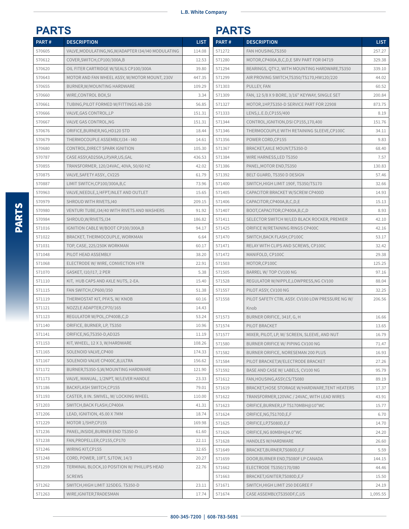| PART#  | <b>DESCRIPTION</b>                                  | <b>LIST</b> | PART#            | <b>DESCRIPTION</b>                               | LIST.             |
|--------|-----------------------------------------------------|-------------|------------------|--------------------------------------------------|-------------------|
| 570605 | VALVE, MODULATING, NG, W/ADAPTER 134/140 MODULATING | 114.08      | 571272           | FAN HOUSING, TS350                               | 257.27            |
| 570612 | COVER, SWITCH, CP100/300A, B                        | 12.53       | 571280           | MOTOR, CP400A, B, C, D, E SRV PART FOR 04719     | 329.38            |
| 570620 | OIL FITER CARTRIDGE W/SEALS CP100/300A              | 39.80       | 571294           | BEARINGS, QTY.2, WITH MOUNTING HARDWARE, TS350   | 339.10            |
| 570643 | MOTOR AND FAN WHEEL ASSY, W/MOTOR MOUNT, 230V       | 447.35      | 571299           | AIR PROVING SWITCH, TS350/TS170, HW120/220       | 44.02             |
| 570655 | BURNER, W/MOUNTING HARDWARE                         | 109.29      | 571303           | PULLEY, FAN                                      | 60.52             |
| 570660 | WIRE, CONTROL BOX, SI                               | 3.34        | 571309           | FAN, 12 5/8 X 9 BORE, 3/16" KEYWAY, SINGLE SET   | 200.84            |
| 570661 | TUBING, PILOT FORMED W/FITTINGS AB-250              | 56.85       | 571327           | MOTOR, 1HP, TS350-D SERVICE PART FOR 22908       | 873.75            |
| 570666 | VALVE, GAS CONTROL, LP                              | 151.31      | 571333           | LENS, L.E.D, CP155/400                           | 8.19              |
| 570667 | VALVE GAS CONTROL, NG                               | 151.31      | 571344           | CONTROL, IGNITION, DSI CP155, 170, 400           | 151.76            |
| 570676 | ORIFICE, BURNER, NG, HD120 STD                      | 18.44       | 571346           | THERMOCOUPLE WITH RETAINING SLEEVE, CP100C       | 34.11             |
| 570679 | THERMOCOUPLE ASSEMBLY, 134 - 140                    | 14.61       | 571356           | POWER CORD, CP155                                | 9.83              |
| 570680 | CONTROL, DIRECT SPARK IGNITION                      | 105.30      | 571367           | BRACKET, AXLE MOUNT, TS350-D                     | 68.40             |
| 570787 | CASE ASSY, AD250A, LP, VAR, US, GAL                 | 436.53      | 571384           | WIRE HARNESS, LED TS350                          | 7.57              |
| 570855 | TRANSFORMER, 120/24VAC, 40VA, 50/60 HZ              | 42.02       | 571386           | PANEL, MOTOR END, TS350                          | 130.83            |
| 570875 | VALVE, SAFETY ASSY., CV225                          | 61.79       | 571392           | BELT GUARD, TS350 D DESIGN                       | 57.46             |
| 570887 | LIMIT SWITCH, CP100/300A, B, C                      | 73.96       | 571400           | SWITCH, HIGH LIMIT 190F, TS350/TS170             | 32.66             |
| 570963 | VALVE, NEEDLE, 1/4FPT, INLET AND OUTLET             | 15.65       | 571405           | CAPACITOR BRACKET W/SCREW CP400D                 | 14.93             |
| 570979 | SHROUD WITH RIVETS, 140                             | 209.15      | 571406           | CAPACITOR, CP400A, B, C, D, E                    | 15.13             |
| 570980 | VENTURI TUBE, 134/40 WITH RIVETS AND WASHERS        | 91.92       | 571407           | BOOT, CAPACITOR, CP400A, B, C, D                 | 8.93              |
| 570984 | SHROUD, W/RIVETS, 134                               | 186.82      | 571411           | SELECTOR SWITCH W/LED BLACK ROCKER, PREMIER      | 42.10             |
| 571016 | IGNITION CABLE W/BOOT CP100/300A,B                  | 94.17       | 571425           | ORIFICE W/RETAINING RINGS CP400C                 | 42.16             |
| 571022 | BRACKET, THERMOCOUPLE, WORKMAN                      | 6.64        | 571470           | SWITCH, BACK FLASH, CP100C                       | 53.17             |
| 571031 | TOP, CASE, 225/250K WORKMAN                         | 60.17       | 571471           | RELAY WITH CLIPS AND SCREWS, CP100C              | 32.42             |
| 571048 | PILOT HEAD ASSEMBLY                                 | 38.20       | 571472           | MANIFOLD, CP100C                                 | 29.38             |
| 571068 | ELECTRODE W/WIRE, CONVECTION HTR                    | 22.91       | 571503           | MOTOR, CP100C                                    | 125.25            |
| 571070 | GASKET, I10/I17, 2 PER                              | 5.38        | 571505           | BARREL W/ TOP CV100 NG                           | 97.16             |
| 571110 | KIT, HUB CAPS AND AXLE NUTS, 2-EA.                  | 15.40       | 571528           | REGULATOR W/NIPPLE, LOWPRESS, NG CV100           | 88.04             |
| 571115 | FAN SWITCH, CP600/350                               | 51.38       | 571557           | PILOT ASSY, CV100 NG                             | 32.25             |
| 571119 | THERMOSTAT KIT, PFA'S, W/ KNOB                      | 60.16       | 571558           | PILOT SAFETY CTRL ASSY. CV100 LOW PRESSURE NG W/ | 206.56            |
| 571121 | NOZZLE ADAPTER, CP70/165                            | 14.43       |                  | Knob                                             |                   |
| 571123 | REGULATOR W/POL, CP400B, C, D                       | 53.24       | 571573           | BURNER ORIFICE, 341F, G, H                       | 16.66             |
| 571140 | ORIFICE, BURNER, LP, TS350                          | 10.96       | 571574           | PILOT BRACKET                                    | 13.65             |
| 571141 | ORIFICE, NG, TS350-D, AD325                         | 11.19       | 571577           | MIXER, PILOT, LP, W/ SCREEN, SLEEVE, AND NUT     | 16.79             |
| 571153 | KIT, WHEEL, 12 X 3, W/HARDWARE                      | 108.26      | 571580           | BURNER ORIFICE W/ PIPING CV100 NG                | 71.47             |
| 571165 | SOLENOID VALVE, CP400                               | 174.33      | 571582           | BURNER ORIFICE, NORESEMAN 200 PLUS               | 16.93             |
| 571167 | SOLENOID VALVE CP400C, B, ULTRA                     | 156.62      | 571584           | PILOT BRACKET, W/ELECTRODE BRACKET               | 27.26             |
| 571172 | BURNER, TS350-S, W/MOUNTING HARDWARE                | 121.90      | 571592           | BASE AND CASE W/ LABELS, CV100 NG                | 95.79             |
| 571173 | VALVE, MANUAL, 1/2NPT, W/LEVER HANDLE               | 23.33       | 571612           | FAN, HOUSING, ASSY, CS/TS080                     | 89.19             |
| 571186 | BACKFLASH SWITCH, CP155                             | 79.01       | 571619           | BRACKET, HOSE STORAGE W/HARDWARE, TENT HEATERS   | 17.37             |
| 571193 | CASTER, 8 IN. SWIVEL, W/ LOCKING WHEEL              | 110.00      | 571622           | TRANSFORMER, 120VAC / 24VAC, WITH LEAD WIRES     | 43.91             |
| 571203 | SWITCH, BACK FLASH, CP400A                          | 41.31       | 571623           | ORIFICE, BURNER, LP TS170MBH@10"WC               | 15.77             |
| 571206 | LEAD, IGNITION, 45.00 X 7MM                         | 18.74       | 571624           | ORIFICE, NG, TS170D, E, F                        | 6.70              |
| 571229 | MOTOR 1/5HP,CP155                                   | 169.98      | 571625           | ORIFICE, LP, TS080D, E, F                        | 14.70             |
| 571236 | PANEL, INSIDE, BURNER END TS350-D                   | 61.60       | 571626           | ORIFICE, NG 80MBH@4.0"WC                         | 24.20             |
| 571238 | FAN, PROPELLER, CP155, CP170                        | 22.11       | 571628           | HANDLES W/HARDWARE                               | 26.60             |
| 571246 | WIRING KIT, CP155                                   | 32.65       |                  |                                                  |                   |
| 571248 | CORD, POWER, 10FT, SJTOW, 14/3                      | 20.27       | 571649<br>571659 | BRACKET, BURNER, TS080D, E, F                    | 5.59              |
| 571259 | TERMINAL BLOCK,10 POSITION W/ PHILLIPS HEAD         | 22.76       |                  | DOOR, BURNER END, TS080F LP CANADA               | 144.15<br>44.46   |
|        |                                                     |             | 571662           | ELECTRODE TS350/170/080                          |                   |
|        | <b>SCREWS</b>                                       |             | 571663           | BRACKET, IGNITER, TS080D, E, F                   | 15.50             |
| 571262 | SWITCH, HIGH LIMIT 325DEG. TS350-D                  | 23.11       | 571671           | SWITCH, HIGH LIMIT 250 DEGREE F                  | 24.19<br>1,095.55 |
| 571263 | WIRE, IGNITER, TRADESMAN                            | 17.74       | 571674           | CASE ASSEMBLY, TS350DF, C, US                    |                   |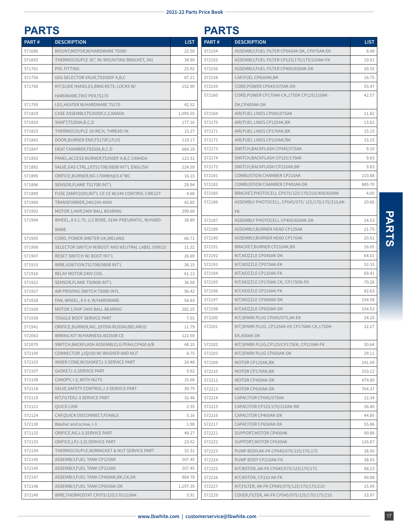#### **PARTS**

| PART#  | <b>DESCRIPTION</b>                                 | LIST.    | PART#  | <b>DESCRIPTION</b>                                   | <b>LIST</b>    |
|--------|----------------------------------------------------|----------|--------|------------------------------------------------------|----------------|
| 571686 | MOUNT, MOTOR, W/HARDWARE TS080                     | 22.50    | 572154 | ASSEMBLY, FUEL FILTER CP045AK-DK, CP075AK-EK         | 8.48           |
| 571693 | THERMOCOUPLE 30", W/ MOUNTING BRACKET, 341         | 34.99    | 572155 | ASSEMBLY, FUEL FILTER CP125/170/175/210AK-FK         | 10.91          |
| 571701 | POL FITTING                                        | 25.92    | 572156 | ASSEMBLY, FUEL FILTER CP400/650AK-DK                 | 30.55          |
| 571756 | GAS SELECTOR VALVE, TS350DF A, B, C                | 87.21    | 572158 | CAP, FUEL CP650AK, BK                                | 16.75          |
| 571760 | KIT, SLIDE HANDLES, BRACKETS, LOCKS W/             | 152.90   | 572159 | CORD, POWER CP045/075AK-DK                           | 55.47          |
|        | HARDWARE, TWO PER, TS170                           |          | 572160 | CORD, POWER CP170AK-CK, 175DK CP125/210AK-           | 42.57          |
| 571795 | LEG, HEATER W/HARDWARE TS170                       | 42.52    |        | DK,CP400AK-DK                                        |                |
| 571819 | CASE ASSEMBLY,TS350DF,C,CANADA                     | 1,095.55 | 572169 | AIR/FUEL LINES CP045/075AK                           | 11.82          |
| 571820 | SHAFT,TS350A,B,C,D                                 | 177.16   | 572170 | AIR/FUEL LINES CP125AK, BK                           | 13.62          |
| 571823 | THERMOCOUPLE 18 INCH, THREAD-IN                    | 15.27    | 572171 | AIR/FUEL LINES CP170AK, BK                           | 15.15          |
| 571842 | DOOR, BURNER END, TS170F, LP, US                   | 119.17   | 572172 | AIR/FUEL LINES CP210AK/BK                            | 15.15          |
| 571847 | HEAT CHAMBER, TS350A, B, C, D                      | 684.18   | 572173 | SWITCH, BACKFLASH CP045/075AK                        | 9.10           |
| 571853 | PANEL, ACCESS BURNER, TS350DF A, B, C CANADA       | 123.31   | 572174 | SWITCH, BACKFLASH CP125/170AK                        | 9.83           |
| 571892 | VALVE, GAS CTRL, LP, TS170B/080B INT'L ENGLISH     | 224.59   | 572175 | SWITCH, BACKFLASH CP210AK, BK                        | 9.83           |
| 571895 | ORIFICE, BURNER, NG 170MBH@3.6"WC                  | 16.15    | 572181 | COMBUSTION CHAMBER CP210AK                           | 210.88         |
| 571896 | SENSOR, FLAME TS170B INT'L                         | 29.94    | 572182 | COMBUSTION CHAMBER CP400AK-DK                        | 889.70         |
| 571899 | FUSE 2AMP/250V, INT'L CE CE W/24V CONTROL CIRCUIT  | 4.68     | 572185 | BRACKET, PHOTOCELL CP075/125/170/210/400/650AK       | 4.60           |
| 571900 | TRANSFORMER, 240/24V 40VA                          | 42.85    | 572186 | ASSEMBLY PHOTOCELL, CP045/075/125/170/175/210, AK-   | 20.66          |
| 571902 | MOTOR 1/4HP,240V BALL BEARING                      | 299.60   |        | <b>FK</b>                                            |                |
| 571904 | WHEEL, 8 X 1.75, 1/2 BORE, SEMI-PNEUMATIC, W/HARD- | 38.89    | 572187 | ASSEMBLY PHOTOCELL CP400/650AK-DK                    | 14.53          |
|        | <b>WARE</b>                                        |          | 572189 | ASSEMBLY, BURNER HEAD CP125AK                        | 21.75          |
| 571905 | CORD, POWER 3METER UK, IRELAND                     | 66.71    | 572190 | ASSEMBLY, BURNER HEAD CP170AK                        | 20.51          |
| 571906 | SELECTOR SWITCH W/BOOT AND NEUTRAL LABEL (09915)   | 31.32    | 572191 | BRACKET, BURNER CP210AK, BK                          | 16.05          |
| 571907 | RESET SWITCH W/ BOOT INT'L                         | 26.69    | 572192 | KIT, NOZZLE CP045AK-DK                               | 64.01          |
| 571915 | WIRE, IGNITION, TS170B/080B INT'L                  | 36.15    | 572193 | KIT, NOZZLE CP075AK-EK                               | 52.33          |
| 571916 | RELAY MOTOR 240V COIL                              | 61.13    | 572194 | KIT, NOZZLE CP125AK-FK                               | 69.41          |
| 571922 | SENSOR, FLAME TS080B INT'L                         | 36.58    | 572195 | KIT, NOZZLE CP170AK-CK, CP175DK-FK                   | 70.26          |
| 571927 | AIR PROVING SWITCH TS080 INTL                      | 56.42    | 572196 | KIT, NOZZLE CP210AK-FK                               | 82.63          |
| 571928 | FAN, WHEEL, 8 X 4, W/HARDWARE                      | 56.83    | 572197 | KIT, NOZZLE CP400AK-DK                               | 154.58         |
| 571929 | MOTOR 1/5HP 240V BALL BEARING                      | 282.25   | 572198 | KIT, NOZZLE CP650AK-DK                               | 154.53         |
| 571939 | TOGGLE BOOT SERVICE PART                           | 7.01     | 572200 | KIT, SPARK PLUG CP045/075, AK-EK                     | 24.25          |
| 571941 | ORIFICE, BURNER, NG, .297DIA RUSSIA/BELARUS        | 11.79    | 572201 | KIT, SPARK PLUG, CP125AK-EK CP170AK-CK, 175DK-       | 32.27          |
| 572063 | WIRING KIT W/HARNESS AD250B CE                     | 122.59   |        | <b>EK.400AK-DK</b>                                   |                |
| 572079 | SWITCH, BACKFLASH ASSEMBLY, LG PFAH, CP400 A/B     | 48.10    | 572202 | KIT, SPARK PLUG, CP125/CP175EK, CP210AK-FK           | 30.64          |
| 572100 | CONNECTOR, LIQUID W/ WASHER AND NUT                | 8.75     | 572203 | KIT, SPARK PLUG CP650AK-DK                           | 29.11          |
| 572103 | INNER CONE, W/GASKET, I-3 SERVICE PART             | 24.48    | 572209 | MOTOR CP125AK, BK                                    | 241.09         |
| 572107 | GASKET, I-3, SERVICE PART                          | 5.62     | 572210 | MOTOR CP170AK, BK                                    | 310.12         |
| 572108 | CANOPY, I-3, WITH NUTS                             | 15.68    | 572212 | MOTOR CP400AK-DK                                     | 479.80         |
| 572118 | VALVE, SAFETY CONTROL, I-3 SERVICE PART            | 30.79    | 572213 | MOTOR CP650AK-DK                                     | 704.37         |
| 572119 | KIT, FILTER, I-3 SERVICE PART                      | 32.46    | 572214 | CAPACITOR CP045/075AK                                | 12.34          |
| 572121 | QUICK LINK                                         | 2.35     | 572215 |                                                      |                |
| 572124 | CAP, QUICK DISCONNECT, FEMALE                      | 5.16     | 572216 | CAPACITOR CP125/170/210AK-BK<br>CAPACITOR CP400AK-DK | 36.80<br>44.85 |
| 572130 |                                                    |          |        | CAPACITOR CP650AK-DK                                 |                |
|        | Washer and screw, I-3                              | 1.98     | 572217 |                                                      | 55.86          |
| 572132 | ORIFICE, NG, I-3, SERVICE PART                     | 49.27    | 572221 | SUPPORT, MOTOR CP400AK                               | 90.88          |
| 572133 | ORIFICE, LP, I-3, SI, SERVICE PART                 | 23.52    | 572222 | SUPPORT, MOTOR CP650AK                               | 126.87         |
| 572134 | THERMOCOUPLE, W/BRACKET & NUT SERVICE PART         | 32.31    | 572223 | PUMP BODY, AK-FK CP045/075/125/170, 175              | 38.50          |
| 572145 | ASSEMBLY, FUEL TANK CP125AK                        | 207.45   | 572224 | PUMP BODY CP210AK-FK                                 | 38.93          |
| 572145 | ASSEMBLY, FUEL TANK CP125AK                        | 207.45   | 572225 | KIT, ROTOR, AK-FK CP045/075/125/170/175              | 98.23          |
| 572147 | ASSEMBLY, FUEL TANK CP400AK, BK, CK, DK            | 864.78   | 572226 | KIT, ROTOR, CP210 AK-FK                              | 90.88          |
| 572148 | ASSEMBLY, FUEL TANK CP650AK-DK                     | 1,197.35 | 572227 | KIT, FILTER, AK-FK CP045/075/125/170/175/210         | 15.99          |
| 572149 | WIRE, THERMOSTAT CP075/125/170/210AK               | 5.91     | 572229 | COVER, FILTER, AK-FK CP045/075/125/170/175/210       | 33.97          |

# **PARTS**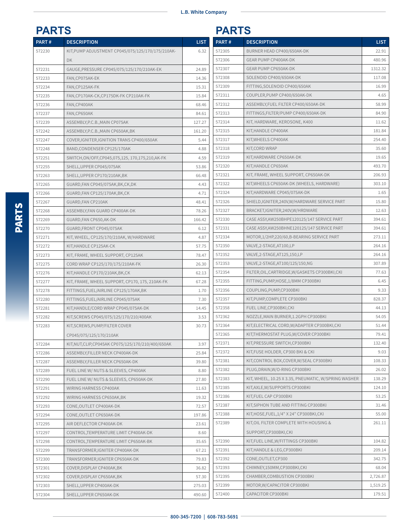| PART#  | <b>DESCRIPTION</b>                                    | <b>LIST</b> | PART#  | <b>DESCRIPTION</b>                                   | LIST.    |
|--------|-------------------------------------------------------|-------------|--------|------------------------------------------------------|----------|
| 572230 | KIT, PUMP ADJUSTMENT CP045/075/125/170/175/210AK-     | 6.32        | 572305 | BURNER HEAD CP400/650AK-DK                           | 22.91    |
|        | DK.                                                   |             | 572306 | GEAR PUMP CP400AK-DK                                 | 480.96   |
| 572231 | GAUGE, PRESSURE CP045/075/125/170/210AK-EK            | 24.89       | 572307 | GEAR PUMP CP650AK-DK                                 | 1312.32  |
| 572233 | FAN, CP075AK-EK                                       | 14.36       | 572308 | SOLENOID CP400/650AK-DK                              | 117.08   |
| 572234 | FAN, CP125AK-FK                                       | 15.31       | 572309 | FITTING, SOLENOID CP400/650AK                        | 16.99    |
| 572235 | FAN, CP170AK-CK, CP175DK-FK CP210AK-FK                | 15.84       | 572311 | COUPLER, PUMP CP400/650AK-DK                         | 4.65     |
| 572236 | FAN, CP400AK                                          | 68.46       | 572312 | ASSEMBLY, FUEL FILTER CP400/650AK-DK                 | 58.99    |
| 572237 | FAN, CP650AK                                          | 84.61       | 572313 | FITTINGS, FILTER/PUMP CP400/650AK-DK                 | 84.90    |
| 572239 | ASSEMBLY, P.C.B., MAIN CP075AK                        | 127.27      | 572314 | KIT, HARDWARE, KEROSONE, K400                        | 11.62    |
| 572242 | ASSEMBLY, P.C.B., MAIN CP650AK, BK                    | 161.20      | 572315 | KIT, HANDLE CP400AK                                  | 181.84   |
| 572247 | COVER, IGNITER, IGNITION TRANS CP400/650AK            | 5.44        | 572317 | KIT, WHEELS CP400AK                                  | 254.40   |
| 572248 | BAND, CONDENSER CP125/170AK                           | 4.88        | 572318 | KIT, CORD WRAP                                       | 35.60    |
| 572251 | SWITCH, ON/OFF, CP045, 075, 125, 170, 175, 210, AK-FK | 4.59        | 572319 | KIT, HARDWARE CP650AK-DK                             | 19.65    |
| 572255 | SHELL, UPPER CP045/075AK                              | 53.86       | 572320 | KIT, HANDLE CP650AK                                  | 493.70   |
| 572263 | SHELL, UPPER CP170/210AK, BK                          | 66.48       | 572321 | KIT, FRAME, WHEEL SUPPORT, CP650AK-DK                | 206.93   |
| 572265 | GUARD, FAN CP045/075AK, BK, CK, DK                    | 4.43        | 572322 | KIT, WHEELS CP650AK-DK (WHEELS, HARDWARE)            | 303.10   |
| 572266 | GUARD, FAN CP125/170AK, BK, CK                        | 4.71        | 572324 | KIT, HARDWARE CP045/075AK-DK                         | 1.65     |
| 572267 | GUARD, FAN CP210AK                                    | 48.41       | 572326 | SHIELD, IGNITER, 240V, W/HARDWARE SERVICE PART       | 15.80    |
| 572268 | ASSEMBLY, FAN GUARD CP400AK-DK                        | 78.26       | 572327 | BRACKET, IGNITER, 240V, W/HRDWARE                    | 12.63    |
| 572269 | GUARD, FAN CP650, AK-DK                               | 166.42      | 572330 | CASE ASSY, AW250BHPE120125/147 SERVICE PART          | 394.61   |
| 572270 | GUARD, FRONT CP045/075AK                              | 6.12        | 572331 | CASE ASSY, AW250BHNE120125/147 SERVICE PART          | 394.61   |
| 572271 | KIT, WHEEL, CP125/170/210AK, W/HARDWARE               | 4.87        | 572334 | MOTOR, 1/2HP, 220/60, B-BEARING SERVICE PART         | 273.11   |
| 572272 | KIT, HANDLE CP125AK-CK                                | 57.75       | 572350 | VALVE, 2-STAGE, AT100, LP                            | 264.16   |
| 572273 | KIT, FRAME, WHEEL SUPPORT, CP125AK                    | 78.47       | 572352 | VALVE, 2-STAGE, AT125, 150, LP                       | 264.16   |
| 572275 | CORD WRAP CP125/170/175/210AK-FK                      | 26.30       | 572353 | VALVE, 2-STAGE, AT 100/125/150, NG                   | 307.89   |
| 572276 | KIT,HANDLE CP170/210AK,BK,CK                          | 62.13       | 572354 | FILTER, OIL, CARTRIDGE, W/GASKETS CP300BKI, CKI      | 77.63    |
| 572277 | KIT, FRAME, WHEEL SUPPORT, CP170, 175, 210AK-FK       | 67.28       | 572355 | FITTING, PUMP, HOSE, 1/8MM CP300BKI                  | 6.45     |
| 572278 | FITTINGS, FUEL/AIRLINE CP125/170AK, BK                | 1.70        | 572356 | COUPLING, PUMP, CP300BKI                             | 9.33     |
| 572280 | FITTINGS, FUEL/AIRLINE CP045/075AK                    | 7.30        | 572357 | KIT, PUMP, COMPLETE CP300BKI                         | 828.37   |
| 572281 | KIT, HANDLE/CORD WRAP CP045/075AK-DK                  | 14.45       | 572358 | FUEL LINE, CP300BKI, CKI                             | 44.13    |
| 572282 | KIT, SCREWS CP045/075/125/170/210/400AK               | 3.53        | 572362 | NOZZLE, MAIN BURNER, 1.2GPH CP300BKI                 | 54.05    |
| 572283 | KIT, SCREWS, PUMP/FILTER COVER                        | 30.73       | 572364 | KIT, ELECTRICAL CORD, W/ADAPTER CP300BKI, CKI        | 51.44    |
|        | CP045/075/125/170/210AK                               |             | 572365 | KIT, THERMOSTAT PLUG, W/COVER CP300BKI               | 79.41    |
| 572284 | KIT, NUT, CLIP, CP045AK CP075/125/170/210/400/650AK   | 3.97        | 572371 | KIT, PRESSURE SWITCH, CP300BKI                       | 132.40   |
| 572286 | ASSEMBLY, FILLER NECK CP400AK-DK                      | 25.84       | 572372 | KIT, FUSE HOLDER, CP300 BKI & CKI                    | 9.03     |
| 572287 | ASSEMBLY, FILLER NECK CP650AK-DK                      | 39.80       | 572381 | KIT, CONTROL BOX, COVER, W/SEAL CP300BKI             | 108.33   |
| 572289 | FUEL LINE W/ NUTS & SLEEVES, CP400AK                  | 8.80        | 572382 | PLUG, DRAIN, W/O-RING CP300BKI                       | 26.02    |
| 572290 | FUEL LINE W/ NUTS & SLEEVES, CP650AK-DK               | 27.80       | 572383 | KIT, WHEEL, 10.25 X 3.35, PNEUMATIC, W/SPRING WASHER | 138.29   |
| 572291 | WIRING HARNESS CP400AK                                | 11.63       | 572385 | KIT, AXLE, W/SUPPORTS CP300BKI                       | 124.10   |
| 572292 | WIRING HARNESS CP650AK,BK                             | 19.32       | 572386 | KIT, FUEL CAP CP300BKI                               | 53.25    |
| 572293 | CONE, OUTLET CP400AK-DK                               | 72.57       | 572387 | KIT, SIPHON TUBE AND FITTING CP300BKI                | 31.46    |
| 572294 | CONE, OUTLET CP650AK-DK                               | 197.86      | 572388 | KIT, HOSE, FUEL, 1/4" X 24" CP300BKI, CKI            | 55.00    |
| 572295 | AIR DEFLECTOR CP400AK-DK                              | 23.61       | 572389 | KIT, OIL FILTER COMPLETE WITH HOUSING &              | 261.11   |
| 572297 | CONTROL, TEMPERATURE LIMIT CP400AK-DK                 | 8.60        |        | SUPPORT, CP300BKI, CKI                               |          |
| 572298 | CONTROL, TEMPERATURE LIMIT CP650AK-BK                 | 35.65       | 572390 | KIT, FUEL LINE, W/FITTINGS CP300BKI                  | 104.82   |
| 572299 | TRANSFORMER, IGNITER CP400AK-DK                       | 67.21       | 572391 | KIT, HANDLE & LEG, CP300BKI                          | 209.14   |
| 572300 | TRANSFORMER, IGNITER CP650AK-DK                       | 79.83       | 572392 | CONE, OUTLET, CP300                                  | 342.75   |
| 572301 | COVER, DISPLAY CP400AK, BK                            | 36.82       | 572393 | CHIMNEY,150MM,CP300BKI,CKI                           | 68.04    |
| 572302 | COVER, DISPLAY CP650AK, BK                            | 57.30       | 572395 | CHAMBER, COMBUSTION CP300BKI                         | 2,726.87 |
|        |                                                       |             |        |                                                      |          |
| 572303 | SHELL, UPPER CP400AK-DK                               | 275.03      | 572399 | MOTOR, W/CAPACITOR CP300BKI                          | 1,519.25 |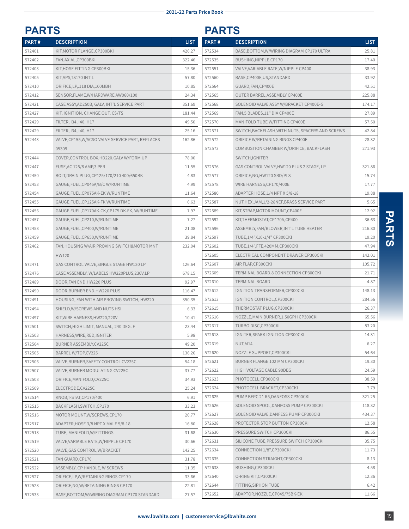#### **PARTS**

| PART#  | <b>DESCRIPTION</b>                                | LIST.  | PART#  | <b>DESCRIPTION</b>                               | <b>LIST</b> |
|--------|---------------------------------------------------|--------|--------|--------------------------------------------------|-------------|
| 572401 | KIT, MOTOR FLANGE, CP300BKI                       | 426.27 | 572534 | BASE, BOTTOM, W/WIRING DIAGRAM CP170 ULTRA       | 25.81       |
| 572402 | FAN, AXIAL, CP300BKI                              | 322.46 | 572535 | BUSHING, NIPPLE, CP170                           | 17.40       |
| 572403 | KIT, HOSE FITTING CP300BKI                        | 15.36  | 572551 | VALVE, VARIABLE RATE, W/NIPPLE CP400             | 38.93       |
| 572405 | KIT, APS, TS170 INT'L                             | 57.80  | 572560 | BASE, CP400E, US, STANDARD                       | 33.92       |
| 572410 | ORIFICE, LP., 118 DIA, 100MBH                     | 10.85  | 572564 | GUARD, FAN, CP400E                               | 42.51       |
| 572412 | SENSOR, FLAME, W/HARDWARE AW060/100               | 24.34  | 572565 | OUTER BARREL, ASSEMBLY CP400E                    | 225.88      |
| 572421 | CASE ASSY, AD250B, GALV, INT'L SERVICE PART       | 351.69 | 572568 | SOLENOID VALVE ASSY W/BRACKET CP400E-G           | 174.17      |
| 572427 | KIT, IGNITION, CHANGE OUT, CS/TS                  | 181.44 | 572569 | FAN, 5 BLADES, 11" DIA CP400E                    | 27.89       |
| 572429 | FILTER, 134, 140, H17                             | 49.50  | 572570 | MANIFOLD TUBE W/FITTING CP400E                   | 57.50       |
| 572429 | FILTER, 134, 140, H17                             | 25.16  | 572571 | SWITCH, BACKFLASH, WITH NUTS, SPACERS AND SCREWS | 42.84       |
| 572443 | VALVE, CP155, W/ACSO VALVE SERVICE PART, REPLACES | 162.86 | 572572 | ORIFICE W/RETAINING RINGS CP400E                 | 28.32       |
|        | 05309                                             |        | 572573 | COMBUSTION CHAMBER W/ORIFICE, BACKFLASH          | 271.93      |
| 572444 | COVER, CONTROL BOX, HD220, GALV W/FORM UP         | 78.00  |        | SWITCH, IGNITER                                  |             |
| 572447 | FUSE, AC 125/8 AMP, 3 PER                         | 11.55  | 572576 | GAS CONTROL VALVE, HW120 PLUS 2 STAGE, LP        | 321.86      |
| 572450 | BOLT, DRAIN PLUG, CP125/170/210 400/650BK         | 4.83   | 572577 | ORIFICE, NG, HW120 SRD/PLS                       | 15.74       |
| 572453 | GAUGE, FUEL, CP045A/B/C W/RUNTIME                 | 4.99   | 572578 | WIRE HARNESS, CP170/400E                         | 17.77       |
| 572454 | GAUGE, FUEL, CP075AK-EK W/RUNTIME                 | 11.64  | 572580 | ADAPTER HOSE, 1/4 NPT X 5/8-18                   | 19.88       |
| 572455 | GAUGE, FUEL, CP125AK-FK W/RUNTIME                 | 6.63   | 572587 | NUT, HEX, JAM, 1/2-28NEF, BRASS SERVICE PART     | 5.65        |
| 572456 | GAUGE, FUEL, CP170AK-CK, CP175 DK-FK, W/RUNTIME   | 7.97   | 572589 | KIT, STRAP, MOTOR MOUNT, CP400E                  | 12.92       |
| 572457 | GAUGE,FUEL,CP210,W/RUNTIME                        | 7.27   | 572592 | KIT,THERMOSTAT,CP170A,CP400                      | 36.63       |
| 572458 | GAUGE,FUEL,CP400,W/RUNTIME                        | 21.08  | 572596 | ASSEMBLY, FAN/BLOWER, INT'L TUBE HEATER          | 216.80      |
| 572459 | GAUGE, FUEL, CP650, W/RUNTIME                     | 39.84  | 572597 | TUBE, 1/4"X10-1/4" CP300CKI                      | 19.20       |
| 572462 | FAN, HOUSING W/AIR PROVING SWITCH&MOTOR MNT       | 232.04 | 572602 | TUBE, 1/4", FFE, 420MM, CP300CKI                 | 47.94       |
|        | HW120                                             |        | 572605 | ELECTRICAL COMPONENT DRAWER CP300CKI             | 142.01      |
| 572471 | GAS CONTROL VALVE, SINGLE STAGE HW120 LP          | 126.64 | 572607 | AIR FLAP, CP300CKI                               | 105.72      |
| 572476 | CASE ASSEMBLY, W/LABELS HW220PLUS,230V,LP         | 678.15 | 572609 | TERMINAL BOARD, 8 CONNECTION CP300CKI            | 21.71       |
| 572489 | DOOR, FAN END. HW220 PLUS                         | 92.97  | 572610 | <b>TERMINAL BOARD</b>                            | 4.87        |
| 572490 | DOOR, BURNER END, HW220 PLUS                      | 116.47 | 572612 | IGNITION TRANSFORMER, CP300CKI                   | 148.13      |
| 572491 | HOUSING, FAN WITH AIR PROVING SWITCH, HW220       | 350.35 | 572613 | IGNITION CONTROL, CP300CKI                       | 284.56      |
| 572494 | SHIELD, W/SCREWS AND NUTS HSI                     | 6.33   | 572615 | THERMOSTAT PLUG, CP300CKI                        | 26.37       |
| 572497 | KIT, WIRE HARNESS, HW220, 220V                    | 10.41  | 572616 | NOZZLE, MAIN BURNER, 1.50GPH CP300CKI            | 65.56       |
| 572501 | SWITCH, HIGH LIMIT, MANUAL, 240 DEG. F            | 23.44  | 572617 | TURBO DISC, CP300CKI                             | 83.20       |
| 572503 | HARNESS, WIRE, RED, IGNITER                       | 5.98   | 572618 | IGNITER, SPARK IGNITION CP300CKI                 | 14.31       |
| 572504 | BURNER ASSEMBLY, CV225C                           | 49.20  | 572619 | NUT, M14                                         | 6.27        |
| 572505 | BARREL W/TOP,CV225                                | 136.26 | 572620 | NOZZLE SUPPORT, CP300CKI                         | 54.64       |
| 572506 | VALVE, BURNER, SAFETY CONTROL CV225C              | 54.18  | 572621 | BURNER FLANGE 102 MM CP300CKI                    | 19.30       |
| 572507 | VALVE, BURNER MODULATING CV225C                   | 37.77  | 572622 | HIGH VOLTAGE CABLE 90DEG                         | 24.59       |
| 572508 | ORIFICE, MANIFOLD, CV225C                         | 34.93  | 572623 | PHOTOCELL, CP300CKI                              | 38.59       |
| 572509 | ELECTRODE, CV225C                                 | 25.24  | 572624 | PHOTOCELL BRACKET, CP300CKI                      | 7.79        |
| 572514 | KNOB,T-STAT,CP170/400                             | 6.91   | 572625 | PUMP BFPC 21 R5, DANFOSS CP300CKI                | 321.25      |
| 572515 | BACKFLASH, SWITCH, CP170                          | 33.23  | 572626 | SOLENOID SPOOL, DANFOSS PUMP CP300CKI            | 118.32      |
| 572516 | MOTOR MOUNT, W/SCREWS, CP170                      | 20.77  | 572627 | SOLENOID VALVE, DANFESS PUMP CP300CKI            | 434.37      |
|        |                                                   |        | 572628 | PROTECTOR, STOP BUTTON CP300CKI                  | 12.58       |
| 572517 | ADAPTER, HOSE 3/8 NPT X MALE 5/8-18               | 16.80  | 572630 | PRESSURE SWITCH CP300CKI                         | 86.55       |
| 572518 | TUBE, MANIFOLD, W/FITTINGS                        | 31.68  | 572631 | SILICONE TUBE, PRESSURE SWITCH CP300CKI          | 35.75       |
| 572519 | VALVE, VARIABLE RATE, W/NIPPLE CP170              | 30.66  |        |                                                  |             |
| 572520 | VALVE, GAS CONTROL, W/BRACKET                     | 142.25 | 572634 | CONNECTION 1/8", CP300CKI                        | 11.73       |
| 572521 | FAN GUARD, CP170                                  | 31.78  | 572635 | CONNECTION STRAIGHT, CP300CKI                    | 8.13        |
| 572522 | ASSEMBLY, CP HANDLE, W SCREWS                     | 11.35  | 572638 | BUSHING, CP300CKI                                | 4.58        |
| 572527 | ORIFICE, LP, W/RETAINING RINGS CP170              | 33.66  | 572640 | O-RING KIT, CP300CKI                             | 12.36       |
| 572528 | ORIFICE, NG, W/RETAINING RINGS CP170              | 22.81  | 572644 | FITTING, SIPHON TUBE                             | 6.42        |
| 572533 | BASE, BOTTOM, W/WIRING DIAGRAM CP170 STANDARD     | 27.57  | 572652 | ADAPTOR, NOZZLE, CP045/75BK-EK                   | 11.66       |

#### W/WIRING DIAGRAM CP170 ULTRA 25.81 572535 BUSHING, NIPPLE, CP170 2012 17:40 E RATE, W/NIPPLE CP400 38.93  $S,$ STANDARD  $33.92$ 572564 GUARD,FAN,CP400E 42.51 ASSEMBLY CP400E 225.88 FE ASSY W/BRACKET CP400E-G 174.17 572569 FAN,5 BLADES,11" DIA CP400E 27.89 E W/FITTING CP400E 57.50 LASH, WITH NUTS, SPACERS AND SCREWS | 42.84 AINING RINGS CP400E 28.32 HAMBER W/ORIFICE, BACKFLASH SWITCH,IGNITER 271.93 VALVE,HW120 PLUS 2 STAGE, LP 321.86 120 SRD/PLS 15.74 572578 WIRE HARNESS,CP170/400E 17.77  $5,1/4$  NPT X 5/8-18 19.88 /2-28NEF,BRASS SERVICE PART 5.65 OR MOUNT,CP400E 12.92 572592 KIT,THERMOSTAT,CP170A,CP400 36.63 FREQUIPER, INT'L TUBE HEATER 216.80 1/4" CP300CKI 19.20 420MM,CP300CKI 47.94 MPONENT DRAWER CP300CKI 142.01 572607 | AIR FLAP,CP300CKI | 105.72 RD,8 CONNECTION CP300CKI 21.71 572610 TERMINAL BOARD 4.87 SFORMER,CP300CKI 148.13 TROL,CP300CKI 284.56 572615 THERMOSTAT PLUG,CP300CKI 26.37 8URNER,1.50GPH CP300CKI 65.56 572617 TURBO DISC,CP300CKI 83.20 IGNITION CP300CKI 14.31 572619 NUT,M14 6.27 **DRT,CP300CKI** 54.64 5726 BURNER FLANGE 102 MM CP300CKI 19.30 572622 HIGH VOLTAGE CABLE 90DEG 24.59 572623 PHOTOCELL,CP300CKI 38.59 ACKET,CP300CKI PHOTOCHL BRACKET,CP300CKI R5,DANFOSS CP300CKI 321.25 OL, DANFOSS PUMP CP300CKI 118.32 7E, DANFESS PUMP CP300CKI 434.37 THE STOP BUTTON CP300CKI 22.58 TCH CP300CKI 86.55 FRESSURE SWITCH CP300CKI 35.75 572634 CONNECTION 1/8",CP300CKI 11.73 572635 CONNECTION STRAIGHT,CP300CKI 8.13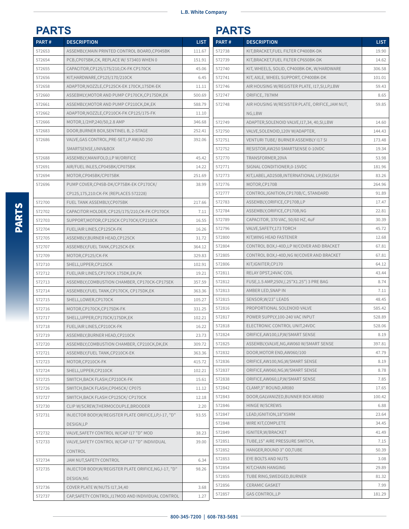|--|--|

| PART#  | <b>DESCRIPTION</b>                                     | <b>LIST</b> | PART#  | <b>DESCRIPTION</b>                              | <b>LIST</b> |
|--------|--------------------------------------------------------|-------------|--------|-------------------------------------------------|-------------|
| 572653 | ASSEMBLY, MAIN PRINTED CONTROL BOARD, CP045BK          | 111.67      | 572738 | KIT, BRACKET, FUEL FILTER CP400BK-DK            | 19.90       |
| 572654 | PCB, CP075BK, CK, REPLACE W/ 573403 WHEN 0             | 151.91      | 572739 | KIT, BRACKET, FUEL FILTER CP650BK-DK            | 14.62       |
| 572655 | CAPACITOR, CP125/175/210, CK-FK CP170CK                | 45.06       | 572740 | KIT, WHEELS, SOLID, CP400BK-DK, W/HARDWARE      | 306.58      |
| 572656 | KIT, HARDWARE, CP125/170/210CK                         | 6.45        | 572741 | KIT, AXLE, WHEEL SUPPORT, CP400BK-DK            | 101.01      |
| 572658 | ADAPTOR, NOZZLE, CP125CK-EK 170CK, 175DK-EK            | 11.11       | 572746 | AIR HOUSING W/REGISTER PLATE, 117, SI, LP, LBW  | 59.43       |
| 572660 | ASSEBMLY, MOTOR AND PUMP CP170CK, CP175DK, EK          | 500.69      | 572747 | ORIFICE,.787MM                                  | 8.65        |
| 572661 | ASSEMBLY, MOTOR AND PUMP CP210CK, DK, EK               | 588.79      | 572748 | AIR HOUSING W/RESISTER PLATE, ORIFICE, JAM NUT, | 59.85       |
| 572662 | ADAPTOR, NOZZLE, CP210CK-FK CP125/175-FK               | 11.10       |        | NG,LBW                                          |             |
| 572666 | MOTOR, 1/2HP, 240/50, 2.8 AMP                          | 346.68      | 572749 | ADAPTER, SOLENOID VALVE, 117, 34, 40, SI, LBW   | 14.60       |
| 572683 | DOOR, BURNER BOX, SENTINEL B, 2-STAGE                  | 252.41      | 572750 | VALVE, SOLENOID, 120V W/ADAPTER,                | 144.43      |
| 572686 | VALVE, GAS CONTROL, PRE-SET, LP AW/AD 250              | 392.06      | 572751 | VENTURI TUBE/ BURNER ASSEMBLY I17 SI            | 173.48      |
|        | SMARTSENSE, UNIV&BOX                                   |             | 572752 | RESISTOR, AW250 SMARTSENSE 0-10VDC              | 19.34       |
| 572688 | ASSEMBLY, MANIFOLD, LP W/ORIFICE                       | 45.42       | 572770 | TRANSFORMER, 20VA                               | 53.98       |
| 572691 | AIR/FUEL INLES, CP045BK/CP075BK                        | 14.22       | 572771 | SIGNAL CONDITIONER, 0-15VDC                     | 181.96      |
| 572694 | MOTOR,CP045BK/CP075BK                                  | 251.69      | 572773 | KIT, LABEL, AD250B, INTERNATIONAL LP, ENGLISH   | 83.26       |
| 572696 | PUMP COVER, CP45B-DK/CP75BK-EK CP170CK/                | 38.99       | 572776 | MOTOR, CP170B                                   | 264.96      |
|        | CP125,175,210:CK-FK (REPLACES 572228)                  |             | 572777 | CONTROL, IGNITION, CP170B/C, STANDARD           | 91.89       |
| 572700 | FUEL TANK ASSEMBLY, CP075BK                            | 217.66      | 572783 | ASSEMBLY, ORIFICE, CP170B, LP                   | 17.47       |
| 572702 | CAPACITOR HOLDER, CP125/175/210, CK-FK CP170CK         | 7.11        | 572784 | ASSEMBLY, ORIFICE, CP170B, NG                   | 22.81       |
| 572703 | SUPPORT, MOTOR, CP125CK CP170CK/CP210CK                | 16.55       | 572789 | CAPACITOR, 370 VAC, 50/60 HZ, 4uF               | 30.39       |
| 572704 | FUEL/AIR LINES, CP125CK-FK                             | 16.26       | 572796 | VALVE, SAFETY, 173 TORCH                        | 45.72       |
| 572705 | ASSEMBLY, BURNER HEAD, CP125CK                         | 31.72       | 572800 | KIT, WING HEAD FASTENER                         | 12.68       |
| 572707 | ASSEMBLY, FUEL TANK, CP125CK-EK                        | 364.12      | 572804 | CONTROL BOX, I-40D, LP W/COVER AND BRACKET      | 67.81       |
| 572709 | MOTOR, CP125/CK-FK                                     | 329.83      | 572805 | CONTROL BOX, I-40D, NG W/COVER AND BRACKET      | 67.81       |
| 572710 | SHELL, UPPER, CP125CK                                  | 102.91      | 572806 | KIT, IGNITER, CP170                             | 64.12       |
| 572712 | FUEL/AIR LINES, CP170CK 175DK, EK, FK                  | 19.21       | 572811 | RELAY DPST, 24VAC COIL                          | 43.44       |
| 572713 | ASSEMBLY, COMBUSTION CHAMBER, CP170CK-CP175EK          | 357.59      | 572812 | FUSE, 1.5 AMP, 250V, (.25"X1.25") 3 PRE BAG     | 8.74        |
| 572714 | ASSEMBLY, FUEL TANK, CP170CK, CP175DK, EK              | 363.36      | 572813 | AMBER LED, SNAP IN                              | 7.11        |
| 572715 | SHELL, LOWER, CP170CK                                  | 105.27      | 572815 | SENSOR, W/23" LEADS                             | 48.45       |
| 572716 | MOTOR, CP170CK, CP175DK-FK                             | 331.25      | 572816 | PROPORTIONAL SOLENOID VALVE                     | 585.42      |
| 572717 | SHELL, UPPER, CP170CK/175DK, EK                        | 102.21      | 572817 | POWER SUPPLY, 100-240 VAC INPUT                 | 528.89      |
| 572718 | FUEL/AIR LINES, CP210CK-FK                             | 16.22       | 572818 | ELECTRONIC CONTROL UNIT,24VDC                   | 528.06      |
| 572719 | ASSEMBLY, BURNER HEAD, CP210CK                         | 23.73       | 572824 | ORIFICE, AW100, LP, W/SMART SENSE               | 8.19        |
| 572720 | ASSEMBLY, COMBUSTION CHAMBER, CP210CK, DK, EK          | 309.72      | 572825 | ASSEMBLY, VALVE, NG, AW060 W/SMART SENSE        | 397.81      |
| 572721 | ASSEMBLY, FUEL TANK, CP210CK-EK                        | 363.36      | 572832 | DOOR, MOTOR END, AW060/100                      | 47.79       |
| 572723 | MOTOR, CP210CK-FK                                      | 415.72      | 572836 | ORIFICE, AW100, NG, W/SMART SENSE               | 8.19        |
| 572724 | SHELL, UPPER, CP210CK                                  | 102.21      | 572837 | ORIFICE,AW060,NG,W/SMART SENSE                  | 8.78        |
| 572725 | SWITCH, BACK FLASH, CP210CK-FK                         | 15.61       | 572838 | ORIFICE, AW060, LP, W/SMART SENSE               | 7.85        |
| 572726 | SWITCH, BACK FLASH, CP045CK/ CP075                     | 11.12       | 572842 | CLAMP,3" ROUND, AR080                           | 17.65       |
| 572727 | SWITCH, BACK FLASH CP125CK/ CP170CK                    | 12.18       | 572843 | DOOR, GALVANIZED, BUNNER BOX AR080              | 100.42      |
| 572730 | CLIP W/SCREW,THERMOCOUPLE,BROODER                      | 2.20        | 572846 | <b>HINGE W/SCREWS</b>                           | 6.88        |
| 572731 | INJECTOR BODY, W/REGISTER PLATE ORIFICE, LP, I-17, "D" | 93.55       | 572847 | LEAD, IGNITION, 18"X5MM                         | 23.64       |
|        | DESIGN,LP                                              |             | 572848 | WIRE KIT, COMPLETE                              | 34.45       |
| 572732 | VALVE, SAFETY CONTROL W/CAP I17 "D" MOD                | 38.23       | 572849 | IGNITER, W/BRACKET                              | 41.49       |
| 572733 | VALVE, SAFETY CONTROL W/CAP I17 "D" INDIVIDUAL         | 39.00       | 572851 | TUBE, 15" AIRE PRESSURE SWITCH,                 | 7.15        |
|        | CONTROL                                                |             | 572852 | HANGER, ROUND 3" OD, TUBE                       | 50.39       |
| 572734 | JAM NUT, SAFETY CONTROL                                | 6.34        | 572853 | EYE BOLTS AND NUTS                              | 3.08        |
| 572735 | INJECTOR BODY, W/REGISTER PLATE ORIFICE, NG, I-17, "D" | 98.26       | 572854 | KIT, CHAIN HANGING                              | 29.89       |
|        | DESIGN, NG                                             |             | 572855 | TUBE RING, SWEDGED, BURNER                      | 81.32       |
| 572736 | COVER PLATE W/NUTS I17,34,40                           | 3.68        | 572856 | CERAMIC GASKET                                  | 7.99        |
| 572737 | CAP, SAFETY CONTROL, I17MOD AND INDIVIDUAL CONTROL     | 1.27        | 572857 | <b>GAS CONTROL, LP</b>                          | 181.29      |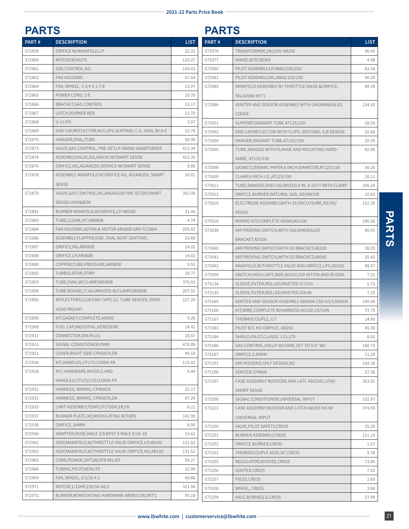| PART#  | <b>DESCRIPTION</b>                                     | LIST.  | PART#  | <b>DESCRIPT</b>    |
|--------|--------------------------------------------------------|--------|--------|--------------------|
| 572858 | ORIFICE W/MANIFOLD, LP                                 | 32.31  | 572976 | <b>TRANSFOR</b>    |
| 572860 | MOTOR, W/NUTS                                          | 133.27 | 572977 | HINGE, W/S         |
| 572861 | <b>GAS CONTROL, NG</b>                                 | 145.03 | 572980 | <b>PILOT ASSE</b>  |
| 572863 | <b>FAN HOUSING</b>                                     | 67.64  | 572981 | <b>PILOT ASSE</b>  |
| 572864 | FAN, WHEEL, 3 3/4 X 1 7/8                              | 23.97  | 572985 | MANIFOLD           |
| 572865 | POWER CORD, 5 ft.                                      | 10.70  |        | <b>NG, AD0601</b>  |
| 572866 | <b>BRACKET, GAS CONTROL</b>                            | 23.17  | 572986 | <b>IGNITER AN</b>  |
| 572867 | LATCH, BURNER BOX                                      | 13.70  |        | COVER              |
| 572868 | U-CLIPS                                                | 3.97   | 573001 | SUPPORT,F          |
| 572869 | END CAP, REFLECTOR, W/CLIPS, SENTINEL C-E, OVAL 80 A-E | 12.78  | 573003 | <b>END CAP, RI</b> |
| 572870 | HANGER, OVAL, TUBE                                     | 50.39  | 573004 | HANGER, R/         |
| 572873 | VALVE, GAS CONTROL, PRE-SET, LP AW060 SMARTSENSE       | 413.34 | 573005 | TUBE, SWA          |
| 572874 | ASSEMBLY, VALVE, NG, AW100 W/SMART SENSE               | 413.35 |        | WARE, AT12         |
| 572876 | ORIFICE, NG, AD/AW250, SERVICE W/SMART SENSE           | 9.89   | 573006 | GASKET,CE          |
| 572878 | ASSEMBLY, MANIFOLD W/ORIFICE NG, AD/AW250, SMART       | 50.01  | 573009 | CLAMP,4 IN         |
|        | <b>SENSE</b>                                           |        | 573011 | TUBE, SWA          |
| 572879 | VALVE, GAS CONTROL, NG, AW/AD250 PRE-SET, W/SMART      | 392.06 | 573012 | ORIFICE, BL        |
|        | SENSE/UNIV&BOX                                         |        | 573016 | <b>ELECTROD</b>    |
| 572881 | BURNER MANIFOLD, W/ORIFICE, LP ARO80                   | 31.46  |        | AD250              |
| 572883 | TUBE, CLEAR, 10", AR080B                               | 4.74   |        |                    |
| 572884 | FAN HOUSING, W/FAN & MOTOR AR080B SRV=572884           | 255.82 | 573018 | <b>WIRING KIT</b>  |
| 572886 | ASSEMBLY, FLAPPER, END, OVAL 80/AT SENTINEL            | 25.69  | 573038 | <b>AIR PROVIN</b>  |
| 572887 | ORIFICE, NG, AR080B                                    | 14.02  |        | <b>BRACKET, A</b>  |
| 572888 | ORIFICE, LP, AR080B                                    | 14.02  | 573040 | <b>AIR PROVIN</b>  |
| 572889 | COPPER, TUBE, PRESSURE, AR080B                         | 9.91   | 573041 | <b>AIR PROVIN</b>  |
|        |                                                        |        | 573092 | MANIFOLD,          |
| 572892 | TURBULATOR, STRIP                                      | 39.77  | 573099 | SWITCH, HI         |
| 572893 | TUBE, OVAL, W/CLAMP, AR080B                            | 370.93 | 573134 | SLEEVE, FIL        |
| 572894 | TUBE, ROUND, 3", ALUMINZED W/CLAMP, AR080B             | 207.55 | 573135 | SLEEVE, FIL        |
| 572895 | REFLECTORS(2), W/END CAPS (2), TUBE HEATER, OVER-      | 227.29 | 573165 | <b>IGNITER AN</b>  |
|        | <b>HEAD MOUNT</b>                                      |        | 573166 | KIT, WIRE, C       |
| 572896 | KIT, GASKET, COMPLETE, AR080                           | 9.26   | 573167 | <b>THERMOCO</b>    |
| 572908 | FUEL CAP, INDUSTIAL, KEROSENE                          | 14.42  | 573183 | PILOT KIT, I       |
| 572911 | CONNECTOR, DIN PLUG                                    | 28.57  | 573184 | SHIELD, PIL        |
| 572913 | SIGNAL CONDITIONER, PWM                                | 478.89 | 573186 | <b>GAS CONTF</b>   |
| 572921 | COVER, RIGHT SIDE CP650CK, DK                          | 49.18  | 573187 | ORIFICE, 0.8       |
| 572926 | KIT, HANDLES, CP175/210DK-FK                           | 115.42 | 573191 | <b>AIR HOUSII</b>  |
| 572928 | KIT, HARDWARE, WHEELS AND                              | 5.44   | 573196 | IGNITER, CF        |
|        | HANDLES, CP125/175/210DK-FK                            |        | 573197 | CASE ASSE          |
| 572931 | HARNESS, WIRING, CP400CK                               | 22.17  |        | <b>SMART SEN</b>   |
| 572932 | HARNESS, WIRING, CP650CK, DK                           | 87.24  | 573200 | SIGNAL CO          |
| 572933 | LIMIT ASSEMBLY, TEMP, CP175DK, EK, FK                  | 8.21   | 573213 | <b>CASE ASSE</b>   |
| 572937 | BURNER PLATE, 140, MODULATING W/TABS                   | 141.99 |        | UNIVERSAL          |
| 572938 | ORIFICE, 84MM                                          | 8.90   | 573250 | VALVE, PILO        |
| 572940 | ADAPTER, HOSE, MALE 3/8 BPST X MALE 9/16-18            | 15.62  | 573251 | <b>BURNER AS</b>   |
| 572961 | ASSY, MANIFOLD, W/THROTTLE VALVE ORIFICE, LP, AB100    | 131.52 | 573252 | ORIFICE, BL        |
| 572962 | ASSY, MANIFOLD, W/THROTTLE VALVE ORIFICE, NG, AB100    | 131.52 | 573253 | <b>THERMOCO</b>    |
| 572965 | CORD, POWER, 10FT, W/STR RELIEF                        | 59.27  | 573255 | <b>REGULATO</b>    |
| 572966 | TUBING, PILOT, W/NUTS                                  | 32.99  | 573256 | IGNITER, CF        |
| 572969 | FAN, WHEEL, 6 5/16 X 3                                 | 60.86  | 573257 | PIEZO,CRO          |
| 572971 | MOTOR,1/15HP,230/50-60/1                               | 321.58 | 573258 | WHEEL, CR          |
| 572972 | BURNER, W/MOUNTING HARDWARE AB060/100, INT'L           | 95.18  | 573259 | AXLE, W/WH         |
|        |                                                        |        |        |                    |

| PART # | <b>DESCRIPTION</b>                                       | <b>LIST</b> |
|--------|----------------------------------------------------------|-------------|
| 572976 | TRANSFORMER, 240/24V AB250                               | 46.45       |
| 572977 | HINGE, W/SCREWS                                          | 4.98        |
| 572980 | PILOT ASSEMBLY, LP, AB60/100/250                         | 83.34       |
| 572981 | PILOT ASSEMBLY, NG, AB60/100/250                         | 90.29       |
| 572985 | MANIFOLD ASSEMBLY W/ THROTTLE VALVE & ORIFICE,           | 98.39       |
|        | NG, AD060 INT'L                                          |             |
| 572986 | IGNITER AND SENSOR ASSEMBLY WITH GALVANNEALED            | 134.92      |
|        | <b>COVER</b>                                             |             |
| 573001 | SUPPORT, RADIANT TUBE AT125/150                          | 18.59       |
| 573003 | END CAP, REFLECTOR WITH CLIPS, SENTINEL A, B DESIGN      | 25.66       |
| 573004 | HANGER, RADIANT TUBE, AT125/150                          | 20.39       |
| 573005 | TUBE, SWAGED WITH FLANGE AND MOUNTING HARD-              | 92.89       |
|        | WARE, AT125/150                                          |             |
| 573006 | GASKET, CERAMIC PAPER, 6 INCH DIAMETER, AT125/150        | 30.26       |
| 573009 | CLAMP,4 INCH I.D., AT125/150                             | 20.11       |
| 573011 | TUBE, SWAGED, END CALORIZED, 4 IN. X 10 FT WITH CLAMP    | 206.25      |
| 573012 | ORIFICE, BURNER, NATURAL GAS, AD/AW100                   | 10.83       |
| 573016 | ELECTRODE ASSEMBLY, WITH SS ENCLOSURE, AD100/            | 152.39      |
|        | AD250                                                    |             |
| 573018 | WIRING KIT, COMPLETE AD060/AD100                         | 196.56      |
| 573038 | AIR PROVING SWITCH, WITH GALVANNEALED                    | 40.41       |
|        | BRACKET, AD100                                           |             |
| 573040 | AIR PROVING SWTICH, WITH SS BRACKET, AB100               | 38.05       |
| 573041 | AIR PROVING SWITCH, WITH SS BRACKET, AB060               | 25.42       |
| 573092 | MANIFOLD, W/THROTTLE VALVE AND ORIFICE, LPG, AD325       | 98.57       |
| 573099 | SWITCH, HIGH LIMIT, 300F, AD100, 250 INT. PSI AND RUSSIA | 7.51        |
| 573134 | SLEEVE, FILTER, ROLLED, RIVETED I17/I10                  | 5.72        |
| 573135 | SLEEVE, FILTER, ROLLED, RIVETED 134/40                   | 7.25        |
| 573165 | IGNITER AND SENSOR ASSEMBLY AD060A CSA-US/CANADA         | 149.68      |
| 573166 | KIT, WIRE, COMPLETE W/HARNESS AD100 US/CAN               | 73.70       |
| 573167 | THERMOCOUPLE, I17                                        | 14.00       |
| 573183 | PILOT KIT, NO ORIFICE, AB250                             | 45.30       |
| 573184 | SHIELD, PILOT, CLASSIC 115,170                           | 8.92        |
| 573186 | GAS CONTROL, HSI, LP-BUTANE, SET TO 9.0" WC              | 180.73      |
| 573187 | ORIFICE, 0.89MM                                          | 11.28       |
| 573191 | AIR HOUSING, 134, F DESIGN, NG                           | 154.38      |
| 573196 | IGNITER, CP400E                                          | 27.36       |
| 573197 | CASE ASSEMBLY W/DOORS AND LATC AW250C,LP,W/              | 363.91      |
|        | <b>SMART SENSE</b>                                       |             |
| 573200 | SIGNAL CONDITIONER, UNIVERSAL INPUT                      | 152.97      |
| 573213 | CASE ASSEMBLY, W/DOOR AND LATCH AD250 NG W/              | 374.93      |
|        | UNIVERSAL INPUT                                          |             |
| 573250 | VALVE, PILOT SAFETY, CR035                               | 35.20       |
| 573251 | BURNER ASSEMBLY, CR035                                   | 111.10      |
| 573252 | ORIFICE, BURNER, CR035                                   | 1.07        |
| 573253 | THERMOCOUPLE ASSY, 18", CR035                            | 9.78        |
| 573255 | REGULATOR, W/HOSE, CR035                                 | 73.86       |
| 573256 | IGNITER, CR035                                           | 7.62        |
| 573257 | PIEZO, CR035                                             | 2.60        |
| 573258 | WHEEL, CR035                                             | 3.86        |
| 573259 | AXLE, W/WHEELS, CR035                                    | 27.99       |
|        |                                                          |             |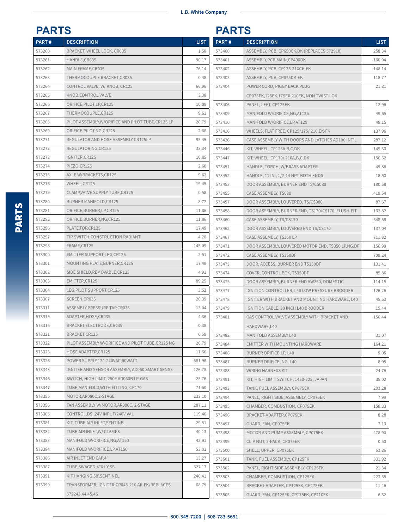|--|

| 573260<br>573261<br>573262 | BRACKET, WHEEL LOCK, CR035<br>HANDLE, CR035        | 1.58   | 573400                              |                                                     | 258.34 |  |
|----------------------------|----------------------------------------------------|--------|-------------------------------------|-----------------------------------------------------|--------|--|
|                            |                                                    |        |                                     | ASSEMBLY, PCB, CP650CK, DK (REPLACES 572910)        |        |  |
|                            |                                                    | 90.17  | 573401                              | ASSEMBLY, PCB, MAIN, CP400DK                        |        |  |
|                            | MAIN FRAME, CR035                                  | 76.14  | 573402                              | ASSEMBLY, PCB, CP125-210CK-FK                       |        |  |
| 573263                     | THERMOCOUPLE BRACKET, CR035                        | 0.48   | 573403<br>ASSEMBLY, PCB, CP075DK-EK |                                                     | 118.77 |  |
| 573264                     | CONTROL VALVE, W/ KNOB, CR125                      | 66.96  | 573404                              | POWER CORD, PIGGY BACK PLUG                         | 21.81  |  |
| 573265                     | KNOB, CONTROL VALVE                                | 3.38   |                                     | CP075EK,125EK,175EK,210EK, NON TWIST-LOK            |        |  |
| 573266                     | ORIFICE, PILOT, LP, CR125                          | 10.89  | 573406                              | PANEL, LEFT, CP125EK                                | 12.96  |  |
| 573267                     | THERMOCOUPLE, CR125                                | 9.61   | 573409                              | MANIFOLD W/ORIFICE, NG, AT125                       | 49.65  |  |
| 573268                     | PILOT ASSEMBLY, W/ORIFICE AND PILOT TUBE, CR125 LP | 20.79  | 573410                              | MANIFOLD W/ORIFICE, LP, AT125                       | 48.15  |  |
| 573269                     | ORIFICE, PILOT, NG, CR125                          | 2.68   | 573416                              | WHEELS, FLAT FREE, CP125/175/210, EK-FK             | 137.96 |  |
| 573271                     | REGULATOR AND HOSE ASSEMBLY CR125LP                | 95.45  | 573426                              | CASE ASSEMBLY WITH DOORS AND LATCHES AD100 INT'L    | 287.12 |  |
| 573272                     | REGULATOR, NG, CR125                               | 33.34  | 573446                              | KIT, WHEEL, CP125A, B, C, DK                        | 149.30 |  |
| 573273                     | IGNITER, CR125                                     | 10.85  | 573447                              | KIT, WHEEL, CP170/210A, B, C, DK                    | 150.52 |  |
| 573274                     | PIEZO, CR125                                       | 2.60   | 573451                              | HANDLE, TORCH, W/BRASS ADAPTER                      | 49.86  |  |
| 573275                     | AXLE W/BRACKETS, CR125                             | 9.62   | 573452                              | HANDLE, 11 IN., 1/2-14 NPT BOTH ENDS                | 18.50  |  |
| 573276                     | WHEEL, CR125                                       | 19.45  | 573453                              | DOOR ASSEMBLY, BURNER END TS/CS080                  | 180.58 |  |
| 573279                     | CLAMP, VALVE SUPPLY TUBE, CR125                    | 0.58   | 573455                              | CASE ASSEMBLY, TS080                                | 419.54 |  |
| 573280                     | BURNER MANIFOLD, CR125                             | 8.72   | 573457                              | DOOR ASSEMBLY, LOUVERED, TS/CS080                   | 87.67  |  |
| 573281                     | ORIFICE, BURNER, LP, CR125                         | 11.86  | 573458                              | DOOR ASSEMBLY, BURNER END, TS170/CS170, FLUSH-FIT   | 132.82 |  |
| 573282                     | ORIFICE, BURNER, NG, CR125                         | 11.86  | 573460                              | CASE ASSEMBLY, TS/CS170                             | 648.58 |  |
| 573296                     | PLATE, TOP, CR125                                  | 17.49  | 573462                              | DOOR ASSEMBLY, LOUVERED END TS/CS170                | 137.04 |  |
| 573297                     | TIP SWITCH, CONSTRUCTION RADIANT                   | 4.28   | 573467                              | CASE ASSEMBLY, TS350 LP                             | 711.82 |  |
| 573298                     | FRAME, CR125                                       | 145.09 | 573471                              | DOOR ASSEMBLY, LOUVERED MOTOR END, TS350 LP, NG, DF | 156.99 |  |
| 573300                     | EMITTER SUPPORT LEG, CR125                         | 2.51   | 573472                              | CASE ASSEMBLY, TS350DF                              | 709.24 |  |
| 573301                     | MOUNTING PLATE, BURNER, CR125                      | 17.49  | 573473                              | DOOR, ACCESS, BURNER END TS350DF                    | 131.41 |  |
| 573302                     | SIDE SHIELD, REMOVABLE, CR125                      | 4.91   | 573474                              | COVER, CONTROL BOX, TS350DF                         | 89.86  |  |
| 573303                     | EMITTER, CR125                                     | 89.25  | 573475                              | DOOR ASSEMBLY, BURNER END AW250, DOMESTIC           | 114.15 |  |
| 573304                     | LEG, PILOT SUPPORT, CR125                          | 3.52   | 573477                              | IGNITION CONTROLLER, L40 LOW PRESSURE BROODER       | 126.26 |  |
| 573307                     | SCREEN, CR035                                      | 20.39  | 573478                              | IGNITER WITH BRACKET AND MOUNTING HARDWARE, L40     | 45.53  |  |
| 573311                     | ASSEMBLY, PRESSURE TAP, CR035                      | 13.04  | 573479                              | IGNITION CABLE, 30 INCH L40 BROODER                 | 15.44  |  |
| 573315                     | ADAPTER, HOSE, CR035                               | 4.36   | 573481                              | GAS CONTROL VALVE ASSEMBLY WITH BRACKET AND         | 156.44 |  |
| 573316                     | BRACKET, ELECTRODE, CR035                          | 0.38   |                                     | HARDWARE, L40                                       |        |  |
| 573321                     | BRACKET, CR125                                     | 0.59   | 573482                              | MANIFOLD ASSEMBLY L40                               | 31.07  |  |
| 573322                     | PILOT ASSEMBLY W/ORIFICE AND PILOT TUBE, CR125 NG  | 20.79  | 573484                              | EMITTER WITH MOUNTING HARDWARE                      | 164.21 |  |
| 573323                     | HOSE ADAPTER, CR125                                | 11.56  | 573486                              | BURNER ORIFICE, LP, L40                             | 9.05   |  |
| 573326                     | POWER SUPPLY, 120-240VAC, 60WATT                   | 561.96 | 573487                              | BURNER ORIFICE, NG, L40                             | 8.95   |  |
| 573343                     | IGNITER AND SENSOR ASSEMBLY, AD060 SMART SENSE     | 126.78 | 573488                              | WIRING HARNESS KIT                                  | 24.76  |  |
| 573346                     | SWITCH, HIGH LIMIT, 250F AD060B LP-GAS             | 25.76  | 573491                              | KIT, HIGH LIMIT SWITCH, 1450-225, JAPAN             | 35.02  |  |
| 573347                     | TUBE, MANIFOLD, WITH FITTING, CP170                | 71.60  | 573493                              | TANK, FUEL ASSEMBLY, CP075EK                        | 203.28 |  |
| 573355                     | MOTOR, AR080C, 2-STAGE                             | 233.10 | 573494                              | PANEL, RIGHT SIDE, ASSEMBLY, CP075EK                | 7.99   |  |
| 573356                     | FAN ASSEMBLY W/MOTOR, AR080C, 2-STAGE              | 287.11 | 573495                              | CHAMBER, COMBUSTION, CP075EK                        | 158.33 |  |
| 573365                     | CONTROL, DSI, 24V INPUT/240V VAL                   | 119.46 | 573496                              | BRACKET-ADAPTER, CP075EK                            | 8.28   |  |
| 573381                     | KIT, TUBE, AIR INLET, SENTINEL                     | 29.51  | 573497                              | GUARD, FAN, CP075EK                                 | 7.13   |  |
| 573382                     | TUBE, AIR INLET, W/ CLAMPS                         | 40.13  | 573498                              | MOTOR AND PUMP ASSEMBLY, CP075EK                    | 478.90 |  |
| 573383                     | MANIFOLD W/ORIFICE, NG, AT150                      | 42.91  | 573499                              | CLIP NUT, 2-PACK, CP075EK                           | 0.50   |  |
| 573384                     | MANIFOLD W/ORIFICE, LP, AT150                      | 53.01  | 573500                              | SHELL, UPPER, CP075EK                               | 63.86  |  |
| 573386                     | AIR INLET END CAP, 4"                              | 13.27  | 573501                              | TANK, FUEL ASSEMBLY, CP125FK                        | 331.92 |  |
| 573387                     | TUBE, SWAGED, 4"X10', SS                           | 527.17 | 573502                              | PANEL, RIGHT SIDE ASSEMBLY, CP125FK                 | 21.34  |  |
| 573391                     | KIT, HANGING, 50', SENTINEL                        | 240.41 | 573503                              | CHAMBER, COMBUSTION, CP125FK                        | 223.55 |  |
| 573399                     | TRANSFORMER, IGNITER, CP045-210 AK-FK/REPLACES     | 68.79  | 573504                              | BRACKET-ADAPTER, CP125FK, CP175FK                   | 11.46  |  |
|                            | 572243,44,45,46                                    |        | 573505                              | GUARD, FAN, CP125FK, CP175FK, CP210FK               | 6.32   |  |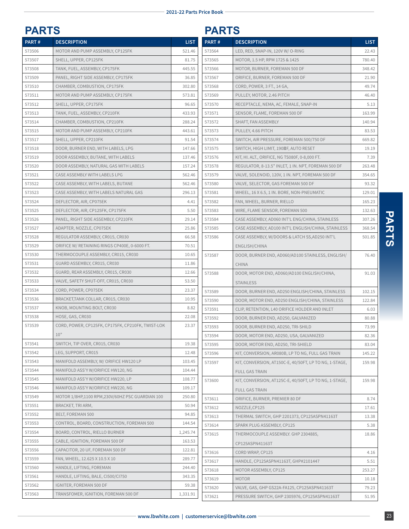| PART#<br><b>DESCRIPTION</b>                                 | LIST.    | PART#  | <b>DESCRIPTION</b>                                     | <b>LIST</b>   |  |
|-------------------------------------------------------------|----------|--------|--------------------------------------------------------|---------------|--|
| 573506<br>MOTOR AND PUMP ASSEMBLY, CP125FK                  | 521.46   | 573564 | LED, RED, SNAP-IN, 120V W/O-RING                       | 22.43         |  |
| 573507<br>SHELL, UPPER, CP125FK                             | 81.75    | 573565 | MOTOR, 1.5 HP, RPM 1725 & 1425                         | 780.40        |  |
| 573508<br>TANK, FUEL, ASSEMBLY, CP175FK                     | 445.55   | 573566 | MOTOR, BURNER, FOREMAN 500 DF                          | 348.42        |  |
| 573509<br>PANEL, RIGHT SIDE ASSEMBLY, CP175FK               | 36.85    | 573567 | ORIFICE, BURNER, FOREMAN 500 DF                        | 21.90         |  |
| 573510<br>CHAMBER, COMBUSTION, CP175FK                      | 302.80   | 573568 | CORD, POWER, 3 FT., 14 GA,                             | 49.74         |  |
| 573511<br>MOTOR AND PUMP ASSEMBLY, CP175FK                  | 573.81   | 573569 | PULLEY, MOTOR, 2.46 PITCH                              | 46.40         |  |
| 573512<br>SHELL, UPPER, CP175FK                             | 96.65    | 573570 | RECEPTACLE, NEMA, AC, FEMALE, SNAP-IN                  | 5.13          |  |
| 573513<br>TANK, FUEL, ASSEMBLY, CP210FK                     | 433.93   | 573571 | SENSOR, FLAME, FOREMAN 500 DF                          | 163.99        |  |
| 573514<br>CHAMBER, COMBUSTION, CP210FK                      | 288.24   | 573572 | SHAFT, FAN ASSEMBLY                                    | 140.94        |  |
| 573515<br>MOTOR AND PUMP ASSEMBLY, CP210FK                  | 443.61   | 573573 | PULLEY, 4.66 PITCH                                     | 83.53         |  |
| 573517<br>SHELL, UPPER, CP210FK                             | 91.54    | 573574 | SWITCH, AIR PRESSURE, FOREMAN 500/750 DF               | 669.82        |  |
| 573518<br>DOOR, BURNER END, WITH LABELS, LPG                | 147.66   | 573575 | SWITCH, HIGH LIMIT, 190 F, AUTO RESET                  | 19.19         |  |
| 573519<br>DOOR ASSEMBLY, BUTANE, WITH LABELS                | 137.46   | 573576 | KIT, HI. ALT., ORIFICE, NG TS080F, 0-8,000 FT.         | 7.39          |  |
| 573520<br>DOOR ASSEMBLY, NATURAL GAS WITH LABELS            | 157.24   | 573578 | REGULATOR, 8-13.5" INLET, 1 IN. NPT, FOREMAN 500 DF    | 263.48        |  |
| 573521<br>CASE ASSEMBLY WITH LABELS LPG                     | 562.46   | 573579 | VALVE, SOLENOID, 120V, 1 IN. NPT, FOREMAN 500 DF       | 354.65        |  |
| 573522<br>CASE ASSEMBLY, WITH LABELS, BUTANE                | 562.46   | 573580 | VALVE, SELECTOR, GAS FOREMAN 500 DF                    | 93.32         |  |
| 573523<br>CASE ASSEMBLY, WITH LABELS NATURAL GAS            | 296.13   | 573581 | WHEEL, 16 X 6.5, 1 IN. BORE, NON-PNEUMATIC             | 129.01        |  |
| 573524<br>DEFLECTOR, AIR, CP075EK                           | 4.41     | 573582 | FAN, WHEEL, BURNER, RIELLO                             | 165.23        |  |
| 573525<br>DEFLECTOR, AIR, CP125FK, CP175FK                  | 5.50     | 573583 | WIRE, FLAME SENSOR, FOREMAN 500                        | 132.63        |  |
| 573526<br>PANEL, RIGHT SIDE ASSEMBLY, CP210FK               | 29.14    | 573584 | CASE ASSEMBLY, AD060 INT'L ENG/CHINA, STAINLESS        | 307.26        |  |
| 573527<br>ADAPTER, NOZZLE, CP075EK                          | 25.86    | 573585 | CASE ASSEMBLY, AD100 INT'L ENGLISH/CHINA, STAINLESS    | 368.54        |  |
| 573528<br>REGULATOR ASSEMBLY, CR015, CR030                  | 66.58    | 573586 | CASE ASSEMBLY, W/DOORS & LATCH SS, AD250 INT'L         | 501.85        |  |
| 573529<br>ORIFICE W/ RETAINING RINGS CP400E, 0-6000 FT.     | 70.51    |        | ENGLISH/CHINA                                          |               |  |
| 573530<br>THERMOCOUPLE ASSEMBLY, CR015, CR030               | 10.65    | 573587 | DOOR, BURNER END, AD060/AD100 STAINLESS, ENGLISH/      | 76.40         |  |
| 573531<br>GUARD ASSEMBLY, CR015, CR030                      | 11.86    |        | <b>CHINA</b>                                           |               |  |
| 573532<br>GUARD, REAR ASSEMBLY, CR015, CR030                | 12.66    |        |                                                        |               |  |
| 573533<br>VALVE, SAFETY SHUT-OFF, CR015, CR030              | 53.50    | 573588 | DOOR, MOTOR END, AD060/AD100 ENGLISH/CHINA,            | 91.03         |  |
| 573534<br>CORD, POWER, CP075EK                              | 23.37    |        | <b>STAINLESS</b>                                       |               |  |
| 573536<br>BRACKET, TANK COLLAR, CR015, CR030                | 10.95    | 573589 | DOOR, BURNER END, AD250 ENGLISH/CHINA, STAINLESS       | 102.15        |  |
| 573537<br>KNOB, MOUNTING BOLT, CR030                        | 8.82     | 573590 | DOOR, MOTOR END, AD250 ENGLISH/CHINA, STAINLESS        | 122.84        |  |
| 573538<br>HOSE, GAS, CR030                                  | 22.08    | 573591 | CLIP, RETENTION, L40 ORIFICE HOLDER AND INLET          | 6.03<br>80.88 |  |
| 573539<br>CORD, POWER, CP125FK, CP175FK, CP210FK, TWIST-LOK | 23.37    | 573592 | DOOR, BURNER END, AD250, GALVANIZED                    |               |  |
| 10"                                                         |          | 573593 | DOOR, BURNER END, AD250, TRI-SHILD                     | 73.99         |  |
| 573541<br>SWITCH, TIP OVER, CR015, CR030                    | 19.38    | 573594 | DOOR, MOTOR END, AD250, USA, GALVANIZED                | 82.36         |  |
|                                                             |          | 573595 | DOOR, MOTOR END, AD250, TRI-SHIELD                     | 83.04         |  |
| 573542<br>LEG, SUPPORT, CR015                               | 12.48    | 573596 | KIT, CONVERSION, AR080B, LP TO NG, FULL GAS TRAIN      | 145.22        |  |
| 573543<br>MANIFOLD ASSEMBLY, W/ ORIFICE HW120 LP            | 103.45   | 573597 | KIT, CONVERSION, AT150C-E, 40/50FT, LP TO NG, 1-STAGE, | 159.98        |  |
| 573544<br>MANIFOLD ASS'Y W/ORIFICE HW120, NG                | 104.44   |        | FULL GAS TRAIN                                         |               |  |
| 573545<br>MANIFOLD ASS'Y W/ORIFICE HW220, LP                | 108.77   | 573600 | KIT, CONVERSION, AT125C-E, 40/50FT, LP TO NG, 1-STAGE, | 159.98        |  |
| 573546<br>MANIFOLD ASS'Y W/ORIFICE HW220, NG                | 109.17   |        | <b>FULL GAS TRAIN</b>                                  |               |  |
| 573549<br>MOTOR 1/8HP,1100 RPM,230V/60HZ PSC GUARDIAN 100   | 250.80   | 573611 | ORIFICE, BURNER, PREMIER 80 DF                         | 8.74          |  |
| 573551<br>BRACKET, TRI ARM,                                 | 50.94    | 573612 | NOZZLE, CP125                                          | 17.61         |  |
| 573552<br><b>BELT, FOREMAN 500</b>                          | 94.85    | 573613 | THERMAL SWITCH, GHP 2201373, CP125ASPN41163T           | 13.38         |  |
| 573553<br>CONTROL, BOARD, CONSTRUCTION, FOREMAN 500         | 144.54   | 573614 | SPARK PLUG ASSEMBLY, CP125                             | 5.38          |  |
| 573554<br>BOARD, CONTROL, RIELLO BURNER                     | 1,245.74 | 573615 | THERMOCOUPLE ASSEMBLY. GHP 2304885,                    | 18.86         |  |
| 573555<br>CABLE, IGNITION, FOREMAN 500 DF                   | 163.53   |        | CP125ASPN41163T                                        |               |  |
| 573556<br>CAPACITOR, 20 UF, FOREMAN 500 DF                  | 122.81   | 573616 | CORD WRAP, CP125                                       | 4.16          |  |
| 573559<br>FAN, WHEEL, 12.625 X 10.5 X 10                    | 289.77   | 573617 | HANDLE, CP125ASPN41163T, GHP#2101447                   | 5.51          |  |
| 573560<br>HANDLE, LIFTING, FOREMAN                          | 244.40   | 573618 | MOTOR ASSEMBLY, CP125                                  | 253.27        |  |
| 573561<br>HANDLE, LIFTING, BALE, CI500/CI750                | 343.35   | 573619 | <b>MOTOR</b>                                           | 10.18         |  |
| 573562<br>IGNITER, FOREMAN 500 DF                           | 59.38    | 573620 | VALVE, GAS, GHP GS22A-FA125, CP125ASPN41163T           | 79.23         |  |
| 573563<br>TRANSFOMER, IGNITION, FOREMAN 500 DF              | 1,331.91 | 573621 | PRESSURE SWITCH, GHP 2305976, CP125ASPN41163T          | 51.95         |  |

| PART#  | <b>DESCRIPTION</b>                                     | <b>LIST</b> |
|--------|--------------------------------------------------------|-------------|
| 573564 | LED, RED, SNAP-IN, 120V W/O-RING                       | 22.43       |
| 573565 | MOTOR, 1.5 HP, RPM 1725 & 1425                         | 780.40      |
| 573566 | MOTOR, BURNER, FOREMAN 500 DF                          | 348.42      |
| 573567 | ORIFICE, BURNER, FOREMAN 500 DF                        | 21.90       |
| 573568 | CORD, POWER, 3 FT., 14 GA,                             | 49.74       |
| 573569 | PULLEY, MOTOR, 2.46 PITCH                              | 46.40       |
| 573570 | RECEPTACLE, NEMA, AC, FEMALE, SNAP-IN                  | 5.13        |
| 573571 | SENSOR, FLAME, FOREMAN 500 DF                          | 163.99      |
| 573572 | SHAFT, FAN ASSEMBLY                                    | 140.94      |
| 573573 | PULLEY, 4.66 PITCH                                     | 83.53       |
| 573574 | SWITCH, AIR PRESSURE, FOREMAN 500/750 DF               | 669.82      |
| 573575 | SWITCH, HIGH LIMIT, 190 F, AUTO RESET                  | 19.19       |
| 573576 | KIT, HI. ALT., ORIFICE, NG TS080F, 0-8,000 FT.         | 7.39        |
| 573578 | REGULATOR, 8-13.5" INLET, 1 IN. NPT, FOREMAN 500 DF    | 263.48      |
| 573579 | VALVE, SOLENOID, 120V, 1 IN. NPT, FOREMAN 500 DF       | 354.65      |
| 573580 | VALVE, SELECTOR, GAS FOREMAN 500 DF                    | 93.32       |
| 573581 | WHEEL, 16 X 6.5, 1 IN. BORE, NON-PNEUMATIC             | 129.01      |
| 573582 | FAN, WHEEL, BURNER, RIELLO                             | 165.23      |
| 573583 | WIRE, FLAME SENSOR, FOREMAN 500                        | 132.63      |
| 573584 | CASE ASSEMBLY, AD060 INT'L ENG/CHINA, STAINLESS        | 307.26      |
| 573585 | CASE ASSEMBLY, AD100 INT'L ENGLISH/CHINA, STAINLESS    | 368.54      |
| 573586 | CASE ASSEMBLY, W/DOORS & LATCH SS, AD250 INT'L         | 501.85      |
|        | ENGLISH/CHINA                                          |             |
| 573587 | DOOR, BURNER END, AD060/AD100 STAINLESS, ENGLISH/      | 76.40       |
|        | <b>CHINA</b>                                           |             |
| 573588 | DOOR, MOTOR END, AD060/AD100 ENGLISH/CHINA,            | 91.03       |
|        | <b>STAINLESS</b>                                       |             |
| 573589 | DOOR, BURNER END, AD250 ENGLISH/CHINA, STAINLESS       | 102.15      |
| 573590 | DOOR, MOTOR END, AD250 ENGLISH/CHINA, STAINLESS        | 122.84      |
| 573591 | CLIP, RETENTION, L40 ORIFICE HOLDER AND INLET          | 6.03        |
| 573592 | DOOR, BURNER END, AD250, GALVANIZED                    | 80.88       |
| 573593 | DOOR, BURNER END, AD250, TRI-SHILD                     | 73.99       |
| 573594 | DOOR, MOTOR END, AD250, USA, GALVANIZED                | 82.36       |
| 573595 | DOOR, MOTOR END, AD250, TRI-SHIELD                     | 83.04       |
| 573596 | KIT, CONVERSION, AR080B, LP TO NG, FULL GAS TRAIN      | 145.22      |
| 573597 | KIT, CONVERSION, AT150C-E, 40/50FT, LP TO NG, 1-STAGE, | 159.98      |
|        | <b>FULL GAS TRAIN</b>                                  |             |
| 573600 | KIT, CONVERSION, AT125C-E, 40/50FT, LP TO NG, 1-STAGE, | 159.98      |
|        | <b>FULL GAS TRAIN</b>                                  |             |
| 573611 | ORIFICE, BURNER, PREMIER 80 DF                         | 8.74        |
| 573612 | NOZZLE, CP125                                          | 17.61       |
| 573613 | THERMAL SWITCH, GHP 2201373, CP125ASPN41163T           | 13.38       |
| 573614 | SPARK PLUG ASSEMBLY, CP125                             | 5.38        |
| 573615 | THERMOCOUPLE ASSEMBLY. GHP 2304885,                    | 18.86       |
|        | CP125ASPN41163T                                        |             |
| 573616 | CORD WRAP, CP125                                       | 4.16        |
| 573617 | HANDLE, CP125ASPN41163T, GHP#2101447                   | 5.51        |
| 573618 | MOTOR ASSEMBLY, CP125                                  | 253.27      |
| 573619 | <b>MOTOR</b>                                           | 10.18       |
| 573620 | VALVE, GAS, GHP GS22A-FA125, CP125ASPN41163T           | 79.23       |
|        |                                                        |             |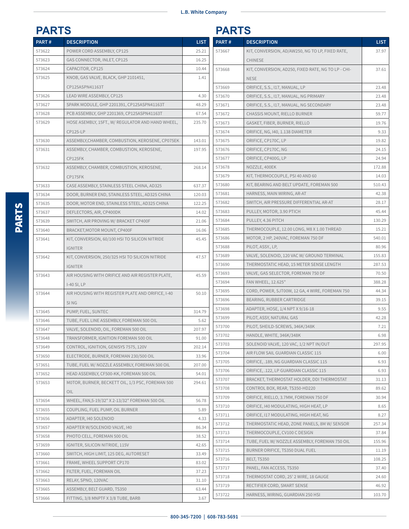|--|--|

| PART#  | <b>DESCRIPTION</b>                                | <b>LIST</b> | PART#            | <b>DESCRIPTION</b>                                  | <b>LIST</b>     |
|--------|---------------------------------------------------|-------------|------------------|-----------------------------------------------------|-----------------|
| 573622 | POWER CORD ASSEMBLY, CP125                        | 25.21       | 573667           | KIT, CONVERSION, AD/AW250, NG TO LP, FIXED RATE,    | 37.97           |
| 573623 | GAS CONNECTOR, INLET, CP125                       | 16.25       |                  | <b>CHINESE</b>                                      |                 |
| 573624 | CAPACITOR, CP125                                  | 10.44       | 573668           | KIT, CONVERSION, AD250, FIXED RATE, NG TO LP - CHI- | 37.61           |
| 573625 | KNOB, GAS VALVE, BLACK, GHP 2101451,              | 1.41        |                  | <b>NESE</b>                                         |                 |
|        | CP125ASPN41163T                                   |             | 573669           | ORIFICE, S.S., I17, MANUAL, LP                      | 23.48           |
| 573626 | LEAD WIRE ASSEMBLY, CP125                         | 4.30        | 573670           | ORIFICE, S.S., 117, MANUAL, NG PRIMARY              | 23.48           |
| 573627 | SPARK MODULE, GHP 2201391, CP125ASPN41163T        | 48.29       | 573671           | ORIFICE, S.S., 117, MANUAL, NG SECONDARY            | 23.48           |
| 573628 | PCB ASSEMBLY, GHP 2201369, CP125ASPN41163T        | 67.54       | 573672           | CHASSIS MOUNT, RIELLO BURNER                        | 59.77           |
| 573629 | HOSE ASEMBLY, 15FT., W/ REGULATOR AND HAND WHEEL, | 235.70      | 573673           | GASKET, FIBER, BURNER, RIELLO                       | 19.76           |
|        | <b>CP125-LP</b>                                   |             | 573674           | ORIFICE, NG, 140, 1.138 DIAMETER                    | 9.33            |
| 573630 | ASSEMBLY, CHAMBER, COMBUSTION, KEROSENE, CP075EK  | 143.01      | 573675           | ORIFICE, CP170C, LP                                 | 19.82           |
| 573631 | ASSEMBLY, CHAMBER, COMBUSTION, KEROSENE,          | 197.95      | 573676           | ORIFICE, CP170C, NG                                 | 24.15           |
|        | CP125FK                                           |             | 573677           | ORIFICE, CP400G, LP                                 | 24.94           |
| 573632 | ASSEMBLY, CHAMBER, COMBUSTION, KEROSENE,          | 268.14      | 573678           | NOZZLE, 400EK                                       | 172.88          |
|        | CP175FK                                           |             | 573679           | KIT, THERMOCOUPLE, PSI 40 AND 60                    | 14.03           |
| 573633 | CASE ASSEMBLY, STAINLESS STEEL CHINA, AD325       | 637.37      | 573680           | KIT, BEARING AND BELT UPDATE, FOREMAN 500           | 510.43          |
| 573634 | DOOR, BURNER END, STAINLESS STEEL, AD325 CHINA    | 120.03      | 573681           | HARNESS, MAIN WIRING, AR-AT                         | 42.38           |
| 573635 | DOOR, MOTOR END, STAINLESS STEEL, AD325 CHINA     | 122.25      | 573682           | SWITCH, AIR PRESSURE DIFFERENTIAL AR-AT             | 28.17           |
| 573637 | DEFLECTORS, AIR, CP400DK                          | 14.02       | 573683           | PULLEY, MOTOR, 3.90 PTICH                           | 45.44           |
| 573639 | SWITCH, AIR PROVING W/ BRACKET CP400F             | 21.06       | 573684           | PULLEY, 4.36 PITCH                                  | 130.29          |
| 573640 | BRACKET, MOTOR MOUNT, CP400F                      | 16.06       | 573685           | THERMOCOUPLE, 12.00 LONG, M8 X 1.00 THREAD          | 15.21           |
| 573641 | KIT, CONVERSION, 60/100 HSI TO SILICON NITRIDE    | 45.45       | 573686           | MOTOR, 2 HP, 240VAC, FOREMAN 750 DF                 | 540.01          |
|        | <b>IGNITER</b>                                    |             | 573688           | PILOT, ASSY., LP,                                   | 80.96           |
| 573642 | KIT, CONVERSION, 250/325 HSI TO SILICON NITRIDE   | 47.57       | 573689           | VALVE, SOLENOID, 120 VAC W/ GROUND TERMINAL         | 155.83          |
|        | <b>IGNITER</b>                                    |             | 573690           | THERMOSTATIC HEAD, 15 METER SENSE LENGTH            | 287.53          |
| 573643 | AIR HOUSING WITH ORIFICE AND AIR REGISTER PLATE,  | 45.59       | 573693           | VALVE, GAS SELECTOR, FOREMAN 750 DF                 | 70.50           |
|        | I-40 SI, LP                                       |             | 573694           | FAN WHEEL, 12.625"                                  | 388.28          |
| 573644 | AIR HOUSING WITH REGISTER PLATE AND ORIFICE, I-40 | 50.10       | 573695           | CORD, POWER, SJT00W, 12 GA, 4 WIRE, FOREMAN 750     | 44.34           |
|        | SI <sub>NG</sub>                                  |             | 573696           | BEARING, RUBBER CARTRIDGE                           | 39.15           |
| 573645 | PUMP, FUEL, SUNTEC                                | 314.79      | 573698           | ADAPTER, HOSE, 1/4 NPT X 9/16-18                    | 9.55            |
| 573646 | TUBE, FUEL LINE ASSEMBLY, FOREMAN 500 OIL         | 5.62        | 573699           | PILOT, ASSY, NATURAL GAS                            | 42.28           |
| 573647 | VALVE, SOLENOID, OIL, FOREMAN 500 OIL             | 207.97      | 573700           | PILOT, SHEILD-SCREWS, 346K/348K                     | 7.21            |
| 573648 | TRANSFORMER, IGNITION FOREMAN 500 OIL             | 91.00       | 573702           | HANDLE, WHITE, 346K/348K                            | 6.98            |
| 573649 | CONTROL, IGNITION, GENISYS 7575, 120V             | 202.14      | 573703           | SOLENOID VALVE, 120 VAC, 1/2 NPT IN/OUT             | 297.95          |
| 573650 | ELECTRODE, BURNER, FOREMAN 230/500 OIL            | 33.96       | 573704           | AIR FLOW SAIL GUARDIAN CLASSIC 115                  | 6.00            |
| 573651 | TUBE, FUEL W/ NOZZLE ASSEMBLY, FOREMAN 500 OIL    | 207.00      | 573705           | ORIFICE, .189, NG GUARDIAN CLASSIC 115              | 6.93            |
| 573652 | HEAD ASSEMBLY, CF500-KK, FOREMAN 500 OIL          | 54.01       | 573706           | ORIFICE, .122, LP GUARDIAN CLASSIC 115              | 6.93            |
| 573653 | MOTOR, BURNER, BECKETT OIL, 1/3 PSC, FOREMAN 500  | 294.61      | 573707           | BRACKET, THERMOSTAT HOLDER, DDI THERMOSTAT          | 31.13           |
|        | OIL                                               |             | 573708           | CONTROL BOX, REAR, TS350-HD220                      | 89.62           |
| 573654 | WHEEL, FAN, 5-19/32" X 2-13/32" FOREMAN 500 OIL   | 56.78       | 573709           | ORIFICE, RIELLO, 3.7MM, FOREMAN 750 DF              | 30.94           |
| 573655 | COUPLING, FUEL PUMP, OIL BURNER                   | 5.89        | 573710           | ORIFICE, 140 MODULATING, HIGH HEAT, LP              | 8.65            |
| 573656 | ADAPTER, 140 SOLENOID                             | 4.33        | 573711           | ORIFICE, I17 MODULATING, HIGH HEAT, NG              | 8.27            |
| 573657 | ADAPTER W/SOLENOID VALVE, 140                     | 86.34       | 573712           | THERMOSTATIC HEAD, ZONE PANELS, 8M W/ SENSOR        | 257.34          |
| 573658 | PHOTO CELL, FOREMAN 500 OIL                       | 38.52       | 573713           | THERMOCOUPLE, CV100 C DESIGN                        | 37.84           |
| 573659 | IGNITER, SILICON NITRIDE, 115V                    | 42.65       | 573714           | TUBE, FUEL W/ NOZZLE ASSEMBLY, FOREMAN 750 OIL      | 155.96          |
| 573660 | SWITCH, HIGH LIMIT, 125 DEG, AUTORESET            | 33.49       | 573715           | BURNER ORIFICE, TS350 DUAL FUEL                     | 11.19           |
| 573661 | FRAME, WHEEL SUPPORT CP170                        | 83.02       | 573716           | BELT, TS350                                         | 108.25          |
| 573662 | FILTER, FUEL, FOREMAN OIL                         | 37.23       | 573717           | PANEL, FAN ACCESS, TS350                            | 37.40           |
| 573663 | RELAY, SPNO, 120VAC                               | 31.10       | 573718           | THERMOSTAT CORD, 25' 2 WIRE, 18 GAUGE               | 24.60           |
| 573665 | ASSEMBLY, BELT GUARD, TS350                       | 63.44       | 573719<br>573722 | RECTIFIER CORD, SMART SENSE                         | 46.92<br>103.70 |
| 573666 | FITTING, 3/8 MNPTF X 3/8 TUBE, BARB               | 3.67        |                  | HARNESS, WIRING, GUARDIAN 250 HSI                   |                 |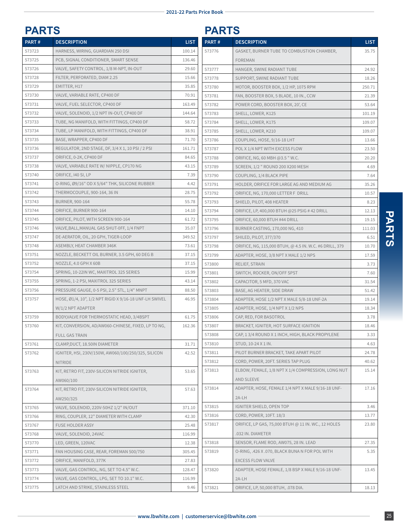| PART#  | <b>DESCRIPTION</b>                                     | LIST.  | PART#  | <b>DESCRIPTION</b>                                               | <b>LIST</b> |
|--------|--------------------------------------------------------|--------|--------|------------------------------------------------------------------|-------------|
| 573723 | HARNESS, WIRING, GUARDIAN 250 DSI                      | 100.14 | 573776 | GASKET, BURNER TUBE TO COMBUSTION CHAMBER,                       | 35.75       |
| 573725 | PCB, SIGNAL CONDITIONER, SMART SENSE                   | 136.46 |        | <b>FOREMAN</b>                                                   |             |
| 573726 | VALVE, SAFETY CONTROL, 1/8 M-NPT, IN-OUT               | 29.60  | 573777 | HANGER, SWINE RADIANT TUBE                                       | 24.92       |
| 573728 | FILTER, PERFORATED, DIAM 2.25                          | 15.66  | 573778 | SUPPORT, SWINE RADIANT TUBE                                      | 18.26       |
| 573729 | EMITTER, H17                                           | 35.85  | 573780 | MOTOR, BOOSTER BOX, 1/2 HP, 1075 RPM                             | 250.71      |
| 573730 | VALVE, VARIABLE RATE, CP400 DF                         | 70.91  | 573781 | FAN, BOOSTER BOX, 5 BLADE, 10 IN., CCW                           | 21.39       |
| 573731 | VALVE, FUEL SELECTOR, CP400 DF                         | 163.49 | 573782 | POWER CORD, BOOSTER BOX, 20', CE                                 | 53.64       |
| 573732 | VALVE, SOLENOID, 1/2 NPT IN-OUT, CP400 DF              | 144.64 | 573783 | SHELL, LOWER, K125                                               | 101.19      |
| 573733 | TUBE, NG MANIFOLD, WITH FITTINGS, CP400 DF             | 58.72  | 573784 | SHELL, LOWER, K175                                               | 109.07      |
| 573734 | TUBE, LP MANIFOLD, WITH FITTINGS, CP400 DF             | 38.91  | 573785 | SHELL, LOWER, K210                                               | 109.07      |
| 573735 | BASE, WRAPPER, CP400 DF                                | 71.70  | 573786 | COUPLING, HOSE, 9/16-18 LHT                                      | 13.66       |
| 573736 | REGULATOR, 2ND STAGE, DF, 3/4 X 1, 10 PSI / 2 PSI      | 161.71 | 573787 | POL X 1/4 NPT WITH EXCESS FLOW                                   | 23.50       |
| 573737 | ORIFICE, 0-2K, CP400 DF                                | 84.65  | 573788 | ORIFICE, NG, 60 MBH @3.5 "W.C.                                   | 20.20       |
| 573738 | VALVE, VARIABLE RATE W/ NIPPLE, CP170 NG               | 43.15  | 573789 | SCREEN, 1/2 " ROUND 200 X200 MESH                                | 4.69        |
| 573740 | ORIFICE, 140 SI, LP                                    | 7.39   | 573790 | COUPLING, 1/4 BLACK PIPE                                         | 7.64        |
| 573741 | O-RING, Ø9/16" OD X 5/64" THK, SILICONE RUBBER         | 4.42   | 573791 | HOLDER, ORIFICE FOR LARGE AG AND MEDIUM AG                       | 35.26       |
| 573742 | THERMOCOUPLE, 900-164, 36 IN                           | 28.75  | 573792 | ORIFICE, NG, 170,000 LETTER F DRILL                              | 10.57       |
| 573743 | BURNER, 900-164                                        | 55.78  | 573793 | SHIELD, PILOT, 408 HEATER                                        | 8.23        |
| 573744 | ORIFICE, BURNER 900-164                                | 14.10  | 573794 | ORIFICE, LP, 400,000 BTUH @25 PSIG #42 DRILL                     | 12.13       |
| 573745 | ORIFICE, PILOT, WITH SCREEN 900-164                    | 61.72  | 573795 | ORIFICE, 60,000 BTUH #44 DRILL                                   | 19.15       |
| 573746 | VALVE, BALL, MANUAL GAS SHUT-0FF, 1/4 FNPT             | 35.07  | 573796 | BURNER CASTING, 170,000 NG, 410                                  | 111.03      |
| 573747 | DE-AERATOR, OIL, 20 GPH, TIGER-LOOP                    | 349.52 | 573797 | SHILED, PILOT, 377/370                                           | 6.51        |
| 573748 | ASEMBLY, HEAT CHAMBER 346K                             | 73.61  | 573798 |                                                                  |             |
| 573751 | NOZZLE, BECKETT OIL BURNER, 3.5 GPH, 60 DEG B          | 37.15  |        | ORIFICE, NG, 115,000 BTUH, @ 4.5 IN. W.C. #6 DRILL, 379          | 10.70       |
| 573752 | NOZZLE, 4.0 GPH X 60B                                  | 37.15  | 573799 | ADAPTER, HOSE, 3/8 NPT X MALE 1/2 NPS                            | 17.59       |
|        |                                                        |        | 573800 | RELIEF, STRAIN                                                   | 3.73        |
| 573754 | SPRING, 10-22IN WC, MAXITROL 325 SERIES                | 15.99  | 573801 | SWITCH, ROCKER, ON/OFF SPST                                      | 7.60        |
| 573755 | SPRING, 1-2 PSI, MAXITROL 325 SERIES                   | 43.14  | 573802 | CAPACITOR, 5 MFD, 370 VAC                                        | 31.54       |
| 573756 | PRESSURE GAUGE, 0-5 PSI, 2.5" STL, 1/4" MNPT           | 88.50  | 573803 | BASE, AG HEATER, SIDE DRAW                                       | 51.42       |
| 573757 | HOSE, Ø1/4, 10", 1/2 NPT RIGID X 9/16-18 UNF-LH SWIVEL | 46.95  | 573804 | ADAPTER, HOSE 1/2 NPT X MALE 5/8-18 UNF-2A                       | 19.14       |
|        | W/1/2 NPT ADAPTER                                      |        | 573805 | ADAPTER, HOSE, 1/4 NPT X 1/2 NPS                                 | 18.34       |
| 573759 | BODY, VALVE FOR THERMOSTATIC HEAD, 3/4BSPT             | 61.75  | 573806 | CAP, RED, FOR BASOTROL                                           | 3.78        |
| 573760 | KIT, CONVERSION, AD/AW060-CHINESE, FIXED, LP TO NG,    | 162.36 | 573807 | BRACKET, IGNITER, HOT SURFACE IGNITION                           | 18.46       |
|        | FULL GAS TRAIN                                         |        | 573808 | CAP, 13/4 ROUND X 1 INCH, HIGH, BLACK PROPYLENE                  | 3.33        |
| 573761 | CLAMP, DUCT, 18.50IN DIAMETER                          | 31.71  | 573810 | STUD, 10-24 X 1 IN.                                              | 4.63        |
| 573762 | IGNITER, HSI, 230V/150W, AW060/100/250/325, SILICON    | 42.52  | 573811 | PILOT BURNER BRACKET, TAKE APART PILOT                           | 24.78       |
|        | NITRIDE                                                |        | 573812 | CORD, POWER, 20FT. SERIES TAP PLUG                               | 40.62       |
| 573763 | KIT, RETRO FIT, 230V-SILICON NITRIDE IGNITER,          | 53.65  | 573813 | ELBOW, FEMALE, 1/8 NPT X 1/4 COMPRESSION, LONG NUT<br>AND SLEEVE | 15.14       |
|        | AW060/100                                              |        |        | ADAPTER, HOSE, FEMALE 1/4 NPT X MALE 9/16-18 UNF-                |             |
| 573764 | KIT, RETRO FIT, 230V-SILICON NITRIDE IGNITER,          | 57.63  | 573814 |                                                                  | 17.16       |
|        | AW250/325                                              |        |        | 2A-LH                                                            |             |
| 573765 | VALVE, SOLENOID, 220V-50HZ 1/2" IN/OUT                 | 371.10 | 573815 | IGNITER SHIELD, OPEN TOP                                         | 3.46        |
| 573766 | RING, COUPLER, 12" DIAMETER WITH CLAMP                 | 42.30  | 573816 | CORD, POWER, 10FT. 18/3                                          | 13.77       |
| 573767 | <b>FUSE HOLDER ASSY</b>                                | 25.48  | 573817 | ORIFICE, LP GAS, 75,000 BTUH @ 11 IN. WC., 12 HOLES              | 23.80       |
| 573768 | VALVE, SOLENOID, 24VAC                                 | 116.99 |        | .032 IN. DIAMETER                                                |             |
| 573770 | LED, GREEN, 120VAC                                     | 12.38  | 573818 | SENSOR, FLAME ROD, AW075, 28 IN. LEAD                            | 27.35       |
| 573771 | FAN HOUSING CASE, REAR, FOREMAN 500/750                | 305.45 | 573819 | O-RING, .426 X .070, BLACK BUNA N FOR POL WITH                   | 5.35        |
| 573772 | ORIFICE, MANIFOLD, 377K                                | 27.83  |        | <b>EXCESS FLOW VALVE</b>                                         |             |
| 573773 | VALVE, GAS CONTROL, NG, SET TO 4.5" W.C.               | 128.47 | 573820 | ADAPTER, HOSE FEMALE, 1/8 BSP X MALE 9/16-18 UNF-                | 13.45       |
| 573774 | VALVE, GAS CONTROL, LPG, SET TO 10.1" W.C.             | 116.99 |        | 2A-LH                                                            |             |
| 573775 | LATCH AND STRIKE, STAINLESS STEEL                      | 9.46   | 573821 | ORIFICE, LP, 50,000 BTUH, .078 DIA.                              | 18.13       |
|        |                                                        |        |        |                                                                  |             |

## **PARTS**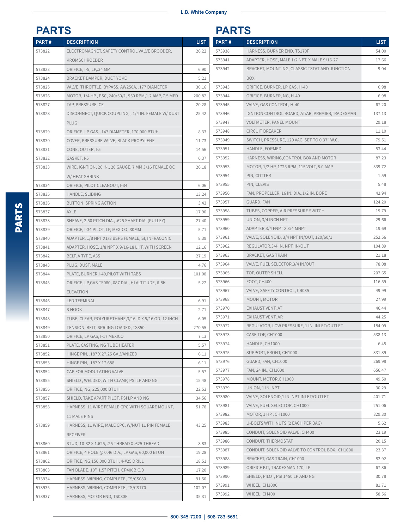|--|

| PART#  | <b>DESCRIPTION</b>                                       | <b>LIST</b> | PART#                      | <b>DESCRIPTION</b>                               | LIST.  |
|--------|----------------------------------------------------------|-------------|----------------------------|--------------------------------------------------|--------|
| 573822 | ELECTROMAGNET, SAFETY CONTROL VALVE BROODER,             | 26.22       | 573938                     | HARNESS, BURNER END, TS170F                      | 54.00  |
|        | KROMSCHROEDER                                            |             | 573941                     | ADAPTER, HOSE, MALE 1/2 NPT, X MALE 9/16-27      | 17.66  |
| 573823 | ORIFICE, I-5, LP, 34 MM                                  | 6.90        | 573942                     | BRACKET, MOUNTING, CLASSIC TSTAT AND JUNCTION    | 9.04   |
| 573824 | BRACKET DAMPER, DUCT YOKE                                | 5.21        |                            | <b>BOX</b>                                       |        |
| 573825 | VALVE, THROTTLE, BYPASS, AW250A, .177 DIAMETER           |             | 573943                     | ORIFICE, BURNER, LP GAS, H-40                    | 6.98   |
| 573826 | MOTOR, 1/4 HP., PSC, 240/50/1, 950 RPM, 1.2 AMP, 7.5 MFD | 200.82      | 573944                     | ORIFICE, BURNER, NG, H-40                        | 6.98   |
| 573827 | TAP, PRESSURE, CE                                        | 20.28       | 573945                     | VALVE, GAS CONTROL, H-40                         | 67.20  |
| 573828 | DISCONNECT, QUICK COUPLING, , 1/4 IN. FEMALE W/ DUST     | 25.42       | 573946                     | IGNTION CONTROL BOARD, AT/AR, PREMIER, TRADESMAN | 137.13 |
|        | PLUG                                                     |             | 573947                     | VOLTMETER, PANEL MOUNT                           | 29.18  |
| 573829 | ORIFICE, LP GAS, .147 DIAMETER, 170,000 BTUH             | 8.33        | 573948                     | <b>CIRCUIT BREAKER</b>                           | 11.10  |
| 573830 | COVER, PRESSURE VALVE, BLACK PROPYLENE                   | 11.73       | 573949                     | SWITCH, PRESSURE, 120 VAC, SET TO 0.37" W.C.     | 79.51  |
| 573831 | CONE, OUTER, I-5                                         | 14.56       | 573951                     | HANDLE, FORMED                                   | 53.44  |
| 573832 | GASKET, I-5                                              | 6.37        | 573952                     | HARNESS, WIRING, CONTROL BOX AND MOTOR           | 87.23  |
| 573833 | WIRE, IGNTION, 26 IN., 20 GAUGE, 7 MM 3/16 FEMALE QC     | 26.18       | 573953                     | MOTOR, 1/2 HP, 1725 RPM, 115 VOLT, 8.0 AMP       | 339.72 |
|        | W/ HEAT SHRINK                                           |             | 573954                     | PIN, COTTER                                      | 1.59   |
| 573834 | ORIFICE, PILOT CLEANOUT, I-34                            | 6.06        | 573955                     | PIN, CLEVIS                                      | 5.48   |
| 573835 | HANDLE, SLIDING                                          | 13.24       | 573956                     | FAN, PROPELLER, 16 IN. DIA., 1/2 IN. BORE        | 42.94  |
| 573836 | <b>BUTTON, SPRING ACTION</b>                             | 3.43        | 573957                     | GUARD, FAN                                       | 124.20 |
| 573837 | <b>AXLE</b>                                              | 17.90       | 573958                     | TUBES, COPPER, AIR PRESSURE SWITCH               | 19.79  |
| 573838 | SHEAVE, 2.50 PITCH DIA., .625 SHAFT DIA. (PULLEY)        | 27.40       | 573959                     | UNION, 3/4 INCH NPT                              | 29.66  |
| 573839 | ORIFICE, I-34 PILOT, LP, MEXICO, 30MM                    | 5.71        | 573960                     | ADAPTER, 3/4 FNPT X 3/4 MNPT                     | 19.69  |
| 573840 | ADAPTER, 1/8 NPT X1/8 BSPS FEMALE, SI, INFRACONIC        | 8.39        | 573961                     | VALVE, SOLENOID, 3/4 NPT IN/OUT, 120/60/1        | 252.56 |
| 573841 | ADAPTER, HOSE, 1/8 NPT X 9/16-18 LHT, WITH SCREEN        | 12.16       | 573962                     | REGULATOR, 3/4 IN. NPT, IN/OUT                   | 104.89 |
| 573842 | BELT, A TYPE, A35                                        | 27.19       | 573963                     | <b>BRACKET, GAS TRAIN</b>                        | 21.18  |
| 573843 | PLUG, DUST, MALE                                         | 4.76        | 573964                     | VALVE, FUEL SELECTOR, 3/4 IN/OUT                 | 78.08  |
| 573844 | PLATE, BURNER, I-40, PILOT WITH TABS                     | 101.08      | 573965                     | TOP, OUTER SHELL                                 | 207.65 |
| 573845 | ORIFICE, LP, GAS TS080, .087 DIA., HI ALTITUDE, 6-8K     | 5.22        | 573966                     | FOOT, CH400                                      | 116.59 |
|        | <b>ELEVATION</b>                                         |             | 573967                     | VALVE, SAFETY CONTROL, CR035                     | 49.99  |
| 573846 | <b>LED TERMINAL</b>                                      | 6.91        | 573968                     | MOUNT, MOTOR                                     | 27.99  |
| 573847 | S HOOK                                                   | 2.71        | 573970                     | EXHAUST VENT, AT                                 | 46.44  |
| 573848 | TUBE, CLEAR, POLYURETHANE, 3/16 ID X 5/16 OD, 12 INCH    | 6.05        | 573971<br>EXHAUST VENT, AR |                                                  | 44.25  |
| 573849 | TENSION, BELT, SPRIING LOADED, TS350                     | 270.55      | 573972                     | REGULATOR, LOW PRESSURE, 1 IN. INLET/OUTLET      | 184.09 |
| 573850 | ORIFICE, LP GAS, I-17 MEXICO                             | 7.13        | 573973                     | CASE TOP, CH1000                                 | 538.13 |
| 573851 | PLATE, CASTING, NG TUBE HEATER                           | 5.57        | 573974                     | HANDLE, CH1000                                   | 6.45   |
| 573852 | HINGE PIN, .187 X 27.25 GALVANIZED                       | 6.11        | 573975                     | SUPPORT, FRONT, CH1000                           | 331.39 |
| 573853 | HINGE PIN, .187 X 17.688                                 | 6.11        | 573976                     | GUARD, FAN, CH1000                               | 269.98 |
| 573854 | CAP FOR MODULATING VALVE                                 | 5.57        | 573977                     | FAN, 24 IN., CH1000                              | 656.47 |
| 573855 | SHIELD, WELDED, WITH CLAMP, PSI LP AND NG                | 15.48       | 573978                     | MOUNT, MOTOR, CH1000                             | 49.50  |
| 573856 | ORIFICE, NG, 225,000 BTUH                                | 22.53       | 573979                     | UNION, 1 IN. NPT                                 | 30.29  |
| 573857 | SHIELD, TAKE APART PILOT, PSI LP AND NG                  | 34.56       | 573980                     | VALVE, SOLENOID,1 IN. NPT INLET/OUTLET           | 401.71 |
| 573858 | HARNESS, 11 WIRE FEMALE, CPC WITH SQUARE MOUNT,          | 51.78       | 573981                     | VALVE, FUEL SELECTOR, CH1000                     | 251.06 |
|        | 11 MALE PINS                                             |             | 573982                     | MOTOR, 1 HP., CH1000                             | 829.30 |
| 573859 | HARNESS, 11 WIRE, MALE CPC, W/NUT 11 PIN FEMALE          | 43.25       | 573983                     | U-BOLTS WITH NUTS (2 EACH PER BAG)               | 5.62   |
|        | <b>RECEIVER</b>                                          |             | 573985                     | CONDUIT, SOLENOID VALVE, CH400                   | 23.19  |
| 573860 | STUD, 10-32 X 1.625, .25 THREAD X .625 THREAD            | 8.83        | 573986                     | CONDUIT, THERMOSTAT                              | 20.15  |
| 573861 | ORIFICE, 4 HOLE @ 0.46 DIA., LP GAS, 60,000 BTUH         | 19.28       | 573987                     | CONDUIT, SOLENOID VALVE TO CONTROL BOX, CH1000   | 23.37  |
| 573862 | ORIFICE, NG, 150,000 BTUH, 4-#25 DRILL                   | 18.51       | 573988                     | BRACKET, GAS TRAIN, CH1000                       | 82.92  |
| 573863 | FAN BLADE, 10", 1.5" PITCH, CP400B,C,D                   | 17.20       | 573989                     | ORIFICE KIT, TRADESMAN 170, LP                   | 67.36  |
| 573934 | HARNESS, WIRING, COMPLETE, TS/CS080                      | 91.50       | 573990                     | SHIELD, PILOT, PSI 1450 LP AND NG                | 30.78  |
| 573935 | HARNESS, WIRING, COMPLETE, TS/CS170                      | 102.07      | 573991                     | WHEEL, CH1000                                    | 81.71  |
| 573937 | HARNESS, MOTOR END, TS080F                               | 35.31       | 573992                     | WHEEL, CH400                                     | 58.56  |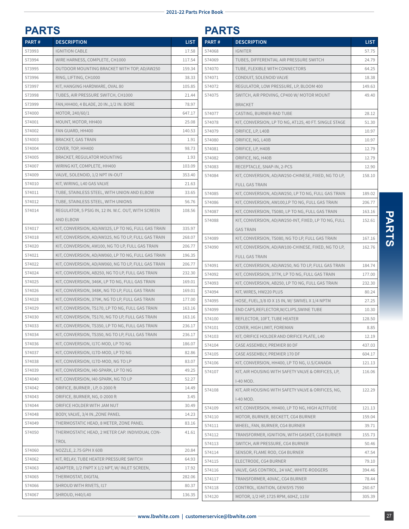## **PARTS**

| PART#  | <b>DESCRIPTION</b>                                                                                  | LIST.  | PART#  | <b>DESCRIPTION</b>                                    | <b>LIST</b>    |
|--------|-----------------------------------------------------------------------------------------------------|--------|--------|-------------------------------------------------------|----------------|
| 573993 | <b>IGNITION CABLE</b>                                                                               | 17.58  | 574068 | <b>IGNITER</b>                                        | 57.75          |
| 573994 | WIRE HARNESS, COMPLETE, CH1000                                                                      | 117.54 | 574069 | TUBES, DIFFERENTIAL AIR PRESSURE SWITCH               | 24.79          |
| 573995 | OUTDOOR MOUNTING BRACKET WITH TOP, AD/AW250                                                         | 159.34 | 574070 | TUBE, FLEXIBLE WITH CONNECTORS                        | 64.25          |
| 573996 | RING, LIFTING, CH1000                                                                               | 38.33  | 574071 | CONDUIT, SOLENOID VALVE                               | 18.38          |
| 573997 | KIT, HANGING HARDWARE, OVAL 80                                                                      | 105.85 | 574072 | REGULATOR, LOW PRESSURE, LP, BLOOM 400                | 149.63         |
| 573998 | TUBES, AIR PRESSURE SWITCH, CH1000                                                                  | 21.44  | 574075 | SWITCH, AIR PROVING, CP400 W/ MOTOR MOUNT             | 49.40          |
| 573999 | FAN, HH400, 4 BLADE, 20 IN., 1/2 IN. BORE                                                           | 78.97  |        | <b>BRACKET</b>                                        |                |
| 574000 | MOTOR, 240/60/1                                                                                     | 647.17 | 574077 | CASTING, BURNER-RAD TUBE                              | 28.12          |
| 574001 | MOUNT, MOTOR, HH400                                                                                 | 25.08  | 574078 | KIT, CONVERSION, LP TO NG, AT125, 40 FT. SINGLE STAGE | 51.30          |
| 574002 | FAN GUARD, HH400                                                                                    | 140.53 | 574079 | ORIFICE, LP, L40B                                     | 10.97          |
| 574003 | <b>BRACKET, GAS TRAIN</b>                                                                           | 1.91   | 574080 | ORIFICE, NG, L40B                                     | 10.97          |
| 574004 | COVER, TOP, HH400                                                                                   | 98.73  | 574081 | ORIFICE, LP, H40B                                     | 12.79          |
| 574005 | BRACKET, REGULATOR MOUNTING                                                                         | 1.93   | 574082 | ORIFICE, NG, H40B                                     | 12.79          |
| 574007 | WIRING KIT, COMPLETE, HH400                                                                         | 103.09 | 574083 | RECEPTACLE, SNAP-IN, 2-PCS                            | 12.90          |
| 574009 | VALVE, SOLENOID, 1/2 NPT IN-OUT                                                                     | 353.40 | 574084 | KIT, CONVERSION, AD/AW250-CHINESE, FIXED, NG TO LP,   | 158.10         |
| 574010 | KIT, WIRING, L40 GAS VALVE                                                                          | 21.63  |        | <b>FULL GAS TRAIN</b>                                 |                |
| 574011 | TUBE, STAINLESS STEEL, WITH UNION AND ELBOW                                                         | 33.65  | 574085 | KIT, CONVERSION, AD/AW250, LP TO NG, FULL GAS TRAIN   | 189.02         |
| 574012 | TUBE, STAINLESS STEEL, WITH UNIONS                                                                  | 56.76  | 574086 | KIT, CONVERSION, AW100, LP TO NG, FULL GAS TRAIN      | 206.77         |
| 574014 | REGULATOR, 5 PSIG IN, 12 IN. W.C. OUT, WITH SCREEN                                                  | 108.56 | 574087 | KIT, CONVERSION, TS080, LP TO NG, FULL GAS TRAIN      | 163.16         |
|        | AND ELBOW                                                                                           |        | 574088 | KIT, CONVERSION, AD/AW250-INT, FIXED, LP TO NG, FULL  | 152.61         |
| 574017 | KIT, CONVERSION, AD/AW325, LP TO NG, FULL GAS TRAIN                                                 | 335.97 |        | <b>GAS TRAIN</b>                                      |                |
| 574018 | KIT, CONVERSION, AD/AW325, NG TO LP, FULL GAS TRAIN                                                 | 268.07 | 574089 | KIT, CONVERSION, TS080, NG TO LP, FULL GAS TRAIN      | 167.16         |
| 574020 | KIT, CONVERSION, AW100, NG TO LP, FULL GAS TRAIN                                                    | 206.77 |        |                                                       |                |
| 574021 | KIT, CONVERSION, AD/AW060, LP TO NG, FULL GAS TRAIN                                                 | 196.35 | 574090 | KIT, CONVERSION, AD/AW100-CHINESE, FIXED, NG TO LP,   | 162.76         |
| 574022 | KIT, CONVERSION, AD/AW060, NG TO LP, FULL GAS TRAIN                                                 | 206.77 |        | <b>FULL GAS TRAIN</b>                                 |                |
| 574024 | KIT, CONVERSION, AB250, NG TO LP, FULL GAS TRAIN                                                    | 232.30 | 574091 | KIT, CONVERSION, AD/AW250, NG TO LP, FULL GAS TRAIN   | 184.74         |
| 574025 | KIT, CONVERSION, 346K, LP TO NG, FULL GAS TRAIN                                                     | 169.01 | 574092 | KIT, CONVERSION, 377K, LP TO NG, FULL GAS TRAIN       | 177.00         |
| 574026 | KIT, CONVERSION, 348K, NG TO LP, FULL GAS TRAIN                                                     | 169.01 | 574093 | KIT, CONVERSION, AB250, LP TO NG, FULL GAS TRAIN      | 232.30         |
| 574028 |                                                                                                     |        | 574094 | KIT, WIRES, HW220 PLUS                                | 80.24          |
| 574029 | KIT, CONVERSION, 379K, NG TO LP, FULL GAS TRAIN<br>KIT, CONVERSION, TS170, LP TO NG, FULL GAS TRAIN | 177.00 | 574095 | HOSE, FUEL, 3/8 ID X 15 IN, W/ SWIVEL X 1/4 NPTM      | 27.25<br>10.30 |
|        | KIT, CONVERSION, TS170, NG TO LP, FULL GAS TRAIN                                                    | 163.16 | 574099 | END CAPS, REFLECTOR, W/CLIPS, SWINE TUBE              |                |
| 574030 |                                                                                                     | 163.16 | 574100 | REFLECTOR, 10FT, TUBE HEATER                          | 128.50         |
| 574033 | KIT, CONVERSION, TS350, LP TO NG, FULL GAS TRAIN                                                    | 236.17 | 574101 | COVER, HIGH LIMIT, FOREMAN                            | 8.85           |
| 574034 | KIT, CONVERSION, TS350, NG TO LP, FULL GAS TRAIN                                                    | 236.17 | 574103 | KIT, ORIFICE HOLDER AND ORIFICE PLATE, L40            | 12.19          |
| 574036 | KIT, CONVERSION, I17C-MOD, LP TO NG                                                                 | 186.07 | 574104 | CASE ASSEMBLY, PREMIER 80 DF                          | 437.03         |
| 574037 | KIT, CONVERSION, I17D-MOD, LP TO NG                                                                 | 82.86  | 574105 | CASE ASSEMBLY, PREMIER 170 DF                         | 604.17         |
| 574038 | KIT, CONVERSION, I17D-MOD, NG TO LP                                                                 | 83.07  | 574106 | KIT, CONVERSION, HH400, LP TO NG, U.S/CANADA          | 121.13         |
| 574039 | KIT, CONVERSION, 140-SPARK, LP TO NG                                                                | 49.25  | 574107 | KIT, AIR HOUSING WITH SAFETY VALVE & ORIFICES, LP,    | 116.06         |
| 574040 | KIT, CONVERSION, 140-SPARK, NG TO LP                                                                | 52.27  |        | I-40 MOD.                                             |                |
| 574042 | ORIFICE, BURNER, LP, 0-2000 ft                                                                      | 14.49  | 574108 | KIT, AIR HOUSING WITH SAFETY VALVE & ORIFICES, NG,    | 122.29         |
| 574043 | ORIFICE, BURNER, NG, 0-2000 ft                                                                      | 3.45   |        | I-40 MOD.                                             |                |
| 574044 | ORIFICE HOLDER WITH JAM NUT                                                                         | 30.49  | 574109 | KIT, CONVERSION, HH400, LP TO NG, HIGH ALTITUDE       | 121.13         |
| 574048 | BODY, VALVE, 3/4 IN., ZONE PANEL                                                                    | 14.23  | 574110 | MOTOR, BURNER, BECKETT, CG4 BURNER                    | 159.04         |
| 574049 | THERMOSTATIC HEAD, 8 METER, ZONE PANEL                                                              | 83.16  | 574111 | WHEEL, FAN, BURNER, CG4 BURNER                        | 39.71          |
| 574050 | THERMOSTATIC HEAD, 2 METER CAP. INDIVIDUAL CON-                                                     | 41.61  | 574112 | TRANSFORMER, IGNITION, WITH GASKET, CG4 BURNER        | 155.73         |
|        | TROL                                                                                                |        | 574113 | SWITCH, AIR PRESSURE, CG4 BURNER                      | 50.46          |
| 574060 | NOZZLE, 2.75 GPH X 60B                                                                              | 20.84  | 574114 | SENSOR, FLAME ROD, CG4 BURNER                         | 47.54          |
| 574062 | KIT, RELAY, TUBE HEATER PRESSURE SWITCH                                                             | 64.93  | 574115 | ELECTRODE, CG4 BURNER                                 | 79.10          |
| 574063 | ADAPTER, 1/2 FNPT X 1/2 NPT, W/ INLET SCREEN,                                                       | 17.92  | 574116 | VALVE, GAS CONTROL, 24 VAC, WHITE-RODGERS             | 394.46         |
| 574065 | THERMOSTAT, DIGITAL                                                                                 | 282.06 | 574117 | TRANSFORMER, 40VAC, CG4 BURNER                        | 78.44          |
| 574066 | SHROUD WITH RIVETS, 117                                                                             | 80.37  | 574118 | CONTROL, IGNITION, GENISYS 7590                       | 260.67         |
| 574067 | SHROUD, H40/L40                                                                                     | 136.35 | 574120 | MOTOR, 1/2 HP, 1725 RPM, 60HZ, 115V                   | 305.39         |

| PART#  | <b>DESCRIPTION</b>                                    | LIST   |  |  |  |
|--------|-------------------------------------------------------|--------|--|--|--|
| 574068 | <b>IGNITER</b>                                        | 57.75  |  |  |  |
| 574069 | TUBES, DIFFERENTIAL AIR PRESSURE SWITCH               | 24.79  |  |  |  |
| 574070 | TUBE, FLEXIBLE WITH CONNECTORS                        | 64.25  |  |  |  |
| 574071 | CONDUIT, SOLENOID VALVE                               | 18.38  |  |  |  |
| 574072 | REGULATOR, LOW PRESSURE, LP, BLOOM 400<br>149.63      |        |  |  |  |
| 574075 | SWITCH, AIR PROVING, CP400 W/ MOTOR MOUNT             | 49.40  |  |  |  |
|        | <b>BRACKET</b>                                        |        |  |  |  |
| 574077 | CASTING, BURNER-RAD TUBE                              | 28.12  |  |  |  |
| 574078 | KIT, CONVERSION, LP TO NG, AT125, 40 FT. SINGLE STAGE | 51.30  |  |  |  |
| 574079 | ORIFICE, LP, L40B                                     | 10.97  |  |  |  |
| 574080 | ORIFICE, NG, L40B                                     | 10.97  |  |  |  |
| 574081 | ORIFICE, LP, H40B                                     | 12.79  |  |  |  |
| 574082 | ORIFICE, NG, H40B                                     | 12.79  |  |  |  |
| 574083 | RECEPTACLE, SNAP-IN, 2-PCS                            | 12.90  |  |  |  |
| 574084 | KIT, CONVERSION, AD/AW250-CHINESE, FIXED, NG TO LP,   | 158.10 |  |  |  |
|        | <b>FULL GAS TRAIN</b>                                 |        |  |  |  |
| 574085 | KIT, CONVERSION, AD/AW250, LP TO NG, FULL GAS TRAIN   | 189.02 |  |  |  |
| 574086 | KIT, CONVERSION, AW100,LP TO NG, FULL GAS TRAIN       | 206.77 |  |  |  |
| 574087 | KIT, CONVERSION, TS080, LP TO NG, FULL GAS TRAIN      | 163.16 |  |  |  |
| 574088 | KIT, CONVERSION, AD/AW250-INT, FIXED, LP TO NG, FULL  | 152.61 |  |  |  |
|        | <b>GAS TRAIN</b>                                      |        |  |  |  |
| 574089 | KIT, CONVERSION, TS080, NG TO LP, FULL GAS TRAIN      | 167.16 |  |  |  |
| 574090 | KIT, CONVERSION, AD/AW100-CHINESE, FIXED, NG TO LP,   | 162.76 |  |  |  |
|        | <b>FULL GAS TRAIN</b>                                 |        |  |  |  |
| 574091 | KIT, CONVERSION, AD/AW250, NG TO LP, FULL GAS TRAIN   | 184.74 |  |  |  |
| 574092 | KIT, CONVERSION, 377K, LP TO NG, FULL GAS TRAIN       | 177.00 |  |  |  |
| 574093 | KIT, CONVERSION, AB250, LP TO NG, FULL GAS TRAIN      | 232.30 |  |  |  |
| 574094 | KIT, WIRES, HW220 PLUS                                | 80.24  |  |  |  |
| 574095 | HOSE, FUEL, 3/8 ID X 15 IN, W/ SWIVEL X 1/4 NPTM      | 27.25  |  |  |  |
| 574099 | END CAPS, REFLECTOR, W/CLIPS, SWINE TUBE              | 10.30  |  |  |  |
| 574100 | REFLECTOR, 10FT, TUBE HEATER                          | 128.50 |  |  |  |
| 574101 | COVER, HIGH LIMIT, FOREMAN                            | 8.85   |  |  |  |
| 574103 | KIT, ORIFICE HOLDER AND ORIFICE PLATE, L40            | 12.19  |  |  |  |
| 574104 | CASE ASSEMBLY, PREMIER 80 DF                          | 437.03 |  |  |  |
| 574105 | CASE ASSEMBLY, PREMIER 170 DF                         | 604.17 |  |  |  |
| 574106 | KIT, CONVERSION, HH400, LP TO NG, U.S/CANADA          | 121.13 |  |  |  |
| 574107 | KIT, AIR HOUSING WITH SAFETY VALVE & ORIFICES, LP,    | 116.06 |  |  |  |
|        | I-40 MOD.                                             |        |  |  |  |
| 574108 | KIT, AIR HOUSING WITH SAFETY VALVE & ORIFICES, NG,    | 122.29 |  |  |  |
|        | I-40 MOD.                                             |        |  |  |  |
| 574109 | KIT, CONVERSION, HH400, LP TO NG, HIGH ALTITUDE       | 121.13 |  |  |  |
| 574110 | MOTOR, BURNER, BECKETT, CG4 BURNER                    | 159.04 |  |  |  |
| 574111 | WHEEL, FAN, BURNER, CG4 BURNER                        | 39.71  |  |  |  |
| 574112 | TRANSFORMER, IGNITION, WITH GASKET, CG4 BURNER        | 155.73 |  |  |  |
| 574113 | SWITCH, AIR PRESSURE, CG4 BURNER                      | 50.46  |  |  |  |
| 574114 | SENSOR, FLAME ROD, CG4 BURNER                         | 47.54  |  |  |  |
| 574115 | ELECTRODE, CG4 BURNER                                 | 79.10  |  |  |  |
| 574116 | VALVE, GAS CONTROL, 24 VAC, WHITE-RODGERS             | 394.46 |  |  |  |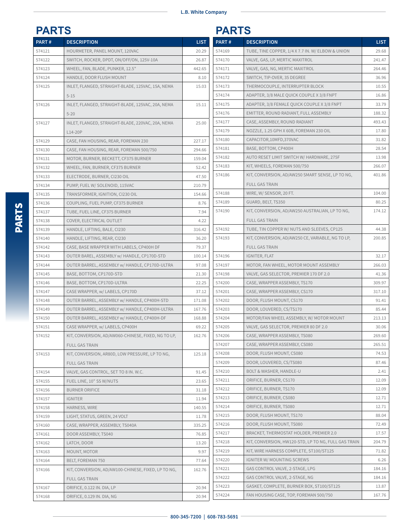|--|

| PART#  | <b>DESCRIPTION</b>                                  | LIST.  | PART#  | <b>DESCRIPTION</b>                                   | LIST.  |
|--------|-----------------------------------------------------|--------|--------|------------------------------------------------------|--------|
| 574121 | HOURMETER, PANEL MOUNT, 120VAC                      | 20.29  | 574169 | TUBE, TINE COPPER, 1/4 X 7.7 IN. W/ ELBOW & UNION    | 29.68  |
| 574122 | SWITCH, ROCKER, DPDT, ON/OFF/ON, 125V-10A           | 26.87  | 574170 | VALVE, GAS, LP, MERTIC MAXITROL                      | 241.47 |
| 574123 | WHEEL, FAN, BLADE, PUNKER, 12.5"                    | 442.65 | 574171 | VALVE, GAS, NG, MERTIC MAXITROL                      | 264.46 |
| 574124 | HANDLE, DOOR FLUSH MOUNT                            | 8.10   | 574172 | SWITCH, TIP-OVER, 35 DEGREE                          | 36.96  |
| 574125 | INLET, FLANGED, STRAIGHT-BLADE, 125VAC, 15A, NEMA   | 15.03  | 574173 | THERMOCOUPLE, INTERRUPTER BLOCK                      | 10.55  |
|        | $5 - 15$                                            |        | 574174 | ADAPTER, 3/8 MALE QUICK COUPLE X 3/8 FNPT            | 16.86  |
| 574126 | INLET, FLANGED, STRAIGHT-BLADE, 125VAC, 20A, NEMA   | 15.11  | 574175 | ADAPTER, 3/8 FEMALE QUICK COUPLE X 3/8 FNPT          | 33.79  |
|        | $5 - 20$                                            |        | 574176 | EMITTER, ROUND RADIANT, FULL ASSEMBLY                | 188.32 |
| 574127 | INLET, FLANGED, STRAIGHT-BLADE, 220VAC, 20A, NEMA   | 25.00  | 574177 | CASE, ASSEMBLY, ROUND RADIANT                        | 493.43 |
|        | L14-20P                                             |        | 574179 | NOZZLE, 1.25 GPH X 60B, FOREMAN 230 OIL              | 17.80  |
| 574129 | CASE, FAN HOUSING, REAR, FOREMAN 230                | 227.17 | 574180 | CAPACITOR, 10MFD, 370VAC                             | 31.82  |
| 574130 | CASE, FAN HOUSING, REAR, FOREMAN 500/750            | 294.66 | 574181 | BASE, BOTTOM, CP400H                                 | 28.54  |
| 574131 | MOTOR, BURNER, BECKETT, CF375 BURNER                | 159.04 | 574182 | AUTO RESET LIMIT SWITCH W/ HARDWARE, 275F            | 13.98  |
| 574132 | WHEEL, FAN, BURNER, CF375 BURNER                    | 52.42  | 574183 | KIT, WHEELS, FOREMAN 500/750                         | 266.07 |
| 574133 | ELECTRODE, BURNER, CI230 OIL                        | 47.50  | 574186 | KIT, CONVERSION, AD/AW250 SMART SENSE, LP TO NG,     | 401.86 |
| 574134 | PUMP, FUEL W/ SOLENOID, 115VAC                      | 210.79 |        | <b>FULL GAS TRAIN</b>                                |        |
| 574135 | TRANSFORMER, IGNITION, CI230 OIL                    | 154.66 | 574188 | WIRE, W/ SENSOR, 20 FT.                              | 104.00 |
| 574136 | COUPLING, FUEL PUMP, CF375 BURNER                   | 8.76   | 574189 | GUARD, BELT, TS350                                   | 80.25  |
| 574137 | TUBE, FUEL LINE, CF375 BURNER                       | 7.94   | 574190 | KIT, CONVERSION, AD/AW250 AUSTRALIAN, LP TO NG,      | 174.12 |
| 574138 | COVER, ELECTRICAL OUTLET                            | 4.22   |        | <b>FULL GAS TRAIN</b>                                |        |
| 574139 | HANDLE, LIFTING, BALE, CI230                        | 316.42 | 574192 | TUBE, TIN COPPER W/ NUTS AND SLEEVES, CP125          | 44.38  |
| 574140 | HANDLE, LIFTING, REAR, CI230                        | 36.20  | 574193 | KIT, CONVERSION, AD/AW250 CE, VARIABLE, NG TO LP,    | 200.85 |
| 574142 | CASE, BASE WRAPPER WITH LABELS, CP400H DF           | 79.37  |        | <b>FULL GAS TRAIN</b>                                |        |
| 574143 | OUTER BAREL, ASSEMBLY w/ HANDLE, CP170D-STD         | 100.14 | 574196 | IGNITER, FLAT                                        | 32.17  |
| 574144 | OUTER BARREL, ASSEMBLY w/ HANDLE, CP170D-ULTRA      | 97.08  | 574197 | MOTOR, FAN WHEEL, MOTOR MOUNT ASSEMBLY               | 266.03 |
| 574145 | BASE, BOTTOM, CP170D-STD                            | 21.30  | 574198 | VALVE, GAS SELECTOR, PREMIER 170 DF 2.0              | 41.36  |
| 574146 | BASE, BOTTOM, CP170D-ULTRA                          | 22.25  | 574200 | CASE, WRAPPER ASSEMBLY, TS170                        | 309.97 |
| 574147 | CASE WRAPPER, w/ LABELS, CP170D                     | 37.12  | 574201 | CASE, WRAPPER ASSEMBLY, CS170                        | 317.10 |
| 574148 | OUTER BARREL, ASSEMBLY w/ HANDLE, CP400H-STD        | 171.08 | 574202 | DOOR, FLUSH MOUNT, CS170                             | 91.41  |
| 574149 | OUTER BARREL, ASSEMBLY w/ HANDLE, CP400H-ULTRA      | 167.76 | 574203 | DOOR, LOUVERED, CS/TS170                             | 85.44  |
| 574150 | OUTER BARREL, ASSEMBLY w/ HANDLE, CP400H-DF         | 168.88 | 574204 | MOTOR/FAN WHEEL ASSEMBLY, W/ MOTOR MOUNT             | 213.13 |
| 574151 | CASE WRAPPER, w/ LABELS, CP400H                     | 69.22  | 574205 | VALVE, GAS SELECTOR, PREMIER 80 DF 2.0               | 30.06  |
| 574152 | KIT, CONVERSION, AD/AW060-CHINESE, FIXED, NG TO LP, | 162.76 | 574206 | CASE, WRAPPER ASSEMBLY, TS080                        | 269.60 |
|        | FULL GAS TRAIN                                      |        | 574207 | CASE, WRAPPER ASSEMBLY, CS080                        | 265.51 |
| 574153 | KIT, CONVERSION, AR80D, LOW PRESSURE, LP TO NG,     | 125.18 | 574208 | DOOR, FLUSH MOUNT, CS080                             | 74.53  |
|        | FULL GAS TRAIN                                      |        | 574209 | DOOR, LOUVERED, CS/TS080                             | 87.46  |
| 574154 | VALVE, GAS CONTROL, SET TO 8 IN. W.C.               | 91.45  | 574210 | <b>BOLT &amp; WASHER, HANDLE-U</b>                   | 2.41   |
| 574155 | FUEL LINE, 10" SS W/NUTS                            | 23.65  | 574211 | ORIFICE, BURNER, CS170                               | 12.09  |
| 574156 | <b>BURNER ORIFICE</b>                               | 31.18  | 574212 | ORIFICE, BURNER, TS170                               | 12.09  |
| 574157 | <b>IGNITER</b>                                      | 11.94  | 574213 | ORIFICE, BURNER, CS080                               | 12.71  |
| 574158 | HARNESS, WIRE                                       | 140.55 | 574214 | ORIFICE, BURNER, TS080                               | 12.71  |
| 574159 | LIGHT, STATUS, GREEN, 24 VOLT                       | 11.78  | 574215 | DOOR, FLUSH MOUNT, TS170                             | 88.04  |
| 574160 | CASE, WRAPPER, ASSEMBLY, TS040A                     | 335.25 | 574216 | DOOR, FLUSH MOUNT, TS080                             | 72.49  |
| 574161 | DOOR ASSEMBLY, TS040                                | 76.85  | 574217 | BRACKET, THERMOSTAT HOLDER, PREMIER 2.0              | 17.57  |
| 574162 | LATCH, DOOR                                         | 13.20  | 574218 | KIT, CONVERSION, HW120-STD, LP TO NG, FULL GAS TRAIN | 204.79 |
| 574163 | MOUNT, MOTOR                                        | 9.97   | 574219 | KIT, WIRE HARNESS COMPLETE, ST100/ST125              | 71.82  |
| 574164 | BELT, FOREMAN 750                                   | 77.64  | 574220 | <b>IGNITER W/ MOUNTING SCREWS</b>                    | 6.26   |
| 574166 | KIT, CONVERSION, AD/AW100-CHINESE, FIXED, LP TO NG, | 162.76 | 574221 | GAS CONTROL VALVE, 2-STAGE, LPG                      | 184.16 |
|        | <b>FULL GAS TRAIN</b>                               |        | 574222 | GAS CONTROL VALVE, 2-STAGE, NG                       | 184.16 |
| 574167 | ORIFICE, 0.122 IN. DIA, LP                          | 20.94  | 574223 | GASKET, COMPLETE, BURNER BOX, ST100/ST125            | 13.87  |
| 574168 | ORIFICE, 0.129 IN. DIA, NG                          | 20.94  | 574224 | FAN HOUSING CASE, TOP, FOREMAN 500/750               | 167.76 |
|        |                                                     |        |        |                                                      |        |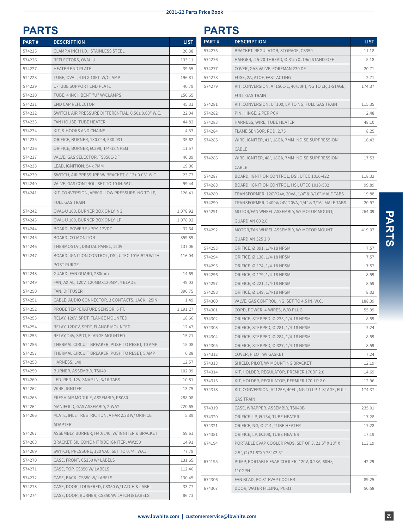| PART#  | <b>DESCRIPTION</b>                                  | LIST     |
|--------|-----------------------------------------------------|----------|
| 574225 | CLAMP, 4 INCH I.D., STAINLESS STEEL                 | 20.38    |
| 574226 | REFLECTORS, OVAL-U                                  | 133.11   |
| 574227 | <b>HEATER END PLATE</b>                             | 39.55    |
| 574228 | TUBE, OVAL, 4 IN X 10FT. W/CLAMP                    | 196.81   |
| 574229 | <b>U-TUBE SUPPORT END PLATE</b>                     | 40.79    |
| 574230 | TUBE, 4 INCH BENT "U" W/CLAMPS                      | 150.65   |
| 574231 | <b>END CAP REFLECTOR</b>                            | 45.31    |
| 574232 | SWITCH, AIR PRESSURE DIFFERENTIAL, 0.50± 0.03" W.C. | 22.04    |
| 574233 | FAN HOUSE, TUBE HEATER                              | 44.82    |
| 574234 | KIT, S-HOOKS AND CHAINS                             | 4.53     |
| 574235 | ORIFICE, BURNER, 1X0.044, 5X0.031                   | 35.62    |
| 574236 | ORIFICE, BURNER, Ø.299, 1/4-18 NPSM                 | 11.57    |
| 574237 | VALVE, GAS SELECTOR, TS350C-DF                      | 40.89    |
| 574238 | LEAD, IGNITION, 54 x 7MM                            | 19.06    |
| 574239 | SWITCH, AIR PRESSURE W/ BRACKET, 0.12± 0.03" W.C.   | 23.77    |
| 574240 | VALVE, GAS CONTROL, SET TO 10 IN. W.C.              | 99.44    |
| 574241 | KIT, CONVERSION, AR80D, LOW PRESSURE, NG TO LP,     | 126.41   |
|        | <b>FULL GAS TRAIN</b>                               |          |
| 574242 | OVAL-U 100, BURNER BOX ONLY, NG                     | 1,078.92 |
| 574243 | OVAL-U 100, BURNER BOX ONLY, LP                     | 1,078.92 |
| 574244 | BOARD, POWER SUPPY, 12VDC                           | 32.64    |
| 574245 | BOARD, CO MONITOR                                   | 359.89   |
| 574246 | THERMOSTAT, DIGITAL PANEL, 120V                     | 137.06   |
| 574247 | BOARD, IGNITION CONTROL, DSI, UTEC 1016-529 WITH    | 116.04   |
|        | POST PURGE                                          |          |
| 574248 | GUARD, FAN GUARD, 280mm                             | 14.69    |
| 574249 | FAN, AXIAL, 120V, 120MMX120MM, 4 BLADE              | 49.03    |
| 574250 | FAN, DIFFUSER                                       | 396.75   |
| 574251 | CABLE, AUDIO CONNECTOR, 3 CONTACTS, JACK, .25IN     | 1.49     |
| 574252 | PROBE TEMPERATURE SENSOR, 5 FT.                     | 1,191.27 |
| 574253 | RELAY, 120V, SPDT, FLANGE MOUNTED                   | 18.66    |
| 574254 | RELAY, 12DCV, SPDT, FLANGE MOUNTED                  | 12.47    |
| 574255 | RELAY, 24V, SPDT, FLANGE MOUNTED                    | 15.21    |
| 574256 | THERMAL CIRCUIT BREAKER, PUSH TO RESET, 10 AMP      | 15.08    |
| 574257 | THERMAL CIRCUIT BREAKER, PUSH TO RESET, 5 AMP       | 6.88     |
| 574258 | HARNESS, L40                                        | 12.57    |
| 574259 | BURNER, ASSEMBLY, TS040                             | 102.99   |
| 574260 | LED, RED, 12V, SNAP-IN, 3/16 TABS                   | 10.81    |
| 574262 | WIRE, IGNITER                                       | 13.75    |
| 574263 | FRESH AIR MODULE, ASSEMBLY, PS080                   | 288.08   |
| 574264 | MANIFOLD, GAS ASSEMBLY, 2-WAY                       | 220.65   |
| 574266 | PLATE, INLET RESTRICTION, AT-AR 2.38 W/ ORIFICE     | 5.89     |
|        | <b>ADAPTER</b>                                      |          |
| 574267 | ASSEMBLY, BURNER, H40/L40, W/ IGNITER & BRACKET     | 59.61    |
| 574268 | BRACKET, SILICONE NITRIDE IGNITER, AW250            | 14.91    |
| 574269 | SWITCH, PRESSURE, 120 VAC, SET TO 0.74" W.C.        | 77.79    |
| 574270 | CASE, FRONT, CS350 W/ LABELS                        | 131.65   |
|        |                                                     |          |
| 574271 | CASE, TOP, CS350 W/ LABELS                          | 112.46   |
| 574272 | CASE, BACK, CS350 W/ LABELS                         | 130.45   |
| 574273 | CASE, DOOR, LOUVERED, CS350 W/ LATCH & LABEL        | 33.77    |
| 574274 | CASE, DOOR, BURNER, CS350 W/ LATCH & LABELS         | 86.73    |

| PART # | <b>DESCRIPTION</b>                                      | <b>LIST</b> |
|--------|---------------------------------------------------------|-------------|
| 574275 | BRACKET, REGULATOR, STORAGE, CS350                      | 11.18       |
| 574276 | HANGER, .25-20 THREAD, Ø.31in X .19in STAND-OFF         | 5.18        |
| 574277 | COVER, GAS VALVE, FOREMAN 230 DF                        | 20.71       |
| 574278 | FUSE, 2A, ATOF, FAST ACTING                             | 2.71        |
| 574279 | KIT, CONVERSION, AT150C-E, 40/50FT, NG TO LP, 1-STAGE,  | 174.37      |
|        | <b>FULL GAS TRAIN</b>                                   |             |
| 574281 | KIT, CONVERSION, UT100, LP TO NG, FULL GAS TRAIN        | 115.35      |
| 574282 | PIN, HINGE, 2 PER PCK                                   | 2.48        |
| 574283 | HARNESS, WIRE, TUBE HEATER                              | 48.10       |
| 574284 | FLAME SENSOR, ROD, 2.75                                 | 8.25        |
| 574285 | WIRE, IGNITER, 41", 18GA, 7MM, NOISE SUPPRESSION        | 16.42       |
|        | CABLE                                                   |             |
| 574286 | WIRE, IGNITER, 48", 18GA, 7MM, NOISE SUPPRESSION        | 17.53       |
|        | CABLE                                                   |             |
| 574287 | BOARD, IGNITION CONTROL, DSI, UTEC 1016-422             | 118.32      |
| 574288 | BOARD, IGNITION CONTROL, HSI, UTEC 1018-502             | 99.89       |
| 574289 | TRANSFORMER, 120V/24V, 20VA, 1/4" & 3/16" MALE TABS     | 19.88       |
| 574290 | TRANSFORMER, 2400V/24V, 20VA, 1/4" & 3/16" MALE TABS    | 20.97       |
| 574291 | MOTOR/FAN WHEEL ASSEMBLY, W/ MOTOR MOUNT,               | 264.09      |
|        | GUARDIAN 60 2.0                                         |             |
| 574292 | MOTOR/FAN WHEEL ASSEMBLY, W/ MOTOR MOUNT,               | 419.07      |
|        |                                                         |             |
|        | GUARDIAN 325 2.0                                        |             |
| 574293 | ORIFICE, Ø.091, 1/4-18 NPSM                             | 7.57        |
| 574294 | ORIFICE, Ø.136, 1/4-18 NPSM                             | 7.57        |
| 574295 | ORIFICE, Ø.174, 1/4-18 NPSM                             | 7.57        |
| 574296 | ORIFICE, Ø.179, 1/4-18 NPSM                             | 8.59        |
| 574297 | ORIFICE, Ø.221, 1/4-18 NPSM                             | 8.59        |
| 574298 | ORIFICE, Ø.149, 1/4-18 NPSM                             | 8.02        |
| 574300 | VALVE, GAS CONTROL, NG, SET TO 4.5 IN. W.C.             | 188.39      |
| 574301 | CORD, POWER, 4-WIRES, W/O PLUG                          | 55.99       |
| 574302 | ORIFICE, STEPPED, Ø.235, 1/4-18 NPSM                    | 8.59        |
| 574303 | ORIFICE, STEPPED, Ø.281, 1/4-18 NPSM                    | 7.24        |
| 574304 | ORIFICE, STEPPED, Ø.284, 1/4-18 NPSM                    | 8.59        |
| 574305 | ORIFICE, STEPPED, Ø.327, 1/4-18 NPSM                    | 8.59        |
| 574312 | COVER, PILOT W/ GASKET                                  | 7.24        |
| 574313 | SHIELD, PILOT, W/ MOUNTING BRACKET                      | 12.19       |
| 574314 | KIT, HOLDER, REGULATOR, PREMIER 170DF 2.0               | 14.69       |
| 574315 | KIT, HOLDER, REGULATOR, PERMIER 170-LP 2.0              | 12.96       |
| 574318 | KIT, CONVERSION, AT125E, 40Ft., NG TO LP, 1-STAGE, FULL | 174.37      |
|        | <b>GAS TRAIN</b>                                        |             |
| 574319 | CASE, WRAPPER, ASSEMBLY, TS040B                         | 235.01      |
| 574320 | ORIFICE, LP, Ø.134, TUBE HEATER                         | 17.28       |
| 574321 | ORIFICE, NG, Ø.214, TUBE HEATER                         | 17.28       |
| 574381 | ORIFICE, LP, Ø.108, TUBE HEATER                         | 17.19       |
| 674194 | PORTABLE EVAP COOLER PADS, SET OF 3, 21.5" X 18" X      | 113.19      |
|        | 2.5", (2) 21.5"X9.75"X2.5"                              |             |
| 674195 | PUMP, PORTABLE EVAP COOLER, 120V, 0.23A, 60Hz,          | 42.29       |
|        | 110GPH                                                  |             |
| 674306 | FAN BLAD, PC-31 EVAP COOLER                             | 89.25       |
| 674307 | DOOR, WATER FILLING, PC-31                              | 50.58       |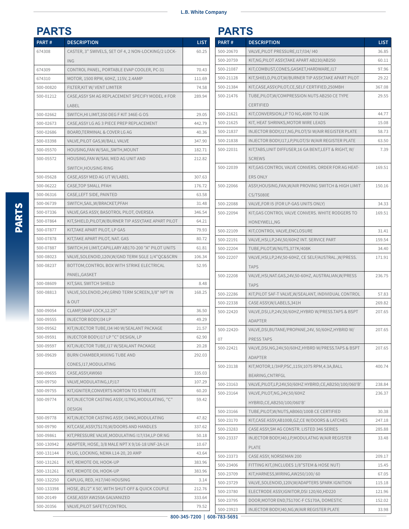|--|--|

| 674308<br>CASTER, 3" SWIVELS, SET OF 4, 2 NON-LOCKING/2 LOCK-<br>60.25<br>500-20670<br>VALVE, PILOT PRESSURE, 117/134/140<br>500-20759<br>KIT, NG, PILOT ASSY, TAKE APART AB230/AB250<br><b>ING</b><br>500-21087<br>KIT, COMBUST, CONES, GASKET, HARDWARE, 117<br>70.43<br>674309<br>CONTROL PANEL, PORTABLE EVAP COOLER, PC-31<br>500-21128<br>KIT, SHIELD, PILOT, W/BURNER TIP ASSY, TAKE APART PILOT<br>674310<br>MOTOR, 1500 RPM, 60HZ, 115V, 2.4AMP<br>111.69<br>500-21384<br>KIT, CASE, ASSY, PILOT, CE, SELF CERTIFIED, 250MBH<br>500-00820<br>FILTER, KIT W/ VENT LIMITER<br>74.58<br>500-21476<br>TUBE, PILOT, W/COMPRESSION NUTS AB250 CE TYPE<br>500-01212<br>CASE, ASSY SM AG REPLACEMENT SPECIFY MODEL # FOR<br>289.94<br>CERTIFIED<br>LABEL<br>500-21621<br>KIT, CONVERSION, LP TO NG, 408K TO 410K<br>500-02662<br>SWITCH, HI LIMIT, 350 DEG F KIT 346E-G OS<br>29.05<br>500-21625<br>KIT, HEAT SHRINKS, MOTOR WIRE LEADS<br>442.79<br>500-02673<br>CASE, ASSY LG AG 3 PIECE PREP REPLACEMENT<br>500-21837<br>INJECTOR BODY, 117, NG, PILOT/SI W/AIR REGISTER PLATE<br>500-02686<br>BOARD, TERMINAL & COVER LG AG<br>40.36<br>500-21838<br>INJECTOR BODY, 117, LP, PILOT/SI W/AIR REGISTER PLATE<br>500-03398<br>VALVE, PILOT GAS, W/BALL VALVE<br>347.90<br>500-22031<br>KIT, TABS, UNIT DIFFUSER, 16 GA BENT, LEFT & RIGHT, W/<br>500-05570<br>HOUSING, FAN W/SAIL, SWTH, MOUNT<br>182.71<br>500-05572<br>HOUSING, FAN W/SAIL MED AG UNIT AND<br>212.82<br><b>SCREWS</b><br>169.51<br>500-22039<br>KIT, GAS CONTROL VALVE CONVERS. ORDER FOR AG HEAT-<br><b>SWITCH, HOUSING RING</b><br>307.63<br><b>ERS ONLY</b><br>500-05628<br>CASE, ASSY MED AG UT W/LABEL<br>500-06222<br>CASE, TOP SMALL PFAH<br>176.72<br>500-22066<br>ASSY, HOUSING, FAN, W/AIR PROVING SWITCH & HIGH LIMIT<br>500-06316<br>CASE, LEFT SIDE, PAINTED<br>63.58<br>CS/TS080E<br>500-06739<br>SWITCH, SAIL, W/BRACKET, PFAH<br>31.48<br>500-22088<br>VALVE, FOR I5 (FOR LP-GAS UNITS ONLY)<br>500-07336<br>VALVE, GAS ASSY, BASOTROL PILOT, OVERSEA<br>346.54<br>500-22094<br>KIT, GAS CONTROL VALVE CONVERS. WHITE RODGERS TO<br>169.51<br>500-07864<br>KIT, SHIELD, PILOT, W/BURNER TIP ASSY, TAKE APART PILOT<br>64.21<br>HONEYWELL, NG<br>500-07877<br>KIT, TAKE APART PILOT, LP GAS<br>79.93<br>500-22109<br>KIT, CONTROL VALVE, ENCLOSURE<br>500-07878<br>KIT, TAKE APART PILOT, NAT. GAS<br>80.72<br>500-22191<br>VALVE, HSI, LP, 24V, 50/60HZ INT. SERVICE PART<br>500-07887<br>SWITCH, HI LIMIT, CAPILLARY AB170-200 "A" PILOT UNITS<br>61.81<br>500-22204<br>TUBE, PILOT, W/NUTS, 377K/408K<br>500-08023<br>VALVE, SOLENOID, 120V, W/GND TERM SGLE 1/4" QC&SCRN<br>106.34<br>500-22207<br>VALVE, HSI, LP, 24V, 50-60HZ, CE SELF/AUSTRAL., W/PRESS.<br>500-08237<br>BOTTOM, CONTROL BOX WITH STRIKE ELECTRICAL<br>52.95<br><b>TAPS</b><br>PANEL, GASKET<br>500-22208<br>VALVE, HSI, NAT.GAS, 24V, 50-60HZ, AUSTRALIAN, W/PRESS<br>500-08609<br>KIT, SAIL SWITCH SHIELD<br>8.48<br><b>TAPS</b><br>500-08813<br>VALVE, SOLENOID, 24V, GRND TERM SCREEN, 3/8" NPT IN<br>168.25<br>500-22286<br>KIT, PILOT SAF-T VALVE, W/SEALANT, INDIVIDUAL CONTROL<br>& OUT<br>500-22338<br>CASE ASSY, W/LABELS, 341H<br>500-09054<br>CLAMP, SNAP LOCK, 12.25"<br>36.50<br>500-22420<br>VALVE, DSI, LP, 24V, 50/60HZ, HYBRD W/PRESS. TAPS & BSPT<br>500-09555<br>INJECTOR BODY, 134 LP<br>49.29<br>ADAPTER<br>500-09562<br>KIT, INJECTOR TUBE, 134 140 W/SEALANT PACKAGE<br>21.57<br>500-22420-<br>VALVE, DSI, BUTANE/PROPANE, 24V, 50/60HZ, HYBRID W/<br>INJECTOR BODY, 117 LP "C" DESIGN, LP<br>62.90<br>500-09591<br>07<br>PRESS TAPS<br>500-09597<br>KIT, INJECTOR TUBE, 117 W/SEALANT PACKAGE<br>20.28<br>500-22421<br>VALVE, DSI, NG, 24V, 50/60HZ, HYBRD W/PRESS. TAPS & BSPT<br>500-09639<br>BURN CHAMBER, MIXING TUBE AND<br>292.03<br>ADAPTER<br>CONES, I17, MODULATING<br>500-23138<br>KIT, MOTOR, 1/3HP, PSC, 115V, 1075 RPM, 4.3A, BALL<br>335.03<br>500-09655<br>CASE, ASSY, AW060<br>BEARING, CNTRFGL<br>500-09750<br>VALVE, MODULATING, LP, 117<br>107.29<br>500-23163<br>VALVE, PILOT, LP, 24V, 50/60HZ HYBRID, CE, AB250/100/060'B'<br>500-09755<br>KIT, IGNITER, CONVERTS NORTON TO STARLITE<br>60.20<br>500-23164<br>236.37<br>VALVE, PILOT, NG, 24V, 50/60HZ<br>500-09774<br>KIT, INJECTOR CASTING ASSY, I17NG, MODULATING, "C"<br>59.42<br>HYBRID, CE, AB250/100/060'B'<br><b>DESIGN</b><br>30.38<br>500-23166<br>TUBE, PILOT, W/NUTS, AB060/100B CE CERTIFIED<br>500-09778<br>KIT, INJECTOR CASTING ASSY, I34NG, MODULATING<br>47.82<br>500-23170<br>KIT, CASE ASSY, AB100B, GZ, CE W/DOORS & LATCHES<br>247.18<br>500-09790<br>KIT, CASE, ASSY, TS170, W/DOORS AND HANDLES<br>337.62<br>500-23283<br>CASE ASSY, SM AG CONSTR. LISTED 346 SERIES<br>500-09861<br>KIT, PRESSURE VALVE, MODULATING 117/134, LP OR NG<br>50.18<br>500-23337<br>33.48<br>INJECTOR BODY, 140, LP, MODULATNG W/AIR REGISTER<br>500-130942<br>ADAPTER, HOSE, 3/8 MALE NPT X 9/16-18 UNF-2A-LH<br>10.67<br>PLATE<br>500-131144<br>43.64<br>PLUG, LOCKING, NEMA L14-20, 20 AMP<br>500-23373<br>CASE ASSY, NORSEMAN 200<br>209.17<br>KIT, REMOTE OIL HOOK-UP<br>383.96<br>500-131261<br>500-23406<br>FITTING KIT, (INCLUDES 1/8"STEM & HOSE NUT)<br>15.45<br>500-131261<br>KIT, REMOTE OIL HOOK-UP<br>383.96<br>500-23709<br>KIT, HARNESS, WIRING, AW250/100/60<br>67.05<br>500-132250<br>3.14<br>CAPLUG, RED, H17/I40 HOUSING<br>500-23729<br>VALVE, SOLENOID, 120V, W/ADAPTERS SPARK IGNITION<br>115.18<br>500-133398<br>HOSE, Ø1/2" X 50', WITH SHUT-OFF & QUICK COUPLE<br>212.76<br>500-23780<br>ELECTRODE ASSY, IGNITOR, DSI 120/60, HD220<br>121.96<br>500-20149<br>CASE, ASSY AW250A GALVANIZED<br>333.64<br>152.02<br>500-23795<br>DOOR, MOTOR END, TS170C-F CS170A, DOMESTIC<br>500-20356<br>VALVE, PILOT SAFETY, CONTROL<br>79.52<br>500-23923<br>INJECTOR BODY, 140, NG, W/AIR REGISTER PLATE<br>33.98 | PART# | <b>DESCRIPTION</b> | <b>LIST</b> | PART# | <b>DESCRIPTION</b> | <b>LIST</b> |
|----------------------------------------------------------------------------------------------------------------------------------------------------------------------------------------------------------------------------------------------------------------------------------------------------------------------------------------------------------------------------------------------------------------------------------------------------------------------------------------------------------------------------------------------------------------------------------------------------------------------------------------------------------------------------------------------------------------------------------------------------------------------------------------------------------------------------------------------------------------------------------------------------------------------------------------------------------------------------------------------------------------------------------------------------------------------------------------------------------------------------------------------------------------------------------------------------------------------------------------------------------------------------------------------------------------------------------------------------------------------------------------------------------------------------------------------------------------------------------------------------------------------------------------------------------------------------------------------------------------------------------------------------------------------------------------------------------------------------------------------------------------------------------------------------------------------------------------------------------------------------------------------------------------------------------------------------------------------------------------------------------------------------------------------------------------------------------------------------------------------------------------------------------------------------------------------------------------------------------------------------------------------------------------------------------------------------------------------------------------------------------------------------------------------------------------------------------------------------------------------------------------------------------------------------------------------------------------------------------------------------------------------------------------------------------------------------------------------------------------------------------------------------------------------------------------------------------------------------------------------------------------------------------------------------------------------------------------------------------------------------------------------------------------------------------------------------------------------------------------------------------------------------------------------------------------------------------------------------------------------------------------------------------------------------------------------------------------------------------------------------------------------------------------------------------------------------------------------------------------------------------------------------------------------------------------------------------------------------------------------------------------------------------------------------------------------------------------------------------------------------------------------------------------------------------------------------------------------------------------------------------------------------------------------------------------------------------------------------------------------------------------------------------------------------------------------------------------------------------------------------------------------------------------------------------------------------------------------------------------------------------------------------------------------------------------------------------------------------------------------------------------------------------------------------------------------------------------------------------------------------------------------------------------------------------------------------------------------------------------------------------------------------------------------------------------------------------------------------------------------------------------------------------------------------------------------------------------------------------------------------------------------------------------------------------------------------------------------------------------------------------------------------------------------------------------------------------------------------------------------------------------------------------------------------------------------------------------------------------------------------------------------------------------------------------------------------------------------------------------------------------------------------------------------------------------------------------------------------------------------------------------------------------------------------------------------------------------------------------------------------------------------------------------------------------------------------------------------------------------------------------------------------------------------------------------------------------------------------------------------------------------------|-------|--------------------|-------------|-------|--------------------|-------------|
|                                                                                                                                                                                                                                                                                                                                                                                                                                                                                                                                                                                                                                                                                                                                                                                                                                                                                                                                                                                                                                                                                                                                                                                                                                                                                                                                                                                                                                                                                                                                                                                                                                                                                                                                                                                                                                                                                                                                                                                                                                                                                                                                                                                                                                                                                                                                                                                                                                                                                                                                                                                                                                                                                                                                                                                                                                                                                                                                                                                                                                                                                                                                                                                                                                                                                                                                                                                                                                                                                                                                                                                                                                                                                                                                                                                                                                                                                                                                                                                                                                                                                                                                                                                                                                                                                                                                                                                                                                                                                                                                                                                                                                                                                                                                                                                                                                                                                                                                                                                                                                                                                                                                                                                                                                                                                                                                                                                                                                                                                                                                                                                                                                                                                                                                                                                                                                                                                              |       |                    |             |       |                    | 36.85       |
|                                                                                                                                                                                                                                                                                                                                                                                                                                                                                                                                                                                                                                                                                                                                                                                                                                                                                                                                                                                                                                                                                                                                                                                                                                                                                                                                                                                                                                                                                                                                                                                                                                                                                                                                                                                                                                                                                                                                                                                                                                                                                                                                                                                                                                                                                                                                                                                                                                                                                                                                                                                                                                                                                                                                                                                                                                                                                                                                                                                                                                                                                                                                                                                                                                                                                                                                                                                                                                                                                                                                                                                                                                                                                                                                                                                                                                                                                                                                                                                                                                                                                                                                                                                                                                                                                                                                                                                                                                                                                                                                                                                                                                                                                                                                                                                                                                                                                                                                                                                                                                                                                                                                                                                                                                                                                                                                                                                                                                                                                                                                                                                                                                                                                                                                                                                                                                                                                              |       |                    |             |       |                    | 60.11       |
|                                                                                                                                                                                                                                                                                                                                                                                                                                                                                                                                                                                                                                                                                                                                                                                                                                                                                                                                                                                                                                                                                                                                                                                                                                                                                                                                                                                                                                                                                                                                                                                                                                                                                                                                                                                                                                                                                                                                                                                                                                                                                                                                                                                                                                                                                                                                                                                                                                                                                                                                                                                                                                                                                                                                                                                                                                                                                                                                                                                                                                                                                                                                                                                                                                                                                                                                                                                                                                                                                                                                                                                                                                                                                                                                                                                                                                                                                                                                                                                                                                                                                                                                                                                                                                                                                                                                                                                                                                                                                                                                                                                                                                                                                                                                                                                                                                                                                                                                                                                                                                                                                                                                                                                                                                                                                                                                                                                                                                                                                                                                                                                                                                                                                                                                                                                                                                                                                              |       |                    |             |       |                    | 97.96       |
|                                                                                                                                                                                                                                                                                                                                                                                                                                                                                                                                                                                                                                                                                                                                                                                                                                                                                                                                                                                                                                                                                                                                                                                                                                                                                                                                                                                                                                                                                                                                                                                                                                                                                                                                                                                                                                                                                                                                                                                                                                                                                                                                                                                                                                                                                                                                                                                                                                                                                                                                                                                                                                                                                                                                                                                                                                                                                                                                                                                                                                                                                                                                                                                                                                                                                                                                                                                                                                                                                                                                                                                                                                                                                                                                                                                                                                                                                                                                                                                                                                                                                                                                                                                                                                                                                                                                                                                                                                                                                                                                                                                                                                                                                                                                                                                                                                                                                                                                                                                                                                                                                                                                                                                                                                                                                                                                                                                                                                                                                                                                                                                                                                                                                                                                                                                                                                                                                              |       |                    |             |       |                    | 29.22       |
|                                                                                                                                                                                                                                                                                                                                                                                                                                                                                                                                                                                                                                                                                                                                                                                                                                                                                                                                                                                                                                                                                                                                                                                                                                                                                                                                                                                                                                                                                                                                                                                                                                                                                                                                                                                                                                                                                                                                                                                                                                                                                                                                                                                                                                                                                                                                                                                                                                                                                                                                                                                                                                                                                                                                                                                                                                                                                                                                                                                                                                                                                                                                                                                                                                                                                                                                                                                                                                                                                                                                                                                                                                                                                                                                                                                                                                                                                                                                                                                                                                                                                                                                                                                                                                                                                                                                                                                                                                                                                                                                                                                                                                                                                                                                                                                                                                                                                                                                                                                                                                                                                                                                                                                                                                                                                                                                                                                                                                                                                                                                                                                                                                                                                                                                                                                                                                                                                              |       |                    |             |       |                    | 367.08      |
|                                                                                                                                                                                                                                                                                                                                                                                                                                                                                                                                                                                                                                                                                                                                                                                                                                                                                                                                                                                                                                                                                                                                                                                                                                                                                                                                                                                                                                                                                                                                                                                                                                                                                                                                                                                                                                                                                                                                                                                                                                                                                                                                                                                                                                                                                                                                                                                                                                                                                                                                                                                                                                                                                                                                                                                                                                                                                                                                                                                                                                                                                                                                                                                                                                                                                                                                                                                                                                                                                                                                                                                                                                                                                                                                                                                                                                                                                                                                                                                                                                                                                                                                                                                                                                                                                                                                                                                                                                                                                                                                                                                                                                                                                                                                                                                                                                                                                                                                                                                                                                                                                                                                                                                                                                                                                                                                                                                                                                                                                                                                                                                                                                                                                                                                                                                                                                                                                              |       |                    |             |       |                    | 29.55       |
|                                                                                                                                                                                                                                                                                                                                                                                                                                                                                                                                                                                                                                                                                                                                                                                                                                                                                                                                                                                                                                                                                                                                                                                                                                                                                                                                                                                                                                                                                                                                                                                                                                                                                                                                                                                                                                                                                                                                                                                                                                                                                                                                                                                                                                                                                                                                                                                                                                                                                                                                                                                                                                                                                                                                                                                                                                                                                                                                                                                                                                                                                                                                                                                                                                                                                                                                                                                                                                                                                                                                                                                                                                                                                                                                                                                                                                                                                                                                                                                                                                                                                                                                                                                                                                                                                                                                                                                                                                                                                                                                                                                                                                                                                                                                                                                                                                                                                                                                                                                                                                                                                                                                                                                                                                                                                                                                                                                                                                                                                                                                                                                                                                                                                                                                                                                                                                                                                              |       |                    |             |       |                    |             |
|                                                                                                                                                                                                                                                                                                                                                                                                                                                                                                                                                                                                                                                                                                                                                                                                                                                                                                                                                                                                                                                                                                                                                                                                                                                                                                                                                                                                                                                                                                                                                                                                                                                                                                                                                                                                                                                                                                                                                                                                                                                                                                                                                                                                                                                                                                                                                                                                                                                                                                                                                                                                                                                                                                                                                                                                                                                                                                                                                                                                                                                                                                                                                                                                                                                                                                                                                                                                                                                                                                                                                                                                                                                                                                                                                                                                                                                                                                                                                                                                                                                                                                                                                                                                                                                                                                                                                                                                                                                                                                                                                                                                                                                                                                                                                                                                                                                                                                                                                                                                                                                                                                                                                                                                                                                                                                                                                                                                                                                                                                                                                                                                                                                                                                                                                                                                                                                                                              |       |                    |             |       |                    | 44.77       |
|                                                                                                                                                                                                                                                                                                                                                                                                                                                                                                                                                                                                                                                                                                                                                                                                                                                                                                                                                                                                                                                                                                                                                                                                                                                                                                                                                                                                                                                                                                                                                                                                                                                                                                                                                                                                                                                                                                                                                                                                                                                                                                                                                                                                                                                                                                                                                                                                                                                                                                                                                                                                                                                                                                                                                                                                                                                                                                                                                                                                                                                                                                                                                                                                                                                                                                                                                                                                                                                                                                                                                                                                                                                                                                                                                                                                                                                                                                                                                                                                                                                                                                                                                                                                                                                                                                                                                                                                                                                                                                                                                                                                                                                                                                                                                                                                                                                                                                                                                                                                                                                                                                                                                                                                                                                                                                                                                                                                                                                                                                                                                                                                                                                                                                                                                                                                                                                                                              |       |                    |             |       |                    | 15.08       |
|                                                                                                                                                                                                                                                                                                                                                                                                                                                                                                                                                                                                                                                                                                                                                                                                                                                                                                                                                                                                                                                                                                                                                                                                                                                                                                                                                                                                                                                                                                                                                                                                                                                                                                                                                                                                                                                                                                                                                                                                                                                                                                                                                                                                                                                                                                                                                                                                                                                                                                                                                                                                                                                                                                                                                                                                                                                                                                                                                                                                                                                                                                                                                                                                                                                                                                                                                                                                                                                                                                                                                                                                                                                                                                                                                                                                                                                                                                                                                                                                                                                                                                                                                                                                                                                                                                                                                                                                                                                                                                                                                                                                                                                                                                                                                                                                                                                                                                                                                                                                                                                                                                                                                                                                                                                                                                                                                                                                                                                                                                                                                                                                                                                                                                                                                                                                                                                                                              |       |                    |             |       |                    | 58.73       |
|                                                                                                                                                                                                                                                                                                                                                                                                                                                                                                                                                                                                                                                                                                                                                                                                                                                                                                                                                                                                                                                                                                                                                                                                                                                                                                                                                                                                                                                                                                                                                                                                                                                                                                                                                                                                                                                                                                                                                                                                                                                                                                                                                                                                                                                                                                                                                                                                                                                                                                                                                                                                                                                                                                                                                                                                                                                                                                                                                                                                                                                                                                                                                                                                                                                                                                                                                                                                                                                                                                                                                                                                                                                                                                                                                                                                                                                                                                                                                                                                                                                                                                                                                                                                                                                                                                                                                                                                                                                                                                                                                                                                                                                                                                                                                                                                                                                                                                                                                                                                                                                                                                                                                                                                                                                                                                                                                                                                                                                                                                                                                                                                                                                                                                                                                                                                                                                                                              |       |                    |             |       |                    | 63.50       |
|                                                                                                                                                                                                                                                                                                                                                                                                                                                                                                                                                                                                                                                                                                                                                                                                                                                                                                                                                                                                                                                                                                                                                                                                                                                                                                                                                                                                                                                                                                                                                                                                                                                                                                                                                                                                                                                                                                                                                                                                                                                                                                                                                                                                                                                                                                                                                                                                                                                                                                                                                                                                                                                                                                                                                                                                                                                                                                                                                                                                                                                                                                                                                                                                                                                                                                                                                                                                                                                                                                                                                                                                                                                                                                                                                                                                                                                                                                                                                                                                                                                                                                                                                                                                                                                                                                                                                                                                                                                                                                                                                                                                                                                                                                                                                                                                                                                                                                                                                                                                                                                                                                                                                                                                                                                                                                                                                                                                                                                                                                                                                                                                                                                                                                                                                                                                                                                                                              |       |                    |             |       |                    | 7.39        |
|                                                                                                                                                                                                                                                                                                                                                                                                                                                                                                                                                                                                                                                                                                                                                                                                                                                                                                                                                                                                                                                                                                                                                                                                                                                                                                                                                                                                                                                                                                                                                                                                                                                                                                                                                                                                                                                                                                                                                                                                                                                                                                                                                                                                                                                                                                                                                                                                                                                                                                                                                                                                                                                                                                                                                                                                                                                                                                                                                                                                                                                                                                                                                                                                                                                                                                                                                                                                                                                                                                                                                                                                                                                                                                                                                                                                                                                                                                                                                                                                                                                                                                                                                                                                                                                                                                                                                                                                                                                                                                                                                                                                                                                                                                                                                                                                                                                                                                                                                                                                                                                                                                                                                                                                                                                                                                                                                                                                                                                                                                                                                                                                                                                                                                                                                                                                                                                                                              |       |                    |             |       |                    |             |
|                                                                                                                                                                                                                                                                                                                                                                                                                                                                                                                                                                                                                                                                                                                                                                                                                                                                                                                                                                                                                                                                                                                                                                                                                                                                                                                                                                                                                                                                                                                                                                                                                                                                                                                                                                                                                                                                                                                                                                                                                                                                                                                                                                                                                                                                                                                                                                                                                                                                                                                                                                                                                                                                                                                                                                                                                                                                                                                                                                                                                                                                                                                                                                                                                                                                                                                                                                                                                                                                                                                                                                                                                                                                                                                                                                                                                                                                                                                                                                                                                                                                                                                                                                                                                                                                                                                                                                                                                                                                                                                                                                                                                                                                                                                                                                                                                                                                                                                                                                                                                                                                                                                                                                                                                                                                                                                                                                                                                                                                                                                                                                                                                                                                                                                                                                                                                                                                                              |       |                    |             |       |                    |             |
|                                                                                                                                                                                                                                                                                                                                                                                                                                                                                                                                                                                                                                                                                                                                                                                                                                                                                                                                                                                                                                                                                                                                                                                                                                                                                                                                                                                                                                                                                                                                                                                                                                                                                                                                                                                                                                                                                                                                                                                                                                                                                                                                                                                                                                                                                                                                                                                                                                                                                                                                                                                                                                                                                                                                                                                                                                                                                                                                                                                                                                                                                                                                                                                                                                                                                                                                                                                                                                                                                                                                                                                                                                                                                                                                                                                                                                                                                                                                                                                                                                                                                                                                                                                                                                                                                                                                                                                                                                                                                                                                                                                                                                                                                                                                                                                                                                                                                                                                                                                                                                                                                                                                                                                                                                                                                                                                                                                                                                                                                                                                                                                                                                                                                                                                                                                                                                                                                              |       |                    |             |       |                    |             |
|                                                                                                                                                                                                                                                                                                                                                                                                                                                                                                                                                                                                                                                                                                                                                                                                                                                                                                                                                                                                                                                                                                                                                                                                                                                                                                                                                                                                                                                                                                                                                                                                                                                                                                                                                                                                                                                                                                                                                                                                                                                                                                                                                                                                                                                                                                                                                                                                                                                                                                                                                                                                                                                                                                                                                                                                                                                                                                                                                                                                                                                                                                                                                                                                                                                                                                                                                                                                                                                                                                                                                                                                                                                                                                                                                                                                                                                                                                                                                                                                                                                                                                                                                                                                                                                                                                                                                                                                                                                                                                                                                                                                                                                                                                                                                                                                                                                                                                                                                                                                                                                                                                                                                                                                                                                                                                                                                                                                                                                                                                                                                                                                                                                                                                                                                                                                                                                                                              |       |                    |             |       |                    | 150.16      |
|                                                                                                                                                                                                                                                                                                                                                                                                                                                                                                                                                                                                                                                                                                                                                                                                                                                                                                                                                                                                                                                                                                                                                                                                                                                                                                                                                                                                                                                                                                                                                                                                                                                                                                                                                                                                                                                                                                                                                                                                                                                                                                                                                                                                                                                                                                                                                                                                                                                                                                                                                                                                                                                                                                                                                                                                                                                                                                                                                                                                                                                                                                                                                                                                                                                                                                                                                                                                                                                                                                                                                                                                                                                                                                                                                                                                                                                                                                                                                                                                                                                                                                                                                                                                                                                                                                                                                                                                                                                                                                                                                                                                                                                                                                                                                                                                                                                                                                                                                                                                                                                                                                                                                                                                                                                                                                                                                                                                                                                                                                                                                                                                                                                                                                                                                                                                                                                                                              |       |                    |             |       |                    |             |
|                                                                                                                                                                                                                                                                                                                                                                                                                                                                                                                                                                                                                                                                                                                                                                                                                                                                                                                                                                                                                                                                                                                                                                                                                                                                                                                                                                                                                                                                                                                                                                                                                                                                                                                                                                                                                                                                                                                                                                                                                                                                                                                                                                                                                                                                                                                                                                                                                                                                                                                                                                                                                                                                                                                                                                                                                                                                                                                                                                                                                                                                                                                                                                                                                                                                                                                                                                                                                                                                                                                                                                                                                                                                                                                                                                                                                                                                                                                                                                                                                                                                                                                                                                                                                                                                                                                                                                                                                                                                                                                                                                                                                                                                                                                                                                                                                                                                                                                                                                                                                                                                                                                                                                                                                                                                                                                                                                                                                                                                                                                                                                                                                                                                                                                                                                                                                                                                                              |       |                    |             |       |                    | 34.33       |
|                                                                                                                                                                                                                                                                                                                                                                                                                                                                                                                                                                                                                                                                                                                                                                                                                                                                                                                                                                                                                                                                                                                                                                                                                                                                                                                                                                                                                                                                                                                                                                                                                                                                                                                                                                                                                                                                                                                                                                                                                                                                                                                                                                                                                                                                                                                                                                                                                                                                                                                                                                                                                                                                                                                                                                                                                                                                                                                                                                                                                                                                                                                                                                                                                                                                                                                                                                                                                                                                                                                                                                                                                                                                                                                                                                                                                                                                                                                                                                                                                                                                                                                                                                                                                                                                                                                                                                                                                                                                                                                                                                                                                                                                                                                                                                                                                                                                                                                                                                                                                                                                                                                                                                                                                                                                                                                                                                                                                                                                                                                                                                                                                                                                                                                                                                                                                                                                                              |       |                    |             |       |                    |             |
|                                                                                                                                                                                                                                                                                                                                                                                                                                                                                                                                                                                                                                                                                                                                                                                                                                                                                                                                                                                                                                                                                                                                                                                                                                                                                                                                                                                                                                                                                                                                                                                                                                                                                                                                                                                                                                                                                                                                                                                                                                                                                                                                                                                                                                                                                                                                                                                                                                                                                                                                                                                                                                                                                                                                                                                                                                                                                                                                                                                                                                                                                                                                                                                                                                                                                                                                                                                                                                                                                                                                                                                                                                                                                                                                                                                                                                                                                                                                                                                                                                                                                                                                                                                                                                                                                                                                                                                                                                                                                                                                                                                                                                                                                                                                                                                                                                                                                                                                                                                                                                                                                                                                                                                                                                                                                                                                                                                                                                                                                                                                                                                                                                                                                                                                                                                                                                                                                              |       |                    |             |       |                    |             |
|                                                                                                                                                                                                                                                                                                                                                                                                                                                                                                                                                                                                                                                                                                                                                                                                                                                                                                                                                                                                                                                                                                                                                                                                                                                                                                                                                                                                                                                                                                                                                                                                                                                                                                                                                                                                                                                                                                                                                                                                                                                                                                                                                                                                                                                                                                                                                                                                                                                                                                                                                                                                                                                                                                                                                                                                                                                                                                                                                                                                                                                                                                                                                                                                                                                                                                                                                                                                                                                                                                                                                                                                                                                                                                                                                                                                                                                                                                                                                                                                                                                                                                                                                                                                                                                                                                                                                                                                                                                                                                                                                                                                                                                                                                                                                                                                                                                                                                                                                                                                                                                                                                                                                                                                                                                                                                                                                                                                                                                                                                                                                                                                                                                                                                                                                                                                                                                                                              |       |                    |             |       |                    | 31.41       |
|                                                                                                                                                                                                                                                                                                                                                                                                                                                                                                                                                                                                                                                                                                                                                                                                                                                                                                                                                                                                                                                                                                                                                                                                                                                                                                                                                                                                                                                                                                                                                                                                                                                                                                                                                                                                                                                                                                                                                                                                                                                                                                                                                                                                                                                                                                                                                                                                                                                                                                                                                                                                                                                                                                                                                                                                                                                                                                                                                                                                                                                                                                                                                                                                                                                                                                                                                                                                                                                                                                                                                                                                                                                                                                                                                                                                                                                                                                                                                                                                                                                                                                                                                                                                                                                                                                                                                                                                                                                                                                                                                                                                                                                                                                                                                                                                                                                                                                                                                                                                                                                                                                                                                                                                                                                                                                                                                                                                                                                                                                                                                                                                                                                                                                                                                                                                                                                                                              |       |                    |             |       |                    | 159.54      |
|                                                                                                                                                                                                                                                                                                                                                                                                                                                                                                                                                                                                                                                                                                                                                                                                                                                                                                                                                                                                                                                                                                                                                                                                                                                                                                                                                                                                                                                                                                                                                                                                                                                                                                                                                                                                                                                                                                                                                                                                                                                                                                                                                                                                                                                                                                                                                                                                                                                                                                                                                                                                                                                                                                                                                                                                                                                                                                                                                                                                                                                                                                                                                                                                                                                                                                                                                                                                                                                                                                                                                                                                                                                                                                                                                                                                                                                                                                                                                                                                                                                                                                                                                                                                                                                                                                                                                                                                                                                                                                                                                                                                                                                                                                                                                                                                                                                                                                                                                                                                                                                                                                                                                                                                                                                                                                                                                                                                                                                                                                                                                                                                                                                                                                                                                                                                                                                                                              |       |                    |             |       |                    | 34.40       |
|                                                                                                                                                                                                                                                                                                                                                                                                                                                                                                                                                                                                                                                                                                                                                                                                                                                                                                                                                                                                                                                                                                                                                                                                                                                                                                                                                                                                                                                                                                                                                                                                                                                                                                                                                                                                                                                                                                                                                                                                                                                                                                                                                                                                                                                                                                                                                                                                                                                                                                                                                                                                                                                                                                                                                                                                                                                                                                                                                                                                                                                                                                                                                                                                                                                                                                                                                                                                                                                                                                                                                                                                                                                                                                                                                                                                                                                                                                                                                                                                                                                                                                                                                                                                                                                                                                                                                                                                                                                                                                                                                                                                                                                                                                                                                                                                                                                                                                                                                                                                                                                                                                                                                                                                                                                                                                                                                                                                                                                                                                                                                                                                                                                                                                                                                                                                                                                                                              |       |                    |             |       |                    | 171.91      |
|                                                                                                                                                                                                                                                                                                                                                                                                                                                                                                                                                                                                                                                                                                                                                                                                                                                                                                                                                                                                                                                                                                                                                                                                                                                                                                                                                                                                                                                                                                                                                                                                                                                                                                                                                                                                                                                                                                                                                                                                                                                                                                                                                                                                                                                                                                                                                                                                                                                                                                                                                                                                                                                                                                                                                                                                                                                                                                                                                                                                                                                                                                                                                                                                                                                                                                                                                                                                                                                                                                                                                                                                                                                                                                                                                                                                                                                                                                                                                                                                                                                                                                                                                                                                                                                                                                                                                                                                                                                                                                                                                                                                                                                                                                                                                                                                                                                                                                                                                                                                                                                                                                                                                                                                                                                                                                                                                                                                                                                                                                                                                                                                                                                                                                                                                                                                                                                                                              |       |                    |             |       |                    |             |
|                                                                                                                                                                                                                                                                                                                                                                                                                                                                                                                                                                                                                                                                                                                                                                                                                                                                                                                                                                                                                                                                                                                                                                                                                                                                                                                                                                                                                                                                                                                                                                                                                                                                                                                                                                                                                                                                                                                                                                                                                                                                                                                                                                                                                                                                                                                                                                                                                                                                                                                                                                                                                                                                                                                                                                                                                                                                                                                                                                                                                                                                                                                                                                                                                                                                                                                                                                                                                                                                                                                                                                                                                                                                                                                                                                                                                                                                                                                                                                                                                                                                                                                                                                                                                                                                                                                                                                                                                                                                                                                                                                                                                                                                                                                                                                                                                                                                                                                                                                                                                                                                                                                                                                                                                                                                                                                                                                                                                                                                                                                                                                                                                                                                                                                                                                                                                                                                                              |       |                    |             |       |                    | 236.75      |
|                                                                                                                                                                                                                                                                                                                                                                                                                                                                                                                                                                                                                                                                                                                                                                                                                                                                                                                                                                                                                                                                                                                                                                                                                                                                                                                                                                                                                                                                                                                                                                                                                                                                                                                                                                                                                                                                                                                                                                                                                                                                                                                                                                                                                                                                                                                                                                                                                                                                                                                                                                                                                                                                                                                                                                                                                                                                                                                                                                                                                                                                                                                                                                                                                                                                                                                                                                                                                                                                                                                                                                                                                                                                                                                                                                                                                                                                                                                                                                                                                                                                                                                                                                                                                                                                                                                                                                                                                                                                                                                                                                                                                                                                                                                                                                                                                                                                                                                                                                                                                                                                                                                                                                                                                                                                                                                                                                                                                                                                                                                                                                                                                                                                                                                                                                                                                                                                                              |       |                    |             |       |                    |             |
|                                                                                                                                                                                                                                                                                                                                                                                                                                                                                                                                                                                                                                                                                                                                                                                                                                                                                                                                                                                                                                                                                                                                                                                                                                                                                                                                                                                                                                                                                                                                                                                                                                                                                                                                                                                                                                                                                                                                                                                                                                                                                                                                                                                                                                                                                                                                                                                                                                                                                                                                                                                                                                                                                                                                                                                                                                                                                                                                                                                                                                                                                                                                                                                                                                                                                                                                                                                                                                                                                                                                                                                                                                                                                                                                                                                                                                                                                                                                                                                                                                                                                                                                                                                                                                                                                                                                                                                                                                                                                                                                                                                                                                                                                                                                                                                                                                                                                                                                                                                                                                                                                                                                                                                                                                                                                                                                                                                                                                                                                                                                                                                                                                                                                                                                                                                                                                                                                              |       |                    |             |       |                    | 57.83       |
|                                                                                                                                                                                                                                                                                                                                                                                                                                                                                                                                                                                                                                                                                                                                                                                                                                                                                                                                                                                                                                                                                                                                                                                                                                                                                                                                                                                                                                                                                                                                                                                                                                                                                                                                                                                                                                                                                                                                                                                                                                                                                                                                                                                                                                                                                                                                                                                                                                                                                                                                                                                                                                                                                                                                                                                                                                                                                                                                                                                                                                                                                                                                                                                                                                                                                                                                                                                                                                                                                                                                                                                                                                                                                                                                                                                                                                                                                                                                                                                                                                                                                                                                                                                                                                                                                                                                                                                                                                                                                                                                                                                                                                                                                                                                                                                                                                                                                                                                                                                                                                                                                                                                                                                                                                                                                                                                                                                                                                                                                                                                                                                                                                                                                                                                                                                                                                                                                              |       |                    |             |       |                    | 269.82      |
|                                                                                                                                                                                                                                                                                                                                                                                                                                                                                                                                                                                                                                                                                                                                                                                                                                                                                                                                                                                                                                                                                                                                                                                                                                                                                                                                                                                                                                                                                                                                                                                                                                                                                                                                                                                                                                                                                                                                                                                                                                                                                                                                                                                                                                                                                                                                                                                                                                                                                                                                                                                                                                                                                                                                                                                                                                                                                                                                                                                                                                                                                                                                                                                                                                                                                                                                                                                                                                                                                                                                                                                                                                                                                                                                                                                                                                                                                                                                                                                                                                                                                                                                                                                                                                                                                                                                                                                                                                                                                                                                                                                                                                                                                                                                                                                                                                                                                                                                                                                                                                                                                                                                                                                                                                                                                                                                                                                                                                                                                                                                                                                                                                                                                                                                                                                                                                                                                              |       |                    |             |       |                    | 207.65      |
|                                                                                                                                                                                                                                                                                                                                                                                                                                                                                                                                                                                                                                                                                                                                                                                                                                                                                                                                                                                                                                                                                                                                                                                                                                                                                                                                                                                                                                                                                                                                                                                                                                                                                                                                                                                                                                                                                                                                                                                                                                                                                                                                                                                                                                                                                                                                                                                                                                                                                                                                                                                                                                                                                                                                                                                                                                                                                                                                                                                                                                                                                                                                                                                                                                                                                                                                                                                                                                                                                                                                                                                                                                                                                                                                                                                                                                                                                                                                                                                                                                                                                                                                                                                                                                                                                                                                                                                                                                                                                                                                                                                                                                                                                                                                                                                                                                                                                                                                                                                                                                                                                                                                                                                                                                                                                                                                                                                                                                                                                                                                                                                                                                                                                                                                                                                                                                                                                              |       |                    |             |       |                    |             |
|                                                                                                                                                                                                                                                                                                                                                                                                                                                                                                                                                                                                                                                                                                                                                                                                                                                                                                                                                                                                                                                                                                                                                                                                                                                                                                                                                                                                                                                                                                                                                                                                                                                                                                                                                                                                                                                                                                                                                                                                                                                                                                                                                                                                                                                                                                                                                                                                                                                                                                                                                                                                                                                                                                                                                                                                                                                                                                                                                                                                                                                                                                                                                                                                                                                                                                                                                                                                                                                                                                                                                                                                                                                                                                                                                                                                                                                                                                                                                                                                                                                                                                                                                                                                                                                                                                                                                                                                                                                                                                                                                                                                                                                                                                                                                                                                                                                                                                                                                                                                                                                                                                                                                                                                                                                                                                                                                                                                                                                                                                                                                                                                                                                                                                                                                                                                                                                                                              |       |                    |             |       |                    | 207.65      |
|                                                                                                                                                                                                                                                                                                                                                                                                                                                                                                                                                                                                                                                                                                                                                                                                                                                                                                                                                                                                                                                                                                                                                                                                                                                                                                                                                                                                                                                                                                                                                                                                                                                                                                                                                                                                                                                                                                                                                                                                                                                                                                                                                                                                                                                                                                                                                                                                                                                                                                                                                                                                                                                                                                                                                                                                                                                                                                                                                                                                                                                                                                                                                                                                                                                                                                                                                                                                                                                                                                                                                                                                                                                                                                                                                                                                                                                                                                                                                                                                                                                                                                                                                                                                                                                                                                                                                                                                                                                                                                                                                                                                                                                                                                                                                                                                                                                                                                                                                                                                                                                                                                                                                                                                                                                                                                                                                                                                                                                                                                                                                                                                                                                                                                                                                                                                                                                                                              |       |                    |             |       |                    |             |
|                                                                                                                                                                                                                                                                                                                                                                                                                                                                                                                                                                                                                                                                                                                                                                                                                                                                                                                                                                                                                                                                                                                                                                                                                                                                                                                                                                                                                                                                                                                                                                                                                                                                                                                                                                                                                                                                                                                                                                                                                                                                                                                                                                                                                                                                                                                                                                                                                                                                                                                                                                                                                                                                                                                                                                                                                                                                                                                                                                                                                                                                                                                                                                                                                                                                                                                                                                                                                                                                                                                                                                                                                                                                                                                                                                                                                                                                                                                                                                                                                                                                                                                                                                                                                                                                                                                                                                                                                                                                                                                                                                                                                                                                                                                                                                                                                                                                                                                                                                                                                                                                                                                                                                                                                                                                                                                                                                                                                                                                                                                                                                                                                                                                                                                                                                                                                                                                                              |       |                    |             |       |                    | 207.65      |
|                                                                                                                                                                                                                                                                                                                                                                                                                                                                                                                                                                                                                                                                                                                                                                                                                                                                                                                                                                                                                                                                                                                                                                                                                                                                                                                                                                                                                                                                                                                                                                                                                                                                                                                                                                                                                                                                                                                                                                                                                                                                                                                                                                                                                                                                                                                                                                                                                                                                                                                                                                                                                                                                                                                                                                                                                                                                                                                                                                                                                                                                                                                                                                                                                                                                                                                                                                                                                                                                                                                                                                                                                                                                                                                                                                                                                                                                                                                                                                                                                                                                                                                                                                                                                                                                                                                                                                                                                                                                                                                                                                                                                                                                                                                                                                                                                                                                                                                                                                                                                                                                                                                                                                                                                                                                                                                                                                                                                                                                                                                                                                                                                                                                                                                                                                                                                                                                                              |       |                    |             |       |                    |             |
|                                                                                                                                                                                                                                                                                                                                                                                                                                                                                                                                                                                                                                                                                                                                                                                                                                                                                                                                                                                                                                                                                                                                                                                                                                                                                                                                                                                                                                                                                                                                                                                                                                                                                                                                                                                                                                                                                                                                                                                                                                                                                                                                                                                                                                                                                                                                                                                                                                                                                                                                                                                                                                                                                                                                                                                                                                                                                                                                                                                                                                                                                                                                                                                                                                                                                                                                                                                                                                                                                                                                                                                                                                                                                                                                                                                                                                                                                                                                                                                                                                                                                                                                                                                                                                                                                                                                                                                                                                                                                                                                                                                                                                                                                                                                                                                                                                                                                                                                                                                                                                                                                                                                                                                                                                                                                                                                                                                                                                                                                                                                                                                                                                                                                                                                                                                                                                                                                              |       |                    |             |       |                    | 400.74      |
|                                                                                                                                                                                                                                                                                                                                                                                                                                                                                                                                                                                                                                                                                                                                                                                                                                                                                                                                                                                                                                                                                                                                                                                                                                                                                                                                                                                                                                                                                                                                                                                                                                                                                                                                                                                                                                                                                                                                                                                                                                                                                                                                                                                                                                                                                                                                                                                                                                                                                                                                                                                                                                                                                                                                                                                                                                                                                                                                                                                                                                                                                                                                                                                                                                                                                                                                                                                                                                                                                                                                                                                                                                                                                                                                                                                                                                                                                                                                                                                                                                                                                                                                                                                                                                                                                                                                                                                                                                                                                                                                                                                                                                                                                                                                                                                                                                                                                                                                                                                                                                                                                                                                                                                                                                                                                                                                                                                                                                                                                                                                                                                                                                                                                                                                                                                                                                                                                              |       |                    |             |       |                    |             |
|                                                                                                                                                                                                                                                                                                                                                                                                                                                                                                                                                                                                                                                                                                                                                                                                                                                                                                                                                                                                                                                                                                                                                                                                                                                                                                                                                                                                                                                                                                                                                                                                                                                                                                                                                                                                                                                                                                                                                                                                                                                                                                                                                                                                                                                                                                                                                                                                                                                                                                                                                                                                                                                                                                                                                                                                                                                                                                                                                                                                                                                                                                                                                                                                                                                                                                                                                                                                                                                                                                                                                                                                                                                                                                                                                                                                                                                                                                                                                                                                                                                                                                                                                                                                                                                                                                                                                                                                                                                                                                                                                                                                                                                                                                                                                                                                                                                                                                                                                                                                                                                                                                                                                                                                                                                                                                                                                                                                                                                                                                                                                                                                                                                                                                                                                                                                                                                                                              |       |                    |             |       |                    | 238.84      |
|                                                                                                                                                                                                                                                                                                                                                                                                                                                                                                                                                                                                                                                                                                                                                                                                                                                                                                                                                                                                                                                                                                                                                                                                                                                                                                                                                                                                                                                                                                                                                                                                                                                                                                                                                                                                                                                                                                                                                                                                                                                                                                                                                                                                                                                                                                                                                                                                                                                                                                                                                                                                                                                                                                                                                                                                                                                                                                                                                                                                                                                                                                                                                                                                                                                                                                                                                                                                                                                                                                                                                                                                                                                                                                                                                                                                                                                                                                                                                                                                                                                                                                                                                                                                                                                                                                                                                                                                                                                                                                                                                                                                                                                                                                                                                                                                                                                                                                                                                                                                                                                                                                                                                                                                                                                                                                                                                                                                                                                                                                                                                                                                                                                                                                                                                                                                                                                                                              |       |                    |             |       |                    |             |
|                                                                                                                                                                                                                                                                                                                                                                                                                                                                                                                                                                                                                                                                                                                                                                                                                                                                                                                                                                                                                                                                                                                                                                                                                                                                                                                                                                                                                                                                                                                                                                                                                                                                                                                                                                                                                                                                                                                                                                                                                                                                                                                                                                                                                                                                                                                                                                                                                                                                                                                                                                                                                                                                                                                                                                                                                                                                                                                                                                                                                                                                                                                                                                                                                                                                                                                                                                                                                                                                                                                                                                                                                                                                                                                                                                                                                                                                                                                                                                                                                                                                                                                                                                                                                                                                                                                                                                                                                                                                                                                                                                                                                                                                                                                                                                                                                                                                                                                                                                                                                                                                                                                                                                                                                                                                                                                                                                                                                                                                                                                                                                                                                                                                                                                                                                                                                                                                                              |       |                    |             |       |                    |             |
|                                                                                                                                                                                                                                                                                                                                                                                                                                                                                                                                                                                                                                                                                                                                                                                                                                                                                                                                                                                                                                                                                                                                                                                                                                                                                                                                                                                                                                                                                                                                                                                                                                                                                                                                                                                                                                                                                                                                                                                                                                                                                                                                                                                                                                                                                                                                                                                                                                                                                                                                                                                                                                                                                                                                                                                                                                                                                                                                                                                                                                                                                                                                                                                                                                                                                                                                                                                                                                                                                                                                                                                                                                                                                                                                                                                                                                                                                                                                                                                                                                                                                                                                                                                                                                                                                                                                                                                                                                                                                                                                                                                                                                                                                                                                                                                                                                                                                                                                                                                                                                                                                                                                                                                                                                                                                                                                                                                                                                                                                                                                                                                                                                                                                                                                                                                                                                                                                              |       |                    |             |       |                    |             |
|                                                                                                                                                                                                                                                                                                                                                                                                                                                                                                                                                                                                                                                                                                                                                                                                                                                                                                                                                                                                                                                                                                                                                                                                                                                                                                                                                                                                                                                                                                                                                                                                                                                                                                                                                                                                                                                                                                                                                                                                                                                                                                                                                                                                                                                                                                                                                                                                                                                                                                                                                                                                                                                                                                                                                                                                                                                                                                                                                                                                                                                                                                                                                                                                                                                                                                                                                                                                                                                                                                                                                                                                                                                                                                                                                                                                                                                                                                                                                                                                                                                                                                                                                                                                                                                                                                                                                                                                                                                                                                                                                                                                                                                                                                                                                                                                                                                                                                                                                                                                                                                                                                                                                                                                                                                                                                                                                                                                                                                                                                                                                                                                                                                                                                                                                                                                                                                                                              |       |                    |             |       |                    |             |
|                                                                                                                                                                                                                                                                                                                                                                                                                                                                                                                                                                                                                                                                                                                                                                                                                                                                                                                                                                                                                                                                                                                                                                                                                                                                                                                                                                                                                                                                                                                                                                                                                                                                                                                                                                                                                                                                                                                                                                                                                                                                                                                                                                                                                                                                                                                                                                                                                                                                                                                                                                                                                                                                                                                                                                                                                                                                                                                                                                                                                                                                                                                                                                                                                                                                                                                                                                                                                                                                                                                                                                                                                                                                                                                                                                                                                                                                                                                                                                                                                                                                                                                                                                                                                                                                                                                                                                                                                                                                                                                                                                                                                                                                                                                                                                                                                                                                                                                                                                                                                                                                                                                                                                                                                                                                                                                                                                                                                                                                                                                                                                                                                                                                                                                                                                                                                                                                                              |       |                    |             |       |                    | 285.88      |
|                                                                                                                                                                                                                                                                                                                                                                                                                                                                                                                                                                                                                                                                                                                                                                                                                                                                                                                                                                                                                                                                                                                                                                                                                                                                                                                                                                                                                                                                                                                                                                                                                                                                                                                                                                                                                                                                                                                                                                                                                                                                                                                                                                                                                                                                                                                                                                                                                                                                                                                                                                                                                                                                                                                                                                                                                                                                                                                                                                                                                                                                                                                                                                                                                                                                                                                                                                                                                                                                                                                                                                                                                                                                                                                                                                                                                                                                                                                                                                                                                                                                                                                                                                                                                                                                                                                                                                                                                                                                                                                                                                                                                                                                                                                                                                                                                                                                                                                                                                                                                                                                                                                                                                                                                                                                                                                                                                                                                                                                                                                                                                                                                                                                                                                                                                                                                                                                                              |       |                    |             |       |                    |             |
|                                                                                                                                                                                                                                                                                                                                                                                                                                                                                                                                                                                                                                                                                                                                                                                                                                                                                                                                                                                                                                                                                                                                                                                                                                                                                                                                                                                                                                                                                                                                                                                                                                                                                                                                                                                                                                                                                                                                                                                                                                                                                                                                                                                                                                                                                                                                                                                                                                                                                                                                                                                                                                                                                                                                                                                                                                                                                                                                                                                                                                                                                                                                                                                                                                                                                                                                                                                                                                                                                                                                                                                                                                                                                                                                                                                                                                                                                                                                                                                                                                                                                                                                                                                                                                                                                                                                                                                                                                                                                                                                                                                                                                                                                                                                                                                                                                                                                                                                                                                                                                                                                                                                                                                                                                                                                                                                                                                                                                                                                                                                                                                                                                                                                                                                                                                                                                                                                              |       |                    |             |       |                    |             |
|                                                                                                                                                                                                                                                                                                                                                                                                                                                                                                                                                                                                                                                                                                                                                                                                                                                                                                                                                                                                                                                                                                                                                                                                                                                                                                                                                                                                                                                                                                                                                                                                                                                                                                                                                                                                                                                                                                                                                                                                                                                                                                                                                                                                                                                                                                                                                                                                                                                                                                                                                                                                                                                                                                                                                                                                                                                                                                                                                                                                                                                                                                                                                                                                                                                                                                                                                                                                                                                                                                                                                                                                                                                                                                                                                                                                                                                                                                                                                                                                                                                                                                                                                                                                                                                                                                                                                                                                                                                                                                                                                                                                                                                                                                                                                                                                                                                                                                                                                                                                                                                                                                                                                                                                                                                                                                                                                                                                                                                                                                                                                                                                                                                                                                                                                                                                                                                                                              |       |                    |             |       |                    |             |
|                                                                                                                                                                                                                                                                                                                                                                                                                                                                                                                                                                                                                                                                                                                                                                                                                                                                                                                                                                                                                                                                                                                                                                                                                                                                                                                                                                                                                                                                                                                                                                                                                                                                                                                                                                                                                                                                                                                                                                                                                                                                                                                                                                                                                                                                                                                                                                                                                                                                                                                                                                                                                                                                                                                                                                                                                                                                                                                                                                                                                                                                                                                                                                                                                                                                                                                                                                                                                                                                                                                                                                                                                                                                                                                                                                                                                                                                                                                                                                                                                                                                                                                                                                                                                                                                                                                                                                                                                                                                                                                                                                                                                                                                                                                                                                                                                                                                                                                                                                                                                                                                                                                                                                                                                                                                                                                                                                                                                                                                                                                                                                                                                                                                                                                                                                                                                                                                                              |       |                    |             |       |                    |             |
|                                                                                                                                                                                                                                                                                                                                                                                                                                                                                                                                                                                                                                                                                                                                                                                                                                                                                                                                                                                                                                                                                                                                                                                                                                                                                                                                                                                                                                                                                                                                                                                                                                                                                                                                                                                                                                                                                                                                                                                                                                                                                                                                                                                                                                                                                                                                                                                                                                                                                                                                                                                                                                                                                                                                                                                                                                                                                                                                                                                                                                                                                                                                                                                                                                                                                                                                                                                                                                                                                                                                                                                                                                                                                                                                                                                                                                                                                                                                                                                                                                                                                                                                                                                                                                                                                                                                                                                                                                                                                                                                                                                                                                                                                                                                                                                                                                                                                                                                                                                                                                                                                                                                                                                                                                                                                                                                                                                                                                                                                                                                                                                                                                                                                                                                                                                                                                                                                              |       |                    |             |       |                    |             |
|                                                                                                                                                                                                                                                                                                                                                                                                                                                                                                                                                                                                                                                                                                                                                                                                                                                                                                                                                                                                                                                                                                                                                                                                                                                                                                                                                                                                                                                                                                                                                                                                                                                                                                                                                                                                                                                                                                                                                                                                                                                                                                                                                                                                                                                                                                                                                                                                                                                                                                                                                                                                                                                                                                                                                                                                                                                                                                                                                                                                                                                                                                                                                                                                                                                                                                                                                                                                                                                                                                                                                                                                                                                                                                                                                                                                                                                                                                                                                                                                                                                                                                                                                                                                                                                                                                                                                                                                                                                                                                                                                                                                                                                                                                                                                                                                                                                                                                                                                                                                                                                                                                                                                                                                                                                                                                                                                                                                                                                                                                                                                                                                                                                                                                                                                                                                                                                                                              |       |                    |             |       |                    |             |
|                                                                                                                                                                                                                                                                                                                                                                                                                                                                                                                                                                                                                                                                                                                                                                                                                                                                                                                                                                                                                                                                                                                                                                                                                                                                                                                                                                                                                                                                                                                                                                                                                                                                                                                                                                                                                                                                                                                                                                                                                                                                                                                                                                                                                                                                                                                                                                                                                                                                                                                                                                                                                                                                                                                                                                                                                                                                                                                                                                                                                                                                                                                                                                                                                                                                                                                                                                                                                                                                                                                                                                                                                                                                                                                                                                                                                                                                                                                                                                                                                                                                                                                                                                                                                                                                                                                                                                                                                                                                                                                                                                                                                                                                                                                                                                                                                                                                                                                                                                                                                                                                                                                                                                                                                                                                                                                                                                                                                                                                                                                                                                                                                                                                                                                                                                                                                                                                                              |       |                    |             |       |                    |             |
|                                                                                                                                                                                                                                                                                                                                                                                                                                                                                                                                                                                                                                                                                                                                                                                                                                                                                                                                                                                                                                                                                                                                                                                                                                                                                                                                                                                                                                                                                                                                                                                                                                                                                                                                                                                                                                                                                                                                                                                                                                                                                                                                                                                                                                                                                                                                                                                                                                                                                                                                                                                                                                                                                                                                                                                                                                                                                                                                                                                                                                                                                                                                                                                                                                                                                                                                                                                                                                                                                                                                                                                                                                                                                                                                                                                                                                                                                                                                                                                                                                                                                                                                                                                                                                                                                                                                                                                                                                                                                                                                                                                                                                                                                                                                                                                                                                                                                                                                                                                                                                                                                                                                                                                                                                                                                                                                                                                                                                                                                                                                                                                                                                                                                                                                                                                                                                                                                              |       |                    |             |       |                    |             |
|                                                                                                                                                                                                                                                                                                                                                                                                                                                                                                                                                                                                                                                                                                                                                                                                                                                                                                                                                                                                                                                                                                                                                                                                                                                                                                                                                                                                                                                                                                                                                                                                                                                                                                                                                                                                                                                                                                                                                                                                                                                                                                                                                                                                                                                                                                                                                                                                                                                                                                                                                                                                                                                                                                                                                                                                                                                                                                                                                                                                                                                                                                                                                                                                                                                                                                                                                                                                                                                                                                                                                                                                                                                                                                                                                                                                                                                                                                                                                                                                                                                                                                                                                                                                                                                                                                                                                                                                                                                                                                                                                                                                                                                                                                                                                                                                                                                                                                                                                                                                                                                                                                                                                                                                                                                                                                                                                                                                                                                                                                                                                                                                                                                                                                                                                                                                                                                                                              |       |                    |             |       |                    |             |

|            | VALVE, PILOT PRESSURE, 117/134/140                          |        |
|------------|-------------------------------------------------------------|--------|
| 500-20670  |                                                             | 36.85  |
| 500-20759  | KIT, NG, PILOT ASSY, TAKE APART AB230/AB250                 | 60.11  |
| 500-21087  | KIT, COMBUST, CONES, GASKET, HARDWARE, 117                  | 97.96  |
| 500-21128  | KIT, SHIELD, PILOT, W/BURNER TIP ASSY, TAKE APART PILOT     | 29.22  |
| 500-21384  | KIT, CASE, ASSY, PILOT, CE, SELF CERTIFIED, 250MBH          | 367.08 |
| 500-21476  | TUBE, PILOT, W/COMPRESSION NUTS AB250 CE TYPE               | 29.55  |
|            | <b>CERTIFIED</b>                                            |        |
| 500-21621  | KIT, CONVERSION, LP TO NG, 408K TO 410K                     | 44.77  |
| 500-21625  | KIT, HEAT SHRINKS, MOTOR WIRE LEADS                         | 15.08  |
| 500-21837  | INJECTOR BODY, 117, NG, PILOT/SI W/AIR REGISTER PLATE       | 58.73  |
| 500-21838  | INJECTOR BODY, 117, LP, PILOT/SI W/AIR REGISTER PLATE       | 63.50  |
| 500-22031  | KIT, TABS, UNIT DIFFUSER, 16 GA BENT, LEFT & RIGHT, W/      | 7.39   |
|            | <b>SCREWS</b>                                               |        |
| 500-22039  | KIT, GAS CONTROL VALVE CONVERS. ORDER FOR AG HEAT-          | 169.51 |
|            | <b>ERS ONLY</b>                                             |        |
| 500-22066  | ASSY, HOUSING, FAN, W/AIR PROVING SWITCH & HIGH LIMIT       | 150.16 |
|            | CS/TS080E                                                   |        |
| 500-22088  | VALVE, FOR I5 (FOR LP-GAS UNITS ONLY)                       | 34.33  |
| 500-22094  | KIT, GAS CONTROL VALVE CONVERS. WHITE RODGERS TO            | 169.51 |
|            | HONEYWELL, NG                                               |        |
| 500-22109  | KIT, CONTROL VALVE, ENCLOSURE                               | 31.41  |
| 500-22191  | VALVE, HSI, LP, 24V, 50/60HZ INT. SERVICE PART              | 159.54 |
| 500-22204  | TUBE, PILOT, W/NUTS, 377K/408K                              | 34.40  |
| 500-22207  | VALVE, HSI, LP, 24V, 50-60HZ, CE SELF/AUSTRAL., W/PRESS.    | 171.91 |
|            | <b>TAPS</b>                                                 |        |
| 500-22208  | VALVE, HSI, NAT. GAS, 24V, 50-60HZ, AUSTRALIAN, W/PRESS     | 236.75 |
|            | <b>TAPS</b>                                                 |        |
| 500-22286  | KIT, PILOT SAF-T VALVE, W/SEALANT, INDIVIDUAL CONTROL       | 57.83  |
| 500-22338  | CASE ASSY, W/LABELS, 341H                                   | 269.82 |
| 500-22420  | VALVE, DSI, LP, 24V, 50/60HZ, HYBRD W/PRESS. TAPS & BSPT    | 207.65 |
|            | <b>ADAPTER</b>                                              |        |
| 500-22420- | VALVE, DSI, BUTANE/PROPANE, 24V, 50/60HZ, HYBRID W/         | 207.65 |
| 07         | <b>PRESS TAPS</b>                                           |        |
| 500-22421  | VALVE,DSI,NG,24V,50/60HZ,HYBRD W/PRESS.TAPS & BSPT          | 207.65 |
|            | <b>ADAPTER</b>                                              |        |
| 500-23138  | KIT, MOTOR, 1/3HP, PSC, 115V, 1075 RPM, 4.3A, BALL          | 400.74 |
|            | BEARING, CNTRFGL                                            |        |
| 500-23163  | VALVE, PILOT, LP, 24V, 50/60HZ HYBRID, CE, AB250/100/060'B' | 238.84 |
| 500-23164  | VALVE, PILOT, NG, 24V, 50/60HZ                              | 236.37 |
|            | HYBRID, CE, AB250/100/060'B'                                |        |
| 500-23166  | TUBE, PILOT, W/NUTS, AB060/100B CE CERTIFIED                | 30.38  |
| 500-23170  | KIT, CASE ASSY, AB100B, GZ, CE W/DOORS & LATCHES            | 247.18 |
| 500-23283  | CASE ASSY, SM AG CONSTR. LISTED 346 SERIES                  | 285.88 |
| 500-23337  | INJECTOR BODY, 140, LP, MODULATNG W/AIR REGISTER            | 33.48  |
|            | <b>PLATE</b>                                                |        |
| 500-23373  | CASE ASSY, NORSEMAN 200                                     | 209.17 |
| 500-23406  | FITTING KIT, (INCLUDES 1/8"STEM & HOSE NUT)                 | 15.45  |
| 500-23709  | KIT, HARNESS, WIRING, AW250/100/60                          | 67.05  |
| 500-23729  | VALVE, SOLENOID, 120V, W/ADAPTERS SPARK IGNITION            | 115.18 |
| 500-23780  | ELECTRODE ASSY, IGNITOR, DSI 120/60, HD220                  | 121.96 |
| 500-23795  | DOOR, MOTOR END, TS170C-F CS170A, DOMESTIC                  | 152.02 |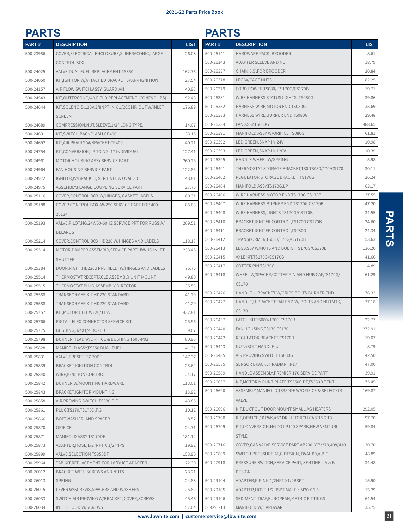| PART#     | <b>DESCRIPTION</b>                                     | <b>LIST</b> | PART#     | <b>DESCRIPTION</b>                                     | <b>LIST</b> |
|-----------|--------------------------------------------------------|-------------|-----------|--------------------------------------------------------|-------------|
| 500-23986 | COVER, ELECTRICAL ENCLOSURE, SI INFRACONIC, LARGE      | 26.08       | 500-26141 | HARDWARE PACK, BROODER                                 | 8.61        |
|           | CONTROL BOX                                            |             | 500-26143 | ADAPTER SLEEVE AND NUT                                 | 18.79       |
| 500-24025 | VALVE, DUAL FUEL, REPLACEMENT TS350                    | 162.76      | 500-26337 | CHAIN, 6.5', FOR BROODER                               | 20.84       |
| 500-24050 | KIT, IGNITOR W/ATTACHED BRACKET SPARK IGNITION         | 27.54       | 500-26378 | LEG, W/CAGE NUTS                                       | 82.25       |
| 500-24157 | AIR FLOW SWITCH, ASSY, GUARDIAN                        | 40.93       | 500-26379 | CORD, POWER, TS080/TS170G/CS170B                       | 19.71       |
| 500-24543 | KIT, OUTER CONE, 140, FIELD REPLACEMENT (CONE& CLIPS)  | 92.48       | 500-26381 | WIRE HARNESS STATUS LIGHTS, TS080G                     | 39.86       |
| 500-24644 | KIT, SOLENOID, 120V, 3/8NPT IN X 1/2COMP. OUT, W/INLET | 176.89      | 500-26382 | HARNESS, WIRE, MOTOR END, TS080G                       | 35.69       |
|           | <b>SCREEN</b>                                          |             | 500-26383 | HARNESS WIRE, BURNER END, TS080G                       | 29.48       |
| 500-24689 | COMPRESSION, NUT, SLEEVE, 1/2" LONG TYPE,              | 14.07       | 500-26384 | FAN ASSY.TS080G                                        | 488.65      |
| 500-24691 | KIT, SWITCH, BACKFLASH, CP400                          | 33.15       | 500-26391 | MANIFOLD ASSY W/ORIFICE TS080G                         | 61.81       |
| 500-24692 | KIT, AIR PRVING, W/BRACKET, CP400                      | 40.21       | 500-26392 | LED, GREEN, SNAP-IN, 24V                               | 10.98       |
| 500-24754 | KIT, CONVERSION, LP TO NG I17 INDIVIDUAL               | 127.41      | 500-26393 | LED, GREEN, SNAP-IN, 120V                              | 10.39       |
| 500-24961 | MOTOR HOUSING ASSY, SERVICE PART                       | 260.25      | 500-26395 | HANDLE WHEEL W/SPRING                                  | 5.98        |
| 500-24964 | FAN HOUSING, SERVICE PART                              | 122.85      | 500-26401 | THERMOSTAT STORAGE BRACKET, TSO TS080/170/CS170        | 30.11       |
| 500-24972 | IGNITER, W/BRACKET, SENTINEL & OVAL 80                 | 48.81       | 500-26402 | REGULATOR STORAGE BRACKET, TS170G                      | 26.24       |
| 500-24975 | ASSEMBLY, FLANGE, COUPLING SERVICE PART                | 27.75       | 500-26404 | MANIFOLD ASSY,TS170G,LP                                | 63.17       |
| 500-25116 | COVER, CONTROL BOX, W/HINGES, GASKET, LABELS           | 80.31       | 500-26406 | WIRE HARNESS, MOTOR END, TS170G CS170B                 | 37.55       |
| 500-25188 | COVER CONTROL BOX, AW250 SERVICE PART FOR 400-         | 85.63       | 500-26407 | WIRE HARNESS, BURNER END, TS170G CS170B                | 47.20       |
|           |                                                        |             | 500-26408 | WIRE HARNESS, LIGHTS TS170G/CS170B                     | 34.55       |
|           | 20134                                                  |             | 500-26410 | BRACKET, IGNITER CONTROL, TS170G CS170B                | 24.60       |
| 500-25193 | VALVE, PILOT, NG, 24V/50-60HZ SERVICE PRT FOR RUSSIA/  | 269.51      | 500-26411 | BRACKET, IGNITER CONTROL, TS080G                       | 24.34       |
|           | <b>BELARUS</b>                                         |             |           |                                                        | 53.63       |
| 500-25214 | COVER, CONTROL BOX, HD220 W/HINGES AND LABELS          | 118.13      | 500-26412 | TRANSFORMER,TS080/170G/CS170B                          |             |
| 500-25314 | MOTOR, DAMPER ASSEMBLY, SERVICE PART, HW/HD INLET      | 233.45      | 500-26413 | LEG ASSY W/NUTS AND BOLTS, TS170G/CS170B               | 136.20      |
|           | <b>SHUTTER</b>                                         |             | 500-26415 | AXLE KIT, TS170G/CS170B                                | 41.66       |
| 500-25384 | DOOR, RIGHT, HD220, TRI-SHIELD, W/HINGES AND LABELS    | 75.76       | 500-26417 | COTTER PIN, TS170G                                     | 4.89        |
| 500-25514 | THERMOSTAT, RECEPTACLE ASSEMBLY UNIT MOUNT             | 49.80       | 500-26418 | WHEEL W/SPACER, COTTER PIN AND HUB CAP, TS170G/        | 61.29       |
| 500-25515 | THERMOSTAT PLUG, ASSEMBLY DIRECTOR                     | 35.53       |           | CS170                                                  |             |
| 500-25588 | TRANSFORMER KIT, HD220 STANDARD                        | 41.29       | 500-26426 | HANDLE-U BRACKET W/GRIPS, BOLTS BURNER END             | 76.32       |
| 500-25588 | TRANSFORMER KIT, HD220 STANDARD                        | 41.29       | 500-26427 | HANDLE, U-BRACKET, FAN END, W/ BOLTS AND NUTMTS/       | 77.18       |
| 500-25757 | KIT, MOTOR, HD, HW220/115V                             | 432.81      |           | CS170                                                  |             |
| 500-25766 | PIGTAIL FLEX CONNECTOR SERVICE KIT                     | 25.96       | 500-26437 | LATCH KIT,TS080/170G,CS170B                            | 22.77       |
| 500-25775 | BUSHING, 3/4X1/4, BOXED                                | 9.07        | 500-26440 | FAN HOUSING, TS170 CS170                               | 272.91      |
| 500-25798 | BURNER HEAD W/ORIFICE & BUSHING T500-P02               | 80.95       | 500-26442 | REGULATOR BRACKET, CS170B                              | 19.07       |
| 500-25828 | MANIFOLD ASSY, TS350 DUAL FUEL                         | 41.31       | 500-26443 | NUT&BOLT, HANDLE-U                                     | 8.79        |
| 500-25831 | VALVE, PRESET TS170DF                                  | 147.37      | 500-26485 | AIR PROVING SWITCH TS080G                              | 42.50       |
| 500-25839 | BRACKET, IGNITION CONTROL                              | 23.64       | 500-26585 | SENSOR BRACKET, RADIANT, I-17                          | 47.00       |
| 500-25840 | WIRE, IGNITION CONTROL                                 | 24.17       | 500-26589 | HANDLE ASSEMBLY, PREMIER 170 SERVICE PART              | 39.91       |
| 500-25842 | BURNER, W/MOUNTING HARDWARE                            | 113.01      | 500-26657 | KIT, MOTOR MOUNT PLATE TS350C DF, TS350D TENT          | 75.45       |
| 500-25843 | BRACKET, IGNITOR MOUNTING                              | 13.92       | 500-26690 | ASSEMBLY, MANIFOLD, TS350DF W/ORIFICE & SELECTOR       | 169.87      |
| 500-25858 | AIR PROVING SWITCH TS080,E-F                           | 43.85       |           | VALVE                                                  |             |
| 500-25861 | PLUG,TS170,TS170D,F,G                                  | 10.12       | 500-26696 | KIT, DUCT, OUT DOOR MOUNT SMALL AG HEATERS             | 292.05      |
| 500-25866 | BOLT, WASHER, AND SPACER                               | 8.52        | 500-26700 | KIT, ORIFICE, 10 PAK, #57 DRILL TORCH CASTING T3       | 97.70       |
| 500-25870 | ORIFICE                                                | 24.71       | 500-26709 | KIT, CONVERSION, NG TO LP 140 SPARK, NEW VENTURI       | 59.84       |
| 500-25871 | MANIFOLD ASSY TS170DF                                  | 181.12      |           | <b>STYLE</b>                                           |             |
| 500-25873 | ADAPTER, HOSE, 1/2"NPT X 1/2"NPS                       | 19.92       | 500-26716 | COVER, GAS VALVE, SERVICE PART AB230, 377/379, 408/410 | 30.70       |
| 500-25899 | VALVE, SELECTION TS350DF                               | 153.90      | 500-26809 | SWITCH, PRESSURE, AT, C-DESIGN, OVAL 80, A, B, C       | 48.89       |
| 500-25964 | TAB KIT, REPLACEMENT FOR 18" DUCT ADAPTER              | 22.30       | 500-27918 | PRESSURE SWITCH, SERVICE PART, SENTINEL, A & B         | 34.48       |
| 500-26012 | BRACKET WITH SCREWS AND NUTS                           | 23.21       |           | <b>DESIGN</b>                                          |             |
| 500-26013 | SPRING                                                 | 24.88       | 500-29104 | ADAPTER, PIPING, 1/2NPT X1/2BSPT                       | 15.90       |
|           |                                                        |             |           |                                                        |             |
| 500-26015 | LEVER W/SCREWS, SPACERS AND WASHERS                    | 25.82       | 500-29105 | ADAPTER, HOSE, 1/2 BSPT MALE X M20 X 1.5               | 13.29       |
| 500-26033 | SWITCH, AIR PROVING W/BRACKET, COVER, SCREWS           | 45.46       | 500-29106 | SEDIMENT TRAP, EUROPEAN, METRIC FITTINGS               | 64.54       |
| 500-26034 | <b>INLET HOOD W/SCREWS</b>                             | 157.04      | 509291-13 | MANIFOLD, W/HARDWARE                                   | 35.75       |

| PART#     | <b>DESCRIPTION</b>                                     | <b>LIST</b> |
|-----------|--------------------------------------------------------|-------------|
| 500-26141 | HARDWARE PACK, BROODER                                 | 8.61        |
| 500-26143 | ADAPTER SLEEVE AND NUT                                 | 18.79       |
| 500-26337 | CHAIN, 6.5', FOR BROODER                               | 20.84       |
| 500-26378 | LEG, W/CAGE NUTS                                       | 82.25       |
| 500-26379 | CORD, POWER, TS080/TS170G/CS170B                       | 19.71       |
| 500-26381 | WIRE HARNESS STATUS LIGHTS, TS080G                     | 39.86       |
| 500-26382 | HARNESS, WIRE, MOTOR END, TS080G                       | 35.69       |
| 500-26383 | HARNESS WIRE, BURNER END, TS080G                       | 29.48       |
| 500-26384 | FAN ASSY,TS080G                                        | 488.65      |
| 500-26391 | MANIFOLD ASSY W/ORIFICE TS080G                         | 61.81       |
| 500-26392 | LED, GREEN, SNAP-IN, 24V                               | 10.98       |
| 500-26393 | LED, GREEN, SNAP-IN, 120V                              | 10.39       |
| 500-26395 | HANDLE WHEEL W/SPRING                                  | 5.98        |
| 500-26401 | THERMOSTAT STORAGE BRACKET, TS0 TS080/170/CS170        | 30.11       |
| 500-26402 | REGULATOR STORAGE BRACKET, TS170G                      | 26.24       |
| 500-26404 | MANIFOLD ASSY,TS170G,LP                                | 63.17       |
| 500-26406 | WIRE HARNESS, MOTOR END, TS170G CS170B                 | 37.55       |
| 500-26407 | WIRE HARNESS, BURNER END, TS170G CS170B                | 47.20       |
| 500-26408 | WIRE HARNESS, LIGHTS TS170G/CS170B                     | 34.55       |
| 500-26410 | BRACKET, IGNITER CONTROL, TS170G CS170B                | 24.60       |
| 500-26411 | BRACKET, IGNITER CONTROL, TS080G                       | 24.34       |
| 500-26412 | TRANSFORMER,TS080/170G/CS170B                          | 53.63       |
| 500-26413 | LEG ASSY W/NUTS AND BOLTS, TS170G/CS170B               | 136.20      |
| 500-26415 | AXLE KIT, TS170G/CS170B                                | 41.66       |
| 500-26417 | COTTER PIN, TS170G                                     | 4.89        |
| 500-26418 | WHEEL W/SPACER, COTTER PIN AND HUB CAP, TS170G/        | 61.29       |
|           | <b>CS170</b>                                           |             |
| 500-26426 | HANDLE-U BRACKET W/GRIPS, BOLTS BURNER END             | 76.32       |
| 500-26427 | HANDLE, U-BRACKET, FAN END, W/ BOLTS AND NUTMTS/       | 77.18       |
|           | CS170                                                  |             |
| 500-26437 | LATCH KIT, TS080/170G, CS170B                          | 22.77       |
| 500-26440 | FAN HOUSING,TS170 CS170                                | 272.91      |
| 500-26442 | REGULATOR BRACKET, CS170B                              | 19.07       |
| 500-26443 | NUT&BOLT, HANDLE-U                                     | 8.79        |
| 500-26485 | AIR PROVING SWITCH TS080G                              | 42.50       |
| 500-26585 | SENSOR BRACKET, RADIANT, I-17                          | 47.00       |
| 500-26589 | HANDLE ASSEMBLY, PREMIER 170 SERVICE PART              | 39.91       |
| 500-26657 | KIT, MOTOR MOUNT PLATE TS350C DF, TS350D TENT          | 75.45       |
| 500-26690 | ASSEMBLY, MANIFOLD, TS350DF W/ORIFICE & SELECTOR       | 169.87      |
|           | <b>VALVE</b>                                           |             |
| 500-26696 | KIT, DUCT, OUT DOOR MOUNT SMALL AG HEATERS             | 292.05      |
| 500-26700 | KIT, ORIFICE, 10 PAK, #57 DRILL TORCH CASTING T3       | 97.70       |
| 500-26709 | KIT, CONVERSION, NG TO LP 140 SPARK, NEW VENTURI       | 59.84       |
|           | <b>STYLE</b>                                           |             |
| 500-26716 | COVER, GAS VALVE, SERVICE PART AB230, 377/379, 408/410 | 30.70       |
| 500-26809 | SWITCH, PRESSURE, AT, C-DESIGN, OVAL 80, A, B, C       | 48.89       |
| 500-27918 | PRESSURE SWITCH, SERVICE PART, SENTINEL, A & B         | 34.48       |
|           | <b>DESIGN</b>                                          |             |
| 500-29104 | ADAPTER, PIPING, 1/2NPT X1/2BSPT                       | 15.90       |
| 500-29105 | ADAPTER, HOSE, 1/2 BSPT MALE X M20 X 1.5               | 13.29       |
| 500-29106 | SEDIMENT TRAP, EUROPEAN, METRIC FITTINGS               | 64.54       |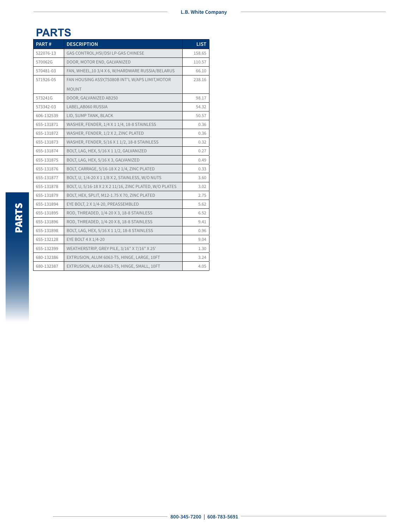| PART#      | <b>DESCRIPTION</b>                                      | <b>LIST</b> |
|------------|---------------------------------------------------------|-------------|
| 522076-13  | GAS CONTROL, HSI/DSI LP-GAS CHINESE                     | 158.65      |
| 570062G    | DOOR, MOTOR END, GALVANIZED                             | 110.57      |
| 570481-03  | FAN, WHEEL, 10 3/4 X 6, W/HARDWARE RUSSIA/BELARUS       | 66.10       |
| 571926-05  | FAN HOUSING ASSY, TS080B INT'L W/APS LIMIT, MOTOR       | 238.16      |
|            | <b>MOUNT</b>                                            |             |
| 573241G    | DOOR, GALVANIZED AB250                                  | 98.17       |
| 573342-03  | LABEL, AB060 RUSSIA                                     | 54.32       |
| 606-132539 | LID, SUMP TANK, BLACK                                   | 50.57       |
| 655-131871 | WASHER, FENDER, 1/4 X 1 1/4, 18-8 STAINLESS             | 0.36        |
| 655-131872 | WASHER, FENDER, 1/2 X 2, ZINC PLATED                    | 0.36        |
| 655-131873 | WASHER, FENDER, 5/16 X 1 1/2, 18-8 STAINLESS            | 0.32        |
| 655-131874 | BOLT, LAG, HEX, 5/16 X 1 1/2, GALVANIZED                | 0.27        |
| 655-131875 | BOLT, LAG, HEX, 5/16 X 3, GALVANIZED                    | 0.49        |
| 655-131876 | BOLT, CARRAGE, 5/16-18 X 2 1/4, ZINC PLATED             | 0.33        |
| 655-131877 | BOLT, U, 1/4-20 X 1 1/8 X 2, STAINLESS, W/O NUTS        | 3.60        |
| 655-131878 | BOLT, U, 5/16-18 X 2 X 2 11/16, ZINC PLATED, W/O PLATES | 3.02        |
| 655-131879 | BOLT, HEX, SPLIT, M12-1.75 X 70, ZINC PLATED            | 2.75        |
| 655-131894 | EYE BOLT, 2 X 1/4-20, PREASSEMBLED                      | 5.62        |
| 655-131895 | ROD, THREADED, 1/4-20 X 3, 18-8 STAINLESS               | 6.52        |
| 655-131896 | ROD, THREADED, 1/4-20 X 8, 18-8 STAINLESS               | 9.41        |
| 655-131898 | BOLT, LAG, HEX, 5/16 X 1 1/2, 18-8 STAINLESS            | 0.96        |
| 655-132128 | EYE BOLT 4 X 1/4-20                                     | 9.04        |
| 655-132399 | WEATHERSTRIP, GREY PILE, 3/16" X 7/16" X 25'            | 1.30        |
| 680-132386 | EXTRUSION, ALUM 6063-T5, HINGE, LARGE, 10FT             | 3.24        |
| 680-132387 | EXTRUSION, ALUM 6063-T5, HINGE, SMALL, 10FT             | 4.05        |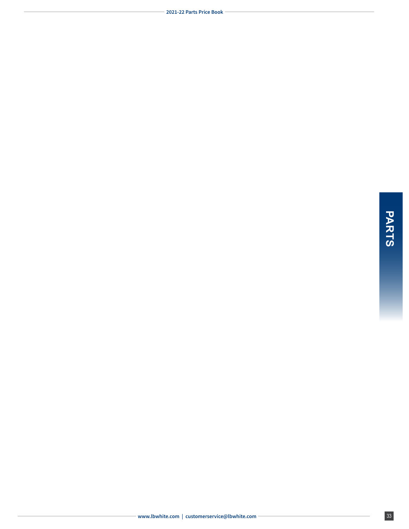**2021-22 Parts Price Book**

**www.lbwhite.com | customerservice@lbwhite.com** 33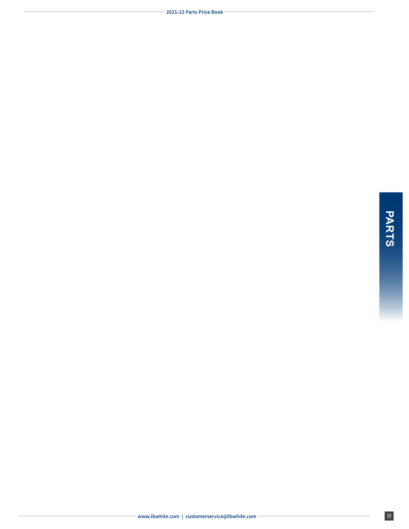**2021-22 Parts Price Book**

**www.lbwhite.com | customerservice@lbwhite.com** 35